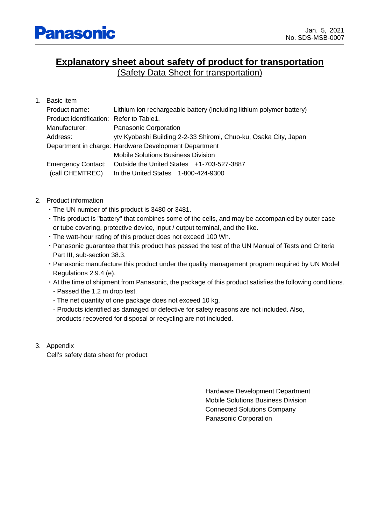# **Explanatory sheet about safety of product for transportation**

(Safety Data Sheet for transportation)

| $1_{-}$ | Basic item                               |                                                                      |
|---------|------------------------------------------|----------------------------------------------------------------------|
|         | Product name:                            | Lithium ion rechargeable battery (including lithium polymer battery) |
|         | Product identification: Refer to Table1. |                                                                      |
|         | Manufacturer:                            | <b>Panasonic Corporation</b>                                         |
|         | Address:                                 | ytv Kyobashi Building 2-2-33 Shiromi, Chuo-ku, Osaka City, Japan     |
|         |                                          | Department in charge: Hardware Development Department                |
|         |                                          | Mobile Solutions Business Division                                   |
|         | <b>Emergency Contact:</b>                | Outside the United States $+1-703-527-3887$                          |
|         | (call CHEMTREC)                          | In the United States 1-800-424-9300                                  |

- 2. Product information
	- ・The UN number of this product is 3480 or 3481.
	- ・This product is "battery" that combines some of the cells, and may be accompanied by outer case or tube covering, protective device, input / output terminal, and the like.
	- ・The watt-hour rating of this product does not exceed 100 Wh.
	- ・Panasonic guarantee that this product has passed the test of the UN Manual of Tests and Criteria Part III, sub-section 38.3.
	- ・Panasonic manufacture this product under the quality management program required by UN Model Regulations 2.9.4 (e).
	- ・At the time of shipment from Panasonic, the package of this product satisfies the following conditions. - Passed the 1.2 m drop test.
		- The net quantity of one package does not exceed 10 kg.
		- Products identified as damaged or defective for safety reasons are not included. Also, products recovered for disposal or recycling are not included.
- 3. Appendix

Cell's safety data sheet for product

Hardware Development Department Mobile Solutions Business Division Connected Solutions Company Panasonic Corporation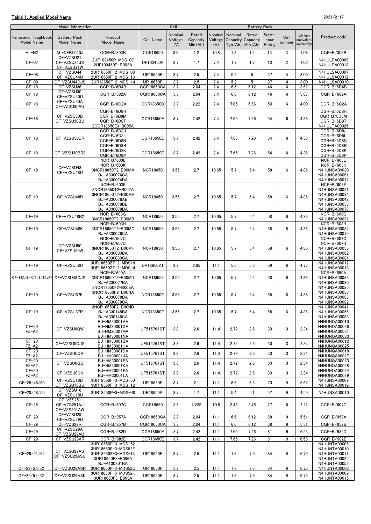#### Table 1. Applied Model Name 2021/2/17

| Nominal<br>Rated<br>Nominal<br>Rated<br>Nominal<br>Watt-<br>Lithium<br>Product<br>Cell<br>Product code<br>Panasonic Toughbook<br><b>Battery Pack</b><br>Capacity Capacity<br>Cell Name<br>Voltage<br>Capacity<br>Voltage<br>hour<br>equivalent<br><b>Model Name</b><br>Model Name<br><b>Model Name</b><br>number<br>content(g)<br>(V)<br>Min.(Ah)<br>$Typ(Ah)$ Min. $(Ah)$<br>Rating<br>(V)<br>AL-NFBL020J<br>CGR-B/303B<br>CGR18650<br>3.6<br>1.2<br>10.8<br>1.2<br>1.2<br>13<br>3<br>1.08<br>CGR-B/303B<br>AL-N <sub>2</sub><br>CF-VZSU21<br>2UF103450P-MDS-07<br><b>N4HULPA00009</b><br>$CF-07$<br>CF-VZSU21JS<br>UF103450P<br>3.7<br>1.7<br>7.4<br>1.7<br>1.7<br>13<br>$\overline{2}$<br>1.02<br>2UF103450P-B002A<br>N4HULPA00013<br>CF-VZSU21W<br>2UR18650F-2-MDS-08<br>N4HULSA00007<br>CF-VZSU44<br>5<br>$CF-08$<br>UR18650F<br>2.5<br>7.4<br>5.2<br>37<br>4<br>3.7<br>3.00<br>CF-VZSU44U<br>2UR18650F-2-MDS-13<br>N4HULSA00012<br>$CF-08$<br>CF-VZSU44CJS<br>2UR18650F-2-MDS-14<br><b>UR18650F</b><br>3.7<br>2.5<br>7.4<br>5.2<br>5<br>37<br>4<br>3.00<br>N4HULSA00010<br>$CF-18$<br>CF-VZSU36<br>CGR-B/6B4B<br>CGR18650CA<br>3.7<br>2.04<br>7.4<br>6.6<br>6.12<br>46<br>6<br>3.67<br>CGR-B/6B4B<br>CF-VZSU30<br>6<br>$CF-18$<br>CGR-B/682A<br>CGR18650CA<br>3.7<br>2.04<br>7.4<br>6.6<br>6.12<br>46<br>3.67<br>CGR-B/682A<br>CF-VZSU30U<br>CF-VZSU30A<br>$CF-18$<br>6<br>CGR-B/6C2A<br>CGR18650D<br>3.7<br>2.22<br>7.4<br>7.05<br>6.66<br>50<br>4.00<br>CGR-B/6C2A<br>CF-VZSU30AU<br>CGR-B/6D8H<br>CGR-B/6D8H<br>CF-VZSU30B<br>CGR-B/6D8M<br>CGR-B/6D8M<br>$CF-18$<br>54<br>CGR18650E<br>3.7<br>2.42<br>7.4<br>7.65<br>7.26<br>6<br>4.36<br>CF-VZSU30BU<br>CGR-B/6D8T<br>CGR-B/6D8T<br>2CGR18650E3-B005A<br>N4HULTA00025<br>CGR-B/6D8J<br>CGR-B/6D8J<br>CGR-B/6D8L<br>CGR-B/6D8L<br>54<br>$CF-18$<br>CF-VZSU30BR<br>CGR18650E<br>3.7<br>2.42<br>7.4<br>7.65<br>7.26<br>6<br>4.36<br>CGR-B/6D8N<br>CGR-B/6D8N<br>CGR-B/6D8R<br>CGR-B/6D8R<br>CGR-B/6D8K<br>CGR-B/6D8K<br>$CF-18$<br>54<br>6<br>CF-VZSU30BR2<br>CGR18650E<br>3.7<br>2.42<br>7.4<br>7.65<br>7.26<br>4.36<br>CGR-B/6D8P<br>CGR-B/6D8P<br><b>NCR-B/603E</b><br>NCR-B/603E<br>NCR-B/603K<br>NCR-B/603K<br>CF-VZSU48<br>$CF-19$<br>3NCR18650T2-B00MA<br><b>NCR18650</b><br>2.7<br>10.65<br>5.7<br>5.4<br>58<br>6<br>4.86<br><b>N4HUNSA00030</b><br>3.55<br>CF-VZSU48U<br>BJ-A330074CA<br>N4HUNSA00061<br>BJ-A330074DA<br>N4HUNSA00077<br>NCR-B/603F<br>NCR-B/603F<br>3NCR18650T2-B007A<br>N4HUNSA00021<br>3NCR18650T2-B00ME<br>N4HUNSA00034<br>$CF-19$<br>CF-VZSU48R<br><b>NCR18650</b><br>3.55<br>2.7<br>10.65<br>5.7<br>5.4<br>58<br>6<br>4.86<br>BJ-A330078AB<br>N4HUNSA00042<br>BJ-A330078BB<br>N4HUNSA00053<br>BJ-A330078DA<br><b>N4HUNSA00078</b><br>NCR-B/603G<br>NCR-B/603G<br>$CF-19$<br>58<br>6<br>CF-VZSU48R2<br><b>NCR18650</b><br>3.55<br>2.7<br>10.65<br>5.7<br>5.4<br>4.86<br>3NCR18650T2-B00MB<br>N4HUNSA00031<br>NCR-B/603H<br>NCR-B/603H<br>$CF-19$<br>CF-VZSU48K<br>3NCR18650T2-B00MC<br><b>NCR18650</b><br>3.55<br>2.7<br>10.65<br>5.7<br>5.4<br>58<br>6<br>N4HUNSA00032<br>4.86<br>BJ-A330076CA<br><b>N4HUNSA00079</b><br>NCR-B/607C<br>NCR-B/607C<br>NCR-B/607D<br>NCR-B/607D<br>CF-VZSU50<br>$CF-19$<br>3NCR18650T2-B00MF<br><b>NCR18650</b><br>3.55<br>2.7<br>10.65<br>5.7<br>5.4<br>58<br>6<br><b>N4HUNSA00035</b><br>4.86<br>CF-VZSU50W<br>BJ-A330080BA<br>N4HUNSA00062<br>BJ-A330080CA<br>N4HUNSA00081<br>3UR18650ZT-2-MDS19<br><b>N4HUNSA00012</b><br>$CF-19$<br>CF-VZSU58U<br>2.65<br>5.3<br>59<br>6<br>4.77<br><b>UR18650ZT</b><br>3.7<br>11.1<br>5.6<br>3UR18650ZT-2-MDS-4<br>N4HUNSA00018<br>NCR-B/699A<br><b>NCR-B/699A</b><br>6<br>CF-19A/B/X/1/2/3 (JP) CF-VZSU48CJS<br><b>NCR18650</b><br>3.55<br>2.7<br>10.65<br>5.7<br>5.4<br>58<br>3NCR18650T2-B00MD<br>4.86<br><b>N4HUNSA00033</b><br>BJ-A330077BA<br><b>N4HUNSA00080</b><br>3NCR18650F2-B00EA<br>N4HUNSA00025<br>3NCR18650F2-B00NA<br>N4HUNSA00036<br>$CF-19$<br>CF-VZSU87E<br><b>NCR18650F</b><br>3.55<br>2.7<br>10.65<br>5.7<br>5.4<br>58<br>6<br>4.86<br>BJ-A330079BA<br>N4HUNSA00063<br>N4HUNSA00082<br>BJ-A330079CA<br>N4HUNSA00041<br>3NCR18650F2-B00NB<br>$CF-19$<br>CF-VZSU87R<br>BJ-A330148BA<br>2.7<br>10.65<br>5.7<br>5.4<br>58<br>6<br>4.86<br>N4HUNSA00056<br><b>NCR18650F</b><br>3.55<br>BJ-A330148CA<br><b>N4HUNSA00083</b><br>BJ-HM30001AA<br>N4HUNQA00010<br>$CF-20$<br>BJ-HM30001GA<br>N4HUNQA00026<br>3<br>CF-VZSU0QW<br>3.8<br>2.6<br>2.72<br>2.6<br>30<br>2.34<br>UF515761ST<br>11.4<br>$FZ - A2$<br>BJ-HM30001MA<br>N4HUNQA00031<br>BJ-HM30001NA<br>N4HUNQA00033<br>$CF-20$<br>BJ-HM30001BA<br><b>N4HUNQA00012</b><br>CF-VZSU0QJS<br>3.8<br>2.6<br>2.72<br>2.6<br>30<br>3<br>2.34<br>UF515761ST<br>11.4<br>$FZ - A2$<br>BJ-HM30001HA<br>N4HUNQA00025<br>$CF-20$<br>BJ-HM30001DA<br><b>N4HUNQA00018</b><br>CF-VZSU0QR<br>3<br>UF515761ST<br>3.8<br>2.6<br>11.4<br>2.72<br>2.6<br>30<br>2.34<br>N4HUNQA00027<br>FZ-A2<br>BJ-HM30001JA<br>$CF-20$<br>BJ-HM30001EA<br>N4HUNQA00023<br>3<br>CF-VZSU0QQ<br>UF515761ST<br>3.8<br>2.6<br>11.4<br>2.72<br>2.6<br>30<br>2.34<br>$FZ - A2$<br>BJ-HM30001KA<br>N4HUNQA00028<br>$CF-20$<br>BJ-HM30001FA<br>N4HUNQA00024<br>3<br>CF-VZSU0QK<br>UF515761ST<br>2.6<br>11.4<br>2.72<br>2.6<br>30<br>3.8<br>2.34<br>$FZ - A2$<br>BJ-HM30001LA<br>N4HUNQA00029<br>CF-VZSU18B<br>3UR18650F-3-MDS-50<br><b>N4HUNSA00009</b><br>9<br>CF-28/48/50<br><b>UR18650F</b><br>3.7<br>2.1<br>6.6<br>6.3<br>70<br>11.1<br>5.67<br>CF-VZSU18BU<br>3UR18650F-3-MDS-12<br>N4HUNSA00019<br>CF-VZSU18<br>3UR18650P-3-MDS-48<br>9<br>CF-28/48/50<br>UR18650P<br>3.7<br>1.7<br>5.4<br>5.1<br>57<br>N4HUNSA00010<br>11.1<br>4.59<br>CF-VZSU18U<br>CF-VZS251<br>$CF-25$<br>CF-VZS251AJ<br>CGR-B/607C<br>CGR18650<br>3.6<br>1.225<br>10.8<br>2.45<br>2.45<br>27<br>6<br>2.21<br>CGR-B/607C<br>CF-VZS251AW<br>CF-VZSU29<br>9<br>$CF-29$<br>CGR-B/957A<br>CGR18650CA<br>3.7<br>2.04<br>11.1<br>6.6<br>6.12<br>68<br>5.51<br>CGR-B/957A<br>CF-VZSU29U<br>$CF-29$<br>3.7<br>2.04<br>11.1<br>6.12<br>68<br>9<br>CF-VZS29R<br>CGR-B/957B<br>CGR18650CA<br>6.6<br>5.51<br>CGR-B/957B<br>CF-VZSU29A<br>$CF-29$<br>CGR18650E<br>7.26<br>9<br>CGR-B/982D<br>3.7<br>2.42<br>11.1<br>7.65<br>81<br>6.53<br>CGR-B/982D<br>CF-VZSU29AU<br>$CF-29$<br>9<br>CF-VZSU29AR<br>CGR-B/982E<br>CGR18650E<br>3.7<br>2.42<br>11.1<br>7.65<br>7.26<br>81<br>6.53<br>CGR-B/982E<br>3UR18650F-3-MDS-52<br>N4HUNTA00006<br>3UR18650F-3-MDS52F<br>N4HUNTA00010<br>CF-VZSU29AS<br>CF-29/51/52<br>3UR18650F-3-MDS-14<br><b>UR18650F</b><br>2.5<br>7.8<br>7.5<br>84<br>9<br>N4HUNTA00011<br>3.7<br>11.1<br>6.75<br>CF-VZSU29ASU<br>3UR18650F3-B006A<br>N4HUNTA00025<br>BJ-A130301BA<br>N4HUNTA00052<br>CF-VZSU29ASR<br><b>UR18650F</b><br>84<br>CF-29/51/52<br>3UR18650F-3-MDS52C<br>3.7<br>2.5<br>11.1<br>7.8<br>7.5<br>9<br>6.75<br>N4HUNTA00008<br>3UR18650F-3-MDS52K<br>N4HUNTA00009<br>CF-29/51/52<br>CF-VZSU29ASK<br><b>UR18650F</b><br>3.7<br>2.5<br>11.1<br>7.8<br>7.5<br>84<br>9<br>6.75 | Model Information |                  | Cell |  | <b>Battery Pack</b> |  |              |
|----------------------------------------------------------------------------------------------------------------------------------------------------------------------------------------------------------------------------------------------------------------------------------------------------------------------------------------------------------------------------------------------------------------------------------------------------------------------------------------------------------------------------------------------------------------------------------------------------------------------------------------------------------------------------------------------------------------------------------------------------------------------------------------------------------------------------------------------------------------------------------------------------------------------------------------------------------------------------------------------------------------------------------------------------------------------------------------------------------------------------------------------------------------------------------------------------------------------------------------------------------------------------------------------------------------------------------------------------------------------------------------------------------------------------------------------------------------------------------------------------------------------------------------------------------------------------------------------------------------------------------------------------------------------------------------------------------------------------------------------------------------------------------------------------------------------------------------------------------------------------------------------------------------------------------------------------------------------------------------------------------------------------------------------------------------------------------------------------------------------------------------------------------------------------------------------------------------------------------------------------------------------------------------------------------------------------------------------------------------------------------------------------------------------------------------------------------------------------------------------------------------------------------------------------------------------------------------------------------------------------------------------------------------------------------------------------------------------------------------------------------------------------------------------------------------------------------------------------------------------------------------------------------------------------------------------------------------------------------------------------------------------------------------------------------------------------------------------------------------------------------------------------------------------------------------------------------------------------------------------------------------------------------------------------------------------------------------------------------------------------------------------------------------------------------------------------------------------------------------------------------------------------------------------------------------------------------------------------------------------------------------------------------------------------------------------------------------------------------------------------------------------------------------------------------------------------------------------------------------------------------------------------------------------------------------------------------------------------------------------------------------------------------------------------------------------------------------------------------------------------------------------------------------------------------------------------------------------------------------------------------------------------------------------------------------------------------------------------------------------------------------------------------------------------------------------------------------------------------------------------------------------------------------------------------------------------------------------------------------------------------------------------------------------------------------------------------------------------------------------------------------------------------------------------------------------------------------------------------------------------------------------------------------------------------------------------------------------------------------------------------------------------------------------------------------------------------------------------------------------------------------------------------------------------------------------------------------------------------------------------------------------------------------------------------------------------------------------------------------------------------------------------------------------------------------------------------------------------------------------------------------------------------------------------------------------------------------------------------------------------------------------------------------------------------------------------------------------------------------------------------------------------------------------------------------------------------------------------------------------------------------------------------------------------------------------------------------------------------------------------------------------------------------------------------------------------------------------------------------------------------------------------------------------------------------------------------------------------------------------------------------------------------------------------------------------------------------------------------------------------------------------------------------------------------------------------------------------------------------------------------------------------------------------------------------------------------------------------------------------------------------------------------------------------------------------------------------------------------------------------------------------------------------------------------------------------------------------------------------------------------------------------------------------------------------------------------|-------------------|------------------|------|--|---------------------|--|--------------|
|                                                                                                                                                                                                                                                                                                                                                                                                                                                                                                                                                                                                                                                                                                                                                                                                                                                                                                                                                                                                                                                                                                                                                                                                                                                                                                                                                                                                                                                                                                                                                                                                                                                                                                                                                                                                                                                                                                                                                                                                                                                                                                                                                                                                                                                                                                                                                                                                                                                                                                                                                                                                                                                                                                                                                                                                                                                                                                                                                                                                                                                                                                                                                                                                                                                                                                                                                                                                                                                                                                                                                                                                                                                                                                                                                                                                                                                                                                                                                                                                                                                                                                                                                                                                                                                                                                                                                                                                                                                                                                                                                                                                                                                                                                                                                                                                                                                                                                                                                                                                                                                                                                                                                                                                                                                                                                                                                                                                                                                                                                                                                                                                                                                                                                                                                                                                                                                                                                                                                                                                                                                                                                                                                                                                                                                                                                                                                                                                                                                                                                                                                                                                                                                                                                                                                                                                                                                                                                                                                          |                   |                  |      |  |                     |  |              |
|                                                                                                                                                                                                                                                                                                                                                                                                                                                                                                                                                                                                                                                                                                                                                                                                                                                                                                                                                                                                                                                                                                                                                                                                                                                                                                                                                                                                                                                                                                                                                                                                                                                                                                                                                                                                                                                                                                                                                                                                                                                                                                                                                                                                                                                                                                                                                                                                                                                                                                                                                                                                                                                                                                                                                                                                                                                                                                                                                                                                                                                                                                                                                                                                                                                                                                                                                                                                                                                                                                                                                                                                                                                                                                                                                                                                                                                                                                                                                                                                                                                                                                                                                                                                                                                                                                                                                                                                                                                                                                                                                                                                                                                                                                                                                                                                                                                                                                                                                                                                                                                                                                                                                                                                                                                                                                                                                                                                                                                                                                                                                                                                                                                                                                                                                                                                                                                                                                                                                                                                                                                                                                                                                                                                                                                                                                                                                                                                                                                                                                                                                                                                                                                                                                                                                                                                                                                                                                                                                          |                   |                  |      |  |                     |  |              |
|                                                                                                                                                                                                                                                                                                                                                                                                                                                                                                                                                                                                                                                                                                                                                                                                                                                                                                                                                                                                                                                                                                                                                                                                                                                                                                                                                                                                                                                                                                                                                                                                                                                                                                                                                                                                                                                                                                                                                                                                                                                                                                                                                                                                                                                                                                                                                                                                                                                                                                                                                                                                                                                                                                                                                                                                                                                                                                                                                                                                                                                                                                                                                                                                                                                                                                                                                                                                                                                                                                                                                                                                                                                                                                                                                                                                                                                                                                                                                                                                                                                                                                                                                                                                                                                                                                                                                                                                                                                                                                                                                                                                                                                                                                                                                                                                                                                                                                                                                                                                                                                                                                                                                                                                                                                                                                                                                                                                                                                                                                                                                                                                                                                                                                                                                                                                                                                                                                                                                                                                                                                                                                                                                                                                                                                                                                                                                                                                                                                                                                                                                                                                                                                                                                                                                                                                                                                                                                                                                          |                   |                  |      |  |                     |  |              |
|                                                                                                                                                                                                                                                                                                                                                                                                                                                                                                                                                                                                                                                                                                                                                                                                                                                                                                                                                                                                                                                                                                                                                                                                                                                                                                                                                                                                                                                                                                                                                                                                                                                                                                                                                                                                                                                                                                                                                                                                                                                                                                                                                                                                                                                                                                                                                                                                                                                                                                                                                                                                                                                                                                                                                                                                                                                                                                                                                                                                                                                                                                                                                                                                                                                                                                                                                                                                                                                                                                                                                                                                                                                                                                                                                                                                                                                                                                                                                                                                                                                                                                                                                                                                                                                                                                                                                                                                                                                                                                                                                                                                                                                                                                                                                                                                                                                                                                                                                                                                                                                                                                                                                                                                                                                                                                                                                                                                                                                                                                                                                                                                                                                                                                                                                                                                                                                                                                                                                                                                                                                                                                                                                                                                                                                                                                                                                                                                                                                                                                                                                                                                                                                                                                                                                                                                                                                                                                                                                          |                   |                  |      |  |                     |  |              |
|                                                                                                                                                                                                                                                                                                                                                                                                                                                                                                                                                                                                                                                                                                                                                                                                                                                                                                                                                                                                                                                                                                                                                                                                                                                                                                                                                                                                                                                                                                                                                                                                                                                                                                                                                                                                                                                                                                                                                                                                                                                                                                                                                                                                                                                                                                                                                                                                                                                                                                                                                                                                                                                                                                                                                                                                                                                                                                                                                                                                                                                                                                                                                                                                                                                                                                                                                                                                                                                                                                                                                                                                                                                                                                                                                                                                                                                                                                                                                                                                                                                                                                                                                                                                                                                                                                                                                                                                                                                                                                                                                                                                                                                                                                                                                                                                                                                                                                                                                                                                                                                                                                                                                                                                                                                                                                                                                                                                                                                                                                                                                                                                                                                                                                                                                                                                                                                                                                                                                                                                                                                                                                                                                                                                                                                                                                                                                                                                                                                                                                                                                                                                                                                                                                                                                                                                                                                                                                                                                          |                   |                  |      |  |                     |  |              |
|                                                                                                                                                                                                                                                                                                                                                                                                                                                                                                                                                                                                                                                                                                                                                                                                                                                                                                                                                                                                                                                                                                                                                                                                                                                                                                                                                                                                                                                                                                                                                                                                                                                                                                                                                                                                                                                                                                                                                                                                                                                                                                                                                                                                                                                                                                                                                                                                                                                                                                                                                                                                                                                                                                                                                                                                                                                                                                                                                                                                                                                                                                                                                                                                                                                                                                                                                                                                                                                                                                                                                                                                                                                                                                                                                                                                                                                                                                                                                                                                                                                                                                                                                                                                                                                                                                                                                                                                                                                                                                                                                                                                                                                                                                                                                                                                                                                                                                                                                                                                                                                                                                                                                                                                                                                                                                                                                                                                                                                                                                                                                                                                                                                                                                                                                                                                                                                                                                                                                                                                                                                                                                                                                                                                                                                                                                                                                                                                                                                                                                                                                                                                                                                                                                                                                                                                                                                                                                                                                          |                   |                  |      |  |                     |  |              |
|                                                                                                                                                                                                                                                                                                                                                                                                                                                                                                                                                                                                                                                                                                                                                                                                                                                                                                                                                                                                                                                                                                                                                                                                                                                                                                                                                                                                                                                                                                                                                                                                                                                                                                                                                                                                                                                                                                                                                                                                                                                                                                                                                                                                                                                                                                                                                                                                                                                                                                                                                                                                                                                                                                                                                                                                                                                                                                                                                                                                                                                                                                                                                                                                                                                                                                                                                                                                                                                                                                                                                                                                                                                                                                                                                                                                                                                                                                                                                                                                                                                                                                                                                                                                                                                                                                                                                                                                                                                                                                                                                                                                                                                                                                                                                                                                                                                                                                                                                                                                                                                                                                                                                                                                                                                                                                                                                                                                                                                                                                                                                                                                                                                                                                                                                                                                                                                                                                                                                                                                                                                                                                                                                                                                                                                                                                                                                                                                                                                                                                                                                                                                                                                                                                                                                                                                                                                                                                                                                          |                   |                  |      |  |                     |  |              |
|                                                                                                                                                                                                                                                                                                                                                                                                                                                                                                                                                                                                                                                                                                                                                                                                                                                                                                                                                                                                                                                                                                                                                                                                                                                                                                                                                                                                                                                                                                                                                                                                                                                                                                                                                                                                                                                                                                                                                                                                                                                                                                                                                                                                                                                                                                                                                                                                                                                                                                                                                                                                                                                                                                                                                                                                                                                                                                                                                                                                                                                                                                                                                                                                                                                                                                                                                                                                                                                                                                                                                                                                                                                                                                                                                                                                                                                                                                                                                                                                                                                                                                                                                                                                                                                                                                                                                                                                                                                                                                                                                                                                                                                                                                                                                                                                                                                                                                                                                                                                                                                                                                                                                                                                                                                                                                                                                                                                                                                                                                                                                                                                                                                                                                                                                                                                                                                                                                                                                                                                                                                                                                                                                                                                                                                                                                                                                                                                                                                                                                                                                                                                                                                                                                                                                                                                                                                                                                                                                          |                   |                  |      |  |                     |  |              |
|                                                                                                                                                                                                                                                                                                                                                                                                                                                                                                                                                                                                                                                                                                                                                                                                                                                                                                                                                                                                                                                                                                                                                                                                                                                                                                                                                                                                                                                                                                                                                                                                                                                                                                                                                                                                                                                                                                                                                                                                                                                                                                                                                                                                                                                                                                                                                                                                                                                                                                                                                                                                                                                                                                                                                                                                                                                                                                                                                                                                                                                                                                                                                                                                                                                                                                                                                                                                                                                                                                                                                                                                                                                                                                                                                                                                                                                                                                                                                                                                                                                                                                                                                                                                                                                                                                                                                                                                                                                                                                                                                                                                                                                                                                                                                                                                                                                                                                                                                                                                                                                                                                                                                                                                                                                                                                                                                                                                                                                                                                                                                                                                                                                                                                                                                                                                                                                                                                                                                                                                                                                                                                                                                                                                                                                                                                                                                                                                                                                                                                                                                                                                                                                                                                                                                                                                                                                                                                                                                          |                   |                  |      |  |                     |  |              |
|                                                                                                                                                                                                                                                                                                                                                                                                                                                                                                                                                                                                                                                                                                                                                                                                                                                                                                                                                                                                                                                                                                                                                                                                                                                                                                                                                                                                                                                                                                                                                                                                                                                                                                                                                                                                                                                                                                                                                                                                                                                                                                                                                                                                                                                                                                                                                                                                                                                                                                                                                                                                                                                                                                                                                                                                                                                                                                                                                                                                                                                                                                                                                                                                                                                                                                                                                                                                                                                                                                                                                                                                                                                                                                                                                                                                                                                                                                                                                                                                                                                                                                                                                                                                                                                                                                                                                                                                                                                                                                                                                                                                                                                                                                                                                                                                                                                                                                                                                                                                                                                                                                                                                                                                                                                                                                                                                                                                                                                                                                                                                                                                                                                                                                                                                                                                                                                                                                                                                                                                                                                                                                                                                                                                                                                                                                                                                                                                                                                                                                                                                                                                                                                                                                                                                                                                                                                                                                                                                          |                   |                  |      |  |                     |  |              |
|                                                                                                                                                                                                                                                                                                                                                                                                                                                                                                                                                                                                                                                                                                                                                                                                                                                                                                                                                                                                                                                                                                                                                                                                                                                                                                                                                                                                                                                                                                                                                                                                                                                                                                                                                                                                                                                                                                                                                                                                                                                                                                                                                                                                                                                                                                                                                                                                                                                                                                                                                                                                                                                                                                                                                                                                                                                                                                                                                                                                                                                                                                                                                                                                                                                                                                                                                                                                                                                                                                                                                                                                                                                                                                                                                                                                                                                                                                                                                                                                                                                                                                                                                                                                                                                                                                                                                                                                                                                                                                                                                                                                                                                                                                                                                                                                                                                                                                                                                                                                                                                                                                                                                                                                                                                                                                                                                                                                                                                                                                                                                                                                                                                                                                                                                                                                                                                                                                                                                                                                                                                                                                                                                                                                                                                                                                                                                                                                                                                                                                                                                                                                                                                                                                                                                                                                                                                                                                                                                          |                   |                  |      |  |                     |  |              |
|                                                                                                                                                                                                                                                                                                                                                                                                                                                                                                                                                                                                                                                                                                                                                                                                                                                                                                                                                                                                                                                                                                                                                                                                                                                                                                                                                                                                                                                                                                                                                                                                                                                                                                                                                                                                                                                                                                                                                                                                                                                                                                                                                                                                                                                                                                                                                                                                                                                                                                                                                                                                                                                                                                                                                                                                                                                                                                                                                                                                                                                                                                                                                                                                                                                                                                                                                                                                                                                                                                                                                                                                                                                                                                                                                                                                                                                                                                                                                                                                                                                                                                                                                                                                                                                                                                                                                                                                                                                                                                                                                                                                                                                                                                                                                                                                                                                                                                                                                                                                                                                                                                                                                                                                                                                                                                                                                                                                                                                                                                                                                                                                                                                                                                                                                                                                                                                                                                                                                                                                                                                                                                                                                                                                                                                                                                                                                                                                                                                                                                                                                                                                                                                                                                                                                                                                                                                                                                                                                          |                   |                  |      |  |                     |  |              |
|                                                                                                                                                                                                                                                                                                                                                                                                                                                                                                                                                                                                                                                                                                                                                                                                                                                                                                                                                                                                                                                                                                                                                                                                                                                                                                                                                                                                                                                                                                                                                                                                                                                                                                                                                                                                                                                                                                                                                                                                                                                                                                                                                                                                                                                                                                                                                                                                                                                                                                                                                                                                                                                                                                                                                                                                                                                                                                                                                                                                                                                                                                                                                                                                                                                                                                                                                                                                                                                                                                                                                                                                                                                                                                                                                                                                                                                                                                                                                                                                                                                                                                                                                                                                                                                                                                                                                                                                                                                                                                                                                                                                                                                                                                                                                                                                                                                                                                                                                                                                                                                                                                                                                                                                                                                                                                                                                                                                                                                                                                                                                                                                                                                                                                                                                                                                                                                                                                                                                                                                                                                                                                                                                                                                                                                                                                                                                                                                                                                                                                                                                                                                                                                                                                                                                                                                                                                                                                                                                          |                   |                  |      |  |                     |  |              |
|                                                                                                                                                                                                                                                                                                                                                                                                                                                                                                                                                                                                                                                                                                                                                                                                                                                                                                                                                                                                                                                                                                                                                                                                                                                                                                                                                                                                                                                                                                                                                                                                                                                                                                                                                                                                                                                                                                                                                                                                                                                                                                                                                                                                                                                                                                                                                                                                                                                                                                                                                                                                                                                                                                                                                                                                                                                                                                                                                                                                                                                                                                                                                                                                                                                                                                                                                                                                                                                                                                                                                                                                                                                                                                                                                                                                                                                                                                                                                                                                                                                                                                                                                                                                                                                                                                                                                                                                                                                                                                                                                                                                                                                                                                                                                                                                                                                                                                                                                                                                                                                                                                                                                                                                                                                                                                                                                                                                                                                                                                                                                                                                                                                                                                                                                                                                                                                                                                                                                                                                                                                                                                                                                                                                                                                                                                                                                                                                                                                                                                                                                                                                                                                                                                                                                                                                                                                                                                                                                          |                   |                  |      |  |                     |  |              |
|                                                                                                                                                                                                                                                                                                                                                                                                                                                                                                                                                                                                                                                                                                                                                                                                                                                                                                                                                                                                                                                                                                                                                                                                                                                                                                                                                                                                                                                                                                                                                                                                                                                                                                                                                                                                                                                                                                                                                                                                                                                                                                                                                                                                                                                                                                                                                                                                                                                                                                                                                                                                                                                                                                                                                                                                                                                                                                                                                                                                                                                                                                                                                                                                                                                                                                                                                                                                                                                                                                                                                                                                                                                                                                                                                                                                                                                                                                                                                                                                                                                                                                                                                                                                                                                                                                                                                                                                                                                                                                                                                                                                                                                                                                                                                                                                                                                                                                                                                                                                                                                                                                                                                                                                                                                                                                                                                                                                                                                                                                                                                                                                                                                                                                                                                                                                                                                                                                                                                                                                                                                                                                                                                                                                                                                                                                                                                                                                                                                                                                                                                                                                                                                                                                                                                                                                                                                                                                                                                          |                   |                  |      |  |                     |  |              |
|                                                                                                                                                                                                                                                                                                                                                                                                                                                                                                                                                                                                                                                                                                                                                                                                                                                                                                                                                                                                                                                                                                                                                                                                                                                                                                                                                                                                                                                                                                                                                                                                                                                                                                                                                                                                                                                                                                                                                                                                                                                                                                                                                                                                                                                                                                                                                                                                                                                                                                                                                                                                                                                                                                                                                                                                                                                                                                                                                                                                                                                                                                                                                                                                                                                                                                                                                                                                                                                                                                                                                                                                                                                                                                                                                                                                                                                                                                                                                                                                                                                                                                                                                                                                                                                                                                                                                                                                                                                                                                                                                                                                                                                                                                                                                                                                                                                                                                                                                                                                                                                                                                                                                                                                                                                                                                                                                                                                                                                                                                                                                                                                                                                                                                                                                                                                                                                                                                                                                                                                                                                                                                                                                                                                                                                                                                                                                                                                                                                                                                                                                                                                                                                                                                                                                                                                                                                                                                                                                          |                   |                  |      |  |                     |  |              |
|                                                                                                                                                                                                                                                                                                                                                                                                                                                                                                                                                                                                                                                                                                                                                                                                                                                                                                                                                                                                                                                                                                                                                                                                                                                                                                                                                                                                                                                                                                                                                                                                                                                                                                                                                                                                                                                                                                                                                                                                                                                                                                                                                                                                                                                                                                                                                                                                                                                                                                                                                                                                                                                                                                                                                                                                                                                                                                                                                                                                                                                                                                                                                                                                                                                                                                                                                                                                                                                                                                                                                                                                                                                                                                                                                                                                                                                                                                                                                                                                                                                                                                                                                                                                                                                                                                                                                                                                                                                                                                                                                                                                                                                                                                                                                                                                                                                                                                                                                                                                                                                                                                                                                                                                                                                                                                                                                                                                                                                                                                                                                                                                                                                                                                                                                                                                                                                                                                                                                                                                                                                                                                                                                                                                                                                                                                                                                                                                                                                                                                                                                                                                                                                                                                                                                                                                                                                                                                                                                          |                   |                  |      |  |                     |  |              |
|                                                                                                                                                                                                                                                                                                                                                                                                                                                                                                                                                                                                                                                                                                                                                                                                                                                                                                                                                                                                                                                                                                                                                                                                                                                                                                                                                                                                                                                                                                                                                                                                                                                                                                                                                                                                                                                                                                                                                                                                                                                                                                                                                                                                                                                                                                                                                                                                                                                                                                                                                                                                                                                                                                                                                                                                                                                                                                                                                                                                                                                                                                                                                                                                                                                                                                                                                                                                                                                                                                                                                                                                                                                                                                                                                                                                                                                                                                                                                                                                                                                                                                                                                                                                                                                                                                                                                                                                                                                                                                                                                                                                                                                                                                                                                                                                                                                                                                                                                                                                                                                                                                                                                                                                                                                                                                                                                                                                                                                                                                                                                                                                                                                                                                                                                                                                                                                                                                                                                                                                                                                                                                                                                                                                                                                                                                                                                                                                                                                                                                                                                                                                                                                                                                                                                                                                                                                                                                                                                          |                   |                  |      |  |                     |  |              |
|                                                                                                                                                                                                                                                                                                                                                                                                                                                                                                                                                                                                                                                                                                                                                                                                                                                                                                                                                                                                                                                                                                                                                                                                                                                                                                                                                                                                                                                                                                                                                                                                                                                                                                                                                                                                                                                                                                                                                                                                                                                                                                                                                                                                                                                                                                                                                                                                                                                                                                                                                                                                                                                                                                                                                                                                                                                                                                                                                                                                                                                                                                                                                                                                                                                                                                                                                                                                                                                                                                                                                                                                                                                                                                                                                                                                                                                                                                                                                                                                                                                                                                                                                                                                                                                                                                                                                                                                                                                                                                                                                                                                                                                                                                                                                                                                                                                                                                                                                                                                                                                                                                                                                                                                                                                                                                                                                                                                                                                                                                                                                                                                                                                                                                                                                                                                                                                                                                                                                                                                                                                                                                                                                                                                                                                                                                                                                                                                                                                                                                                                                                                                                                                                                                                                                                                                                                                                                                                                                          |                   |                  |      |  |                     |  |              |
|                                                                                                                                                                                                                                                                                                                                                                                                                                                                                                                                                                                                                                                                                                                                                                                                                                                                                                                                                                                                                                                                                                                                                                                                                                                                                                                                                                                                                                                                                                                                                                                                                                                                                                                                                                                                                                                                                                                                                                                                                                                                                                                                                                                                                                                                                                                                                                                                                                                                                                                                                                                                                                                                                                                                                                                                                                                                                                                                                                                                                                                                                                                                                                                                                                                                                                                                                                                                                                                                                                                                                                                                                                                                                                                                                                                                                                                                                                                                                                                                                                                                                                                                                                                                                                                                                                                                                                                                                                                                                                                                                                                                                                                                                                                                                                                                                                                                                                                                                                                                                                                                                                                                                                                                                                                                                                                                                                                                                                                                                                                                                                                                                                                                                                                                                                                                                                                                                                                                                                                                                                                                                                                                                                                                                                                                                                                                                                                                                                                                                                                                                                                                                                                                                                                                                                                                                                                                                                                                                          |                   |                  |      |  |                     |  |              |
|                                                                                                                                                                                                                                                                                                                                                                                                                                                                                                                                                                                                                                                                                                                                                                                                                                                                                                                                                                                                                                                                                                                                                                                                                                                                                                                                                                                                                                                                                                                                                                                                                                                                                                                                                                                                                                                                                                                                                                                                                                                                                                                                                                                                                                                                                                                                                                                                                                                                                                                                                                                                                                                                                                                                                                                                                                                                                                                                                                                                                                                                                                                                                                                                                                                                                                                                                                                                                                                                                                                                                                                                                                                                                                                                                                                                                                                                                                                                                                                                                                                                                                                                                                                                                                                                                                                                                                                                                                                                                                                                                                                                                                                                                                                                                                                                                                                                                                                                                                                                                                                                                                                                                                                                                                                                                                                                                                                                                                                                                                                                                                                                                                                                                                                                                                                                                                                                                                                                                                                                                                                                                                                                                                                                                                                                                                                                                                                                                                                                                                                                                                                                                                                                                                                                                                                                                                                                                                                                                          |                   |                  |      |  |                     |  |              |
|                                                                                                                                                                                                                                                                                                                                                                                                                                                                                                                                                                                                                                                                                                                                                                                                                                                                                                                                                                                                                                                                                                                                                                                                                                                                                                                                                                                                                                                                                                                                                                                                                                                                                                                                                                                                                                                                                                                                                                                                                                                                                                                                                                                                                                                                                                                                                                                                                                                                                                                                                                                                                                                                                                                                                                                                                                                                                                                                                                                                                                                                                                                                                                                                                                                                                                                                                                                                                                                                                                                                                                                                                                                                                                                                                                                                                                                                                                                                                                                                                                                                                                                                                                                                                                                                                                                                                                                                                                                                                                                                                                                                                                                                                                                                                                                                                                                                                                                                                                                                                                                                                                                                                                                                                                                                                                                                                                                                                                                                                                                                                                                                                                                                                                                                                                                                                                                                                                                                                                                                                                                                                                                                                                                                                                                                                                                                                                                                                                                                                                                                                                                                                                                                                                                                                                                                                                                                                                                                                          |                   |                  |      |  |                     |  |              |
|                                                                                                                                                                                                                                                                                                                                                                                                                                                                                                                                                                                                                                                                                                                                                                                                                                                                                                                                                                                                                                                                                                                                                                                                                                                                                                                                                                                                                                                                                                                                                                                                                                                                                                                                                                                                                                                                                                                                                                                                                                                                                                                                                                                                                                                                                                                                                                                                                                                                                                                                                                                                                                                                                                                                                                                                                                                                                                                                                                                                                                                                                                                                                                                                                                                                                                                                                                                                                                                                                                                                                                                                                                                                                                                                                                                                                                                                                                                                                                                                                                                                                                                                                                                                                                                                                                                                                                                                                                                                                                                                                                                                                                                                                                                                                                                                                                                                                                                                                                                                                                                                                                                                                                                                                                                                                                                                                                                                                                                                                                                                                                                                                                                                                                                                                                                                                                                                                                                                                                                                                                                                                                                                                                                                                                                                                                                                                                                                                                                                                                                                                                                                                                                                                                                                                                                                                                                                                                                                                          |                   |                  |      |  |                     |  |              |
|                                                                                                                                                                                                                                                                                                                                                                                                                                                                                                                                                                                                                                                                                                                                                                                                                                                                                                                                                                                                                                                                                                                                                                                                                                                                                                                                                                                                                                                                                                                                                                                                                                                                                                                                                                                                                                                                                                                                                                                                                                                                                                                                                                                                                                                                                                                                                                                                                                                                                                                                                                                                                                                                                                                                                                                                                                                                                                                                                                                                                                                                                                                                                                                                                                                                                                                                                                                                                                                                                                                                                                                                                                                                                                                                                                                                                                                                                                                                                                                                                                                                                                                                                                                                                                                                                                                                                                                                                                                                                                                                                                                                                                                                                                                                                                                                                                                                                                                                                                                                                                                                                                                                                                                                                                                                                                                                                                                                                                                                                                                                                                                                                                                                                                                                                                                                                                                                                                                                                                                                                                                                                                                                                                                                                                                                                                                                                                                                                                                                                                                                                                                                                                                                                                                                                                                                                                                                                                                                                          |                   |                  |      |  |                     |  |              |
|                                                                                                                                                                                                                                                                                                                                                                                                                                                                                                                                                                                                                                                                                                                                                                                                                                                                                                                                                                                                                                                                                                                                                                                                                                                                                                                                                                                                                                                                                                                                                                                                                                                                                                                                                                                                                                                                                                                                                                                                                                                                                                                                                                                                                                                                                                                                                                                                                                                                                                                                                                                                                                                                                                                                                                                                                                                                                                                                                                                                                                                                                                                                                                                                                                                                                                                                                                                                                                                                                                                                                                                                                                                                                                                                                                                                                                                                                                                                                                                                                                                                                                                                                                                                                                                                                                                                                                                                                                                                                                                                                                                                                                                                                                                                                                                                                                                                                                                                                                                                                                                                                                                                                                                                                                                                                                                                                                                                                                                                                                                                                                                                                                                                                                                                                                                                                                                                                                                                                                                                                                                                                                                                                                                                                                                                                                                                                                                                                                                                                                                                                                                                                                                                                                                                                                                                                                                                                                                                                          |                   |                  |      |  |                     |  |              |
|                                                                                                                                                                                                                                                                                                                                                                                                                                                                                                                                                                                                                                                                                                                                                                                                                                                                                                                                                                                                                                                                                                                                                                                                                                                                                                                                                                                                                                                                                                                                                                                                                                                                                                                                                                                                                                                                                                                                                                                                                                                                                                                                                                                                                                                                                                                                                                                                                                                                                                                                                                                                                                                                                                                                                                                                                                                                                                                                                                                                                                                                                                                                                                                                                                                                                                                                                                                                                                                                                                                                                                                                                                                                                                                                                                                                                                                                                                                                                                                                                                                                                                                                                                                                                                                                                                                                                                                                                                                                                                                                                                                                                                                                                                                                                                                                                                                                                                                                                                                                                                                                                                                                                                                                                                                                                                                                                                                                                                                                                                                                                                                                                                                                                                                                                                                                                                                                                                                                                                                                                                                                                                                                                                                                                                                                                                                                                                                                                                                                                                                                                                                                                                                                                                                                                                                                                                                                                                                                                          |                   |                  |      |  |                     |  |              |
|                                                                                                                                                                                                                                                                                                                                                                                                                                                                                                                                                                                                                                                                                                                                                                                                                                                                                                                                                                                                                                                                                                                                                                                                                                                                                                                                                                                                                                                                                                                                                                                                                                                                                                                                                                                                                                                                                                                                                                                                                                                                                                                                                                                                                                                                                                                                                                                                                                                                                                                                                                                                                                                                                                                                                                                                                                                                                                                                                                                                                                                                                                                                                                                                                                                                                                                                                                                                                                                                                                                                                                                                                                                                                                                                                                                                                                                                                                                                                                                                                                                                                                                                                                                                                                                                                                                                                                                                                                                                                                                                                                                                                                                                                                                                                                                                                                                                                                                                                                                                                                                                                                                                                                                                                                                                                                                                                                                                                                                                                                                                                                                                                                                                                                                                                                                                                                                                                                                                                                                                                                                                                                                                                                                                                                                                                                                                                                                                                                                                                                                                                                                                                                                                                                                                                                                                                                                                                                                                                          |                   |                  |      |  |                     |  |              |
|                                                                                                                                                                                                                                                                                                                                                                                                                                                                                                                                                                                                                                                                                                                                                                                                                                                                                                                                                                                                                                                                                                                                                                                                                                                                                                                                                                                                                                                                                                                                                                                                                                                                                                                                                                                                                                                                                                                                                                                                                                                                                                                                                                                                                                                                                                                                                                                                                                                                                                                                                                                                                                                                                                                                                                                                                                                                                                                                                                                                                                                                                                                                                                                                                                                                                                                                                                                                                                                                                                                                                                                                                                                                                                                                                                                                                                                                                                                                                                                                                                                                                                                                                                                                                                                                                                                                                                                                                                                                                                                                                                                                                                                                                                                                                                                                                                                                                                                                                                                                                                                                                                                                                                                                                                                                                                                                                                                                                                                                                                                                                                                                                                                                                                                                                                                                                                                                                                                                                                                                                                                                                                                                                                                                                                                                                                                                                                                                                                                                                                                                                                                                                                                                                                                                                                                                                                                                                                                                                          |                   |                  |      |  |                     |  |              |
|                                                                                                                                                                                                                                                                                                                                                                                                                                                                                                                                                                                                                                                                                                                                                                                                                                                                                                                                                                                                                                                                                                                                                                                                                                                                                                                                                                                                                                                                                                                                                                                                                                                                                                                                                                                                                                                                                                                                                                                                                                                                                                                                                                                                                                                                                                                                                                                                                                                                                                                                                                                                                                                                                                                                                                                                                                                                                                                                                                                                                                                                                                                                                                                                                                                                                                                                                                                                                                                                                                                                                                                                                                                                                                                                                                                                                                                                                                                                                                                                                                                                                                                                                                                                                                                                                                                                                                                                                                                                                                                                                                                                                                                                                                                                                                                                                                                                                                                                                                                                                                                                                                                                                                                                                                                                                                                                                                                                                                                                                                                                                                                                                                                                                                                                                                                                                                                                                                                                                                                                                                                                                                                                                                                                                                                                                                                                                                                                                                                                                                                                                                                                                                                                                                                                                                                                                                                                                                                                                          |                   |                  |      |  |                     |  |              |
|                                                                                                                                                                                                                                                                                                                                                                                                                                                                                                                                                                                                                                                                                                                                                                                                                                                                                                                                                                                                                                                                                                                                                                                                                                                                                                                                                                                                                                                                                                                                                                                                                                                                                                                                                                                                                                                                                                                                                                                                                                                                                                                                                                                                                                                                                                                                                                                                                                                                                                                                                                                                                                                                                                                                                                                                                                                                                                                                                                                                                                                                                                                                                                                                                                                                                                                                                                                                                                                                                                                                                                                                                                                                                                                                                                                                                                                                                                                                                                                                                                                                                                                                                                                                                                                                                                                                                                                                                                                                                                                                                                                                                                                                                                                                                                                                                                                                                                                                                                                                                                                                                                                                                                                                                                                                                                                                                                                                                                                                                                                                                                                                                                                                                                                                                                                                                                                                                                                                                                                                                                                                                                                                                                                                                                                                                                                                                                                                                                                                                                                                                                                                                                                                                                                                                                                                                                                                                                                                                          |                   |                  |      |  |                     |  |              |
|                                                                                                                                                                                                                                                                                                                                                                                                                                                                                                                                                                                                                                                                                                                                                                                                                                                                                                                                                                                                                                                                                                                                                                                                                                                                                                                                                                                                                                                                                                                                                                                                                                                                                                                                                                                                                                                                                                                                                                                                                                                                                                                                                                                                                                                                                                                                                                                                                                                                                                                                                                                                                                                                                                                                                                                                                                                                                                                                                                                                                                                                                                                                                                                                                                                                                                                                                                                                                                                                                                                                                                                                                                                                                                                                                                                                                                                                                                                                                                                                                                                                                                                                                                                                                                                                                                                                                                                                                                                                                                                                                                                                                                                                                                                                                                                                                                                                                                                                                                                                                                                                                                                                                                                                                                                                                                                                                                                                                                                                                                                                                                                                                                                                                                                                                                                                                                                                                                                                                                                                                                                                                                                                                                                                                                                                                                                                                                                                                                                                                                                                                                                                                                                                                                                                                                                                                                                                                                                                                          |                   |                  |      |  |                     |  |              |
|                                                                                                                                                                                                                                                                                                                                                                                                                                                                                                                                                                                                                                                                                                                                                                                                                                                                                                                                                                                                                                                                                                                                                                                                                                                                                                                                                                                                                                                                                                                                                                                                                                                                                                                                                                                                                                                                                                                                                                                                                                                                                                                                                                                                                                                                                                                                                                                                                                                                                                                                                                                                                                                                                                                                                                                                                                                                                                                                                                                                                                                                                                                                                                                                                                                                                                                                                                                                                                                                                                                                                                                                                                                                                                                                                                                                                                                                                                                                                                                                                                                                                                                                                                                                                                                                                                                                                                                                                                                                                                                                                                                                                                                                                                                                                                                                                                                                                                                                                                                                                                                                                                                                                                                                                                                                                                                                                                                                                                                                                                                                                                                                                                                                                                                                                                                                                                                                                                                                                                                                                                                                                                                                                                                                                                                                                                                                                                                                                                                                                                                                                                                                                                                                                                                                                                                                                                                                                                                                                          |                   |                  |      |  |                     |  |              |
|                                                                                                                                                                                                                                                                                                                                                                                                                                                                                                                                                                                                                                                                                                                                                                                                                                                                                                                                                                                                                                                                                                                                                                                                                                                                                                                                                                                                                                                                                                                                                                                                                                                                                                                                                                                                                                                                                                                                                                                                                                                                                                                                                                                                                                                                                                                                                                                                                                                                                                                                                                                                                                                                                                                                                                                                                                                                                                                                                                                                                                                                                                                                                                                                                                                                                                                                                                                                                                                                                                                                                                                                                                                                                                                                                                                                                                                                                                                                                                                                                                                                                                                                                                                                                                                                                                                                                                                                                                                                                                                                                                                                                                                                                                                                                                                                                                                                                                                                                                                                                                                                                                                                                                                                                                                                                                                                                                                                                                                                                                                                                                                                                                                                                                                                                                                                                                                                                                                                                                                                                                                                                                                                                                                                                                                                                                                                                                                                                                                                                                                                                                                                                                                                                                                                                                                                                                                                                                                                                          |                   |                  |      |  |                     |  |              |
|                                                                                                                                                                                                                                                                                                                                                                                                                                                                                                                                                                                                                                                                                                                                                                                                                                                                                                                                                                                                                                                                                                                                                                                                                                                                                                                                                                                                                                                                                                                                                                                                                                                                                                                                                                                                                                                                                                                                                                                                                                                                                                                                                                                                                                                                                                                                                                                                                                                                                                                                                                                                                                                                                                                                                                                                                                                                                                                                                                                                                                                                                                                                                                                                                                                                                                                                                                                                                                                                                                                                                                                                                                                                                                                                                                                                                                                                                                                                                                                                                                                                                                                                                                                                                                                                                                                                                                                                                                                                                                                                                                                                                                                                                                                                                                                                                                                                                                                                                                                                                                                                                                                                                                                                                                                                                                                                                                                                                                                                                                                                                                                                                                                                                                                                                                                                                                                                                                                                                                                                                                                                                                                                                                                                                                                                                                                                                                                                                                                                                                                                                                                                                                                                                                                                                                                                                                                                                                                                                          |                   |                  |      |  |                     |  |              |
|                                                                                                                                                                                                                                                                                                                                                                                                                                                                                                                                                                                                                                                                                                                                                                                                                                                                                                                                                                                                                                                                                                                                                                                                                                                                                                                                                                                                                                                                                                                                                                                                                                                                                                                                                                                                                                                                                                                                                                                                                                                                                                                                                                                                                                                                                                                                                                                                                                                                                                                                                                                                                                                                                                                                                                                                                                                                                                                                                                                                                                                                                                                                                                                                                                                                                                                                                                                                                                                                                                                                                                                                                                                                                                                                                                                                                                                                                                                                                                                                                                                                                                                                                                                                                                                                                                                                                                                                                                                                                                                                                                                                                                                                                                                                                                                                                                                                                                                                                                                                                                                                                                                                                                                                                                                                                                                                                                                                                                                                                                                                                                                                                                                                                                                                                                                                                                                                                                                                                                                                                                                                                                                                                                                                                                                                                                                                                                                                                                                                                                                                                                                                                                                                                                                                                                                                                                                                                                                                                          |                   | 3UR18650F3-B003A |      |  |                     |  | N4HUNTA00015 |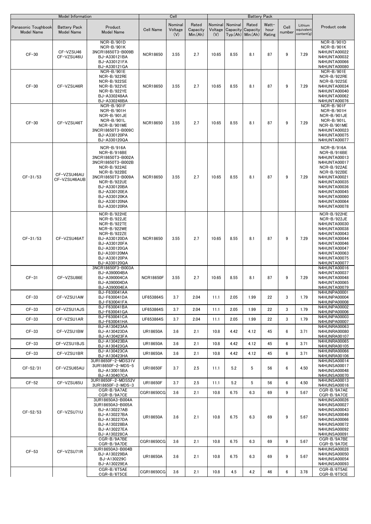|                                          | <b>Model Information</b>                 |                                                                                                                                                                                                                       |                  | Cell                      |                               |                           |                                                        | <b>Battery Pack</b> |                         |                |                                     |                                                                                                                                                                                                                         |
|------------------------------------------|------------------------------------------|-----------------------------------------------------------------------------------------------------------------------------------------------------------------------------------------------------------------------|------------------|---------------------------|-------------------------------|---------------------------|--------------------------------------------------------|---------------------|-------------------------|----------------|-------------------------------------|-------------------------------------------------------------------------------------------------------------------------------------------------------------------------------------------------------------------------|
| Panasonic Toughbook<br><b>Model Name</b> | <b>Battery Pack</b><br><b>Model Name</b> | Product<br><b>Model Name</b>                                                                                                                                                                                          | <b>Cell Name</b> | Nominal<br>Voltage<br>(V) | Rated<br>Capacity<br>Min.(Ah) | Nominal<br>Voltage<br>(V) | Nominal<br>Capacity Capacity<br>$Tvo.(Ah)$ Min. $(Ah)$ | Rated               | Watt-<br>hour<br>Rating | Cell<br>number | Lithium<br>equivalent<br>content(g) | Product code                                                                                                                                                                                                            |
| $CF-30$                                  | CF-VZSU46<br>CF-VZSU46U                  | NCR-B/901D<br>NCR-B/901K<br>3NCR18650T3-B009B<br>BJ-A330121BA<br>BJ-A330121FA<br>BJ-A330121GA                                                                                                                         | <b>NCR18650</b>  | 3.55                      | 2.7                           | 10.65                     | 8.55                                                   | 8.1                 | 87                      | 9              | 7.29                                | NCR-B/901D<br>NCR-B/901K<br>N4HUNTA00022<br>N4HUNTA00032<br>N4HUNTA00066<br>N4HUNTA00080                                                                                                                                |
| $CF-30$                                  | CF-VZSU46R                               | NCR-B/901E<br>NCR-B/922RE<br>NCR-B/922SE<br>NCR-B/922VE<br>NCR-B/922YE<br>BJ-A330248AA<br>BJ-A330248BA                                                                                                                | <b>NCR18650</b>  | 3.55                      | 2.7                           | 10.65                     | 8.55                                                   | 8.1                 | 87                      | 9              | 7.29                                | NCR-B/901E<br>NCR-B/922RE<br>NCR-B/922SE<br>N4HUNTA00034<br>N4HUNTA00040<br>N4HUNTA00062<br>N4HUNTA00076                                                                                                                |
| $CF-30$                                  | CF-VZSU46T                               | <b>NCR-B/901F</b><br>NCR-B/901H<br>NCR-B/901JE<br>NCR-B/901L<br>NCR-B/901ME<br>3NCR18650T3-B009C<br>BJ-A330120PA<br>BJ-A330120QA                                                                                      | <b>NCR18650</b>  | 3.55                      | 2.7                           | 10.65                     | 8.55                                                   | 8.1                 | 87                      | 9              | 7.29                                | NCR-B/901F<br>NCR-B/901H<br>NCR-B/901JE<br>NCR-B/901L<br>NCR-B/901ME<br>N4HUNTA00023<br>N4HUNTA00075<br>N4HUNTA00077                                                                                                    |
| $CF-31/53$                               | CF-VZSU46AU<br>CF-VZSU46AUB              | NCR-B/916A<br>NCR-B/916BE<br>3NCR18650T3-B002A<br>3NCR18650T3-B002B<br>NCR-B/922AE<br>NCR-B/922BE<br>3NCR18650T3-B009A<br>NCR-B/922UE<br>BJ-A330120BA<br>BJ-A330120EA<br>BJ-A330120KA<br>BJ-A330120NA<br>BJ-A330120RA | <b>NCR18650</b>  | 3.55                      | 2.7                           | 10.65                     | 8.55                                                   | 8.1                 | 87                      | 9              | 7.29                                | $NCR-B/916A$<br>NCR-B/916BE<br><b>N4HUNTA00013</b><br><b>N4HUNTA00017</b><br>NCR-B/922AE<br>NCR-B/922BE<br>N4HUNTA00021<br>N4HUNTA00035<br>N4HUNTA00036<br>N4HUNTA00045<br>N4HUNTA00060<br>N4HUNTA00064<br>N4HUNTA00078 |
| $CF-31/53$                               | CF-VZSU46AT                              | NCR-B/922HE<br>NCR-B/922JE<br>NCR-B/922TE<br>NCR-B/922WE<br>NCR-B/922ZE<br>BJ-A330120DA<br>BJ-A330120FA<br>BJ-A330120GA<br>BJ-A330120MA<br>BJ-A330120PA<br>BJ-A330120QA                                               | <b>NCR18650</b>  | 3.55                      | 2.7                           | 10.65                     | 8.55                                                   | 8.1                 | 87                      | 9              | 7.29                                | NCR-B/922HE<br>NCR-B/922JE<br>N4HUNTA00030<br>N4HUNTA00038<br>N4HUNTA00043<br>N4HUNTA00044<br>N4HUNTA00046<br>N4HUNTA00047<br>N4HUNTA00063<br>N4HUNTA00075<br>N4HUNTA00077                                              |
| $CF-31$                                  | CF-VZSU86E                               | 3NCR18650F3-B003A<br>BJ-A390004BA<br>BJ-A390004CA<br>BJ-A390004DA<br>BJ-A390004EA                                                                                                                                     | <b>NCR18650F</b> | 3.55                      | 2.7                           | 10.65                     | 8.55                                                   | 8.1                 | 87                      | 9              | 7.29                                | N4HUNTA00016<br><b>N4HUNTA00037</b><br>N4HUNTA00048<br>N4HUNTA00065<br>N4HUNTA00079                                                                                                                                     |
| $CF-33$                                  | CF-VZSU1AW                               | BJ-F630041AA<br>BJ-F630041DA<br>BJ-F630041FA                                                                                                                                                                          | UF653864S        | 3.7                       | 2.04                          | 11.1                      | 2.05                                                   | 1.99                | 22                      | 3              | 1.79                                | N4HUNPA00001<br>N4HUNPA00004<br><b>N4HUNPA00008</b>                                                                                                                                                                     |
| $CF-33$                                  | CF-VZSU1AJS                              | BJ-F630041BA<br>BJ-F630041GA                                                                                                                                                                                          | UF653864S        | 3.7                       | 2.04                          | 11.1                      | 2.05                                                   | 1.99                | 22                      | 3              | 1.79                                | N4HUNPA00002<br><b>N4HUNPA00006</b>                                                                                                                                                                                     |
| $CF-33$                                  | CF-VZSU1AR                               | BJ-F630041CA<br>BJ-F630041HA                                                                                                                                                                                          | UF653864S        | 3.7                       | 2.04                          | 11.1                      | 2.05                                                   | 1.99                | 22                      | 3              | 1.79                                | <b>N4HUNPA00003</b><br><b>N4HUNPA00007</b>                                                                                                                                                                              |
| $CF-33$                                  | CF-VZSU1BW                               | BJ-A130423AA<br>BJ-A130423DA<br>BJ-A130423FA                                                                                                                                                                          | <b>UR18650A</b>  | 3.6                       | 2.1                           | 10.8                      | 4.42                                                   | 4.12                | 45                      | 6              | 3.71                                | <b>N4HUNRA00063</b><br>N4HUNRA00080<br>N4HUNRA00107                                                                                                                                                                     |
| $CF-33$                                  | CF-VZSU1BJS                              | BJ-A130423BA<br>BJ-A130423GA                                                                                                                                                                                          | <b>UR18650A</b>  | 3.6                       | 2.1                           | 10.8                      | 4.42                                                   | 4.12                | 45                      | 6              | 3.71                                | N4HUNRA00065<br>N4HUNRA00105                                                                                                                                                                                            |
| $CF-33$                                  | CF-VZSU1BR                               | BJ-A130423CA<br>BJ-A130423HA                                                                                                                                                                                          | <b>UR18650A</b>  | 3.6                       | 2.1                           | 10.8                      | 4.42                                                   | 4.12                | 45                      | 6              | 3.71                                | N4HUNRA00066<br>N4HUNRA00106                                                                                                                                                                                            |
| $CF-52/31$                               | CF-VZSU65AU                              | 3UR18650F-2-MDS31V<br>3UR18650F-2-MDS-5<br>BJ-A130015BA<br>BJ-A130407CA                                                                                                                                               | UR18650F         | 3.7                       | 2.5                           | 11.1                      | 5.2                                                    | 5                   | 56                      | 6              | 4.50                                | N4HUNSA00014<br><b>N4HUNSA00017</b><br>N4HUNSA00048<br>N4HUNSA00070                                                                                                                                                     |
| $CF-52$                                  | CF-VZSU65U                               | 3UR18650F-2-MDS52V<br>3UR18650F-2-MDS-3                                                                                                                                                                               | <b>UR18650F</b>  | 3.7                       | 2.5                           | 11.1                      | 5.2                                                    | 5                   | 56                      | 6              | 4.50                                | N4HUNSA00013<br>N4HUNSA00016                                                                                                                                                                                            |
|                                          |                                          | CGR-B/9A7AE<br>CGR-B/9A7CE                                                                                                                                                                                            | CGR18650CG       | 3.6                       | 2.1                           | 10.8                      | 6.75                                                   | 6.3                 | 69                      | 9              | 5.67                                | CGR-B/9A7AE<br>CGR-B/9A7CE                                                                                                                                                                                              |
| $CF-52/53$                               | CF-VZSU71U                               | 3UR18650A3-B004A<br>3UR18650A3-B005A<br>BJ-A130227AB<br>BJ-A130227BA<br>BJ-A130227DA<br>BJ-A130228BA<br>BJ-A130227EA<br>BJ-A130228CA                                                                                  | <b>UR18650A</b>  | 3.6                       | 2.1                           | 10.8                      | 6.75                                                   | 6.3                 | 69                      | 9              | 5.67                                | N4HUNSA00026<br>N4HUNSA00027<br>N4HUNSA00043<br>N4HUNSA00049<br>N4HUNSA00066<br>N4HUNSA00072<br>N4HUNSA00092<br>N4HUNSA00091                                                                                            |
|                                          |                                          | CGR-B/9A7BE<br>CGR-B/9A7DE                                                                                                                                                                                            | CGR18650CG       | 3.6                       | 2.1                           | 10.8                      | 6.75                                                   | 6.3                 | 69                      | 9              | 5.67                                | CGR-B/9A7BE<br>CGR-B/9A7DE                                                                                                                                                                                              |
| $CF-53$                                  | CF-VZSU71R                               | 3UR18650A3-B004B<br>BJ-A130229BA<br>BJ-A130229C<br>BJ-A130229EA                                                                                                                                                       | <b>UR18650A</b>  | 3.6                       | 2.1                           | 10.8                      | 6.75                                                   | 6.3                 | 69                      | 9              | 5.67                                | N4HUNSA00028<br><b>N4HUNSA00050</b><br>N4HUNSA00054<br>N4HUNSA00093                                                                                                                                                     |
|                                          |                                          | CGR-B/6T5AE<br>CGR-B/6T5CE                                                                                                                                                                                            | CGR18650CG       | 3.6                       | 2.1                           | 10.8                      | 4.5                                                    | 4.2                 | 46                      | 6              | 3.78                                | CGR-B/6T5AE<br>CGR-B/6T5CE                                                                                                                                                                                              |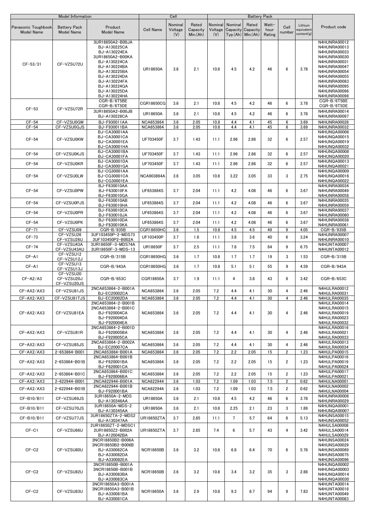|                                          | Model Information                        |                                                                                                                                                                                                      |                                      | Cell                      |                               |                |                             | <b>Battery Pack</b>                         |                         |                |                                     |                                                                                                                                                                                              |
|------------------------------------------|------------------------------------------|------------------------------------------------------------------------------------------------------------------------------------------------------------------------------------------------------|--------------------------------------|---------------------------|-------------------------------|----------------|-----------------------------|---------------------------------------------|-------------------------|----------------|-------------------------------------|----------------------------------------------------------------------------------------------------------------------------------------------------------------------------------------------|
| Panasonic Toughbook<br><b>Model Name</b> | <b>Battery Pack</b><br><b>Model Name</b> | Product<br><b>Model Name</b>                                                                                                                                                                         | <b>Cell Name</b>                     | Nominal<br>Voltage<br>(V) | Rated<br>Capacity<br>Min.(Ah) | Nominal<br>(V) | Nominal<br>Voltage Capacity | Rated<br>Capacity<br>$Typ.(Ah)$ Min. $(Ah)$ | Watt-<br>hour<br>Rating | Cell<br>number | Lithium<br>equivalent<br>content(g) | Product code                                                                                                                                                                                 |
| $CF-53/31$                               | CF-VZSU72U                               | 3UR18650A2-B00JA<br>BJ-A130225CA<br>BJ-A130224EA<br>3UR18650A2-B00KA<br>BJ-A130224CA<br>BJ-A130224BA<br>BJ-A130225BA<br>BJ-A130224DA<br>BJ-A130224FA<br>BJ-A130224GA<br>BJ-A130225DA<br>BJ-A130224HA | <b>UR18650A</b>                      | 3.6                       | 2.1                           | 10.8           | 4.5                         | 4.2                                         | 46                      | 6              | 3.78                                | N4HUNRA00012<br>N4HUNRA00013<br>N4HUNRA00033<br>N4HUNRA00030<br>N4HUNRA00031<br>N4HUNRA00047<br>N4HUNRA00054<br>N4HUNRA00055<br>N4HUNRA00083<br>N4HUNRA00095<br>N4HUNRA00096<br>N4HUNRA00098 |
| $CF-53$                                  | CF-VZSU72R                               | CGR-B/6T5BE<br>CGR-B/6T5DE<br>3UR18650A2-B00JB<br>BJ-A130226CA                                                                                                                                       | CGR18650CG<br><b>UR18650A</b>        | 3.6<br>3.6                | 2.1<br>2.1                    | 10.8<br>10.8   | 4.5<br>4.5                  | 4.2<br>4.2                                  | 46<br>46                | 6<br>6         | 3.78<br>3.78                        | CGR-B/6T5BE<br>CGR-B/6T5DE<br>N4HUNRA00014<br>N4HUNRA00097                                                                                                                                   |
| $CF-54$<br>$CF-54$                       | CF-VZSU0GW<br>CF-VZSU0GJS                | BJ-F930011AA<br>BJ-F930011BA                                                                                                                                                                         | <b>NCA653864</b><br><b>NCA653864</b> | 3.6<br>3.6                | 2.05<br>2.05                  | 10.8<br>10.8   | 4.4<br>4.4                  | 4.1<br>4.1                                  | 45<br>45                | 6<br>6         | 3.69<br>3.69                        | N4HUNRA00028<br>N4HUNRA00032                                                                                                                                                                 |
| $CF-54$                                  | CF-VZSU0KW                               | BJ-CA30001AA<br>BJ-CA30001CA<br><b>BJ-CA30001EA</b><br><b>BJ-CA30001HA</b>                                                                                                                           | UF703450F                            | 3.7                       | 1.43                          | 11.1           | 2.96                        | 2.86                                        | 32                      | 6              | 2.57                                | <b>N4HUNQA00006</b><br>N4HUNQA00015<br>N4HUNQA00019<br>N4HUNQA00032                                                                                                                          |
| $CF-54$                                  | CF-VZSU0KJS                              | BJ-CA30001BA<br>BJ-CA30001FA                                                                                                                                                                         | UF703450F                            | 3.7                       | 1.43                          | 11.1           | 2.96                        | 2.86                                        | 32                      | 6              | 2.57                                | <b>N4HUNQA00008</b><br><b>N4HUNQA00020</b>                                                                                                                                                   |
| $CF-54$                                  | CF-VZSU0KR                               | BJ-CA30001DA<br>BJ-CA30001GA                                                                                                                                                                         | UF703450F                            | 3.7                       | 1.43                          | 11.1           | 2.96                        | 2.86                                        | 32                      | 6              | 2.57                                | N4HUNQA00013<br>N4HUNQA00021                                                                                                                                                                 |
| $CF-54$                                  | CF-VZSU0LW                               | BJ-CG30001AA<br>BJ-CG30001CA<br><b>BJ-CG30001EA</b>                                                                                                                                                  | <b>NCA903864A</b>                    | 3.6                       | 3.05                          | 10.8           | 3.22                        | 3.05                                        | 33                      | 3              | 2.75                                | <b>N4HUNQA00009</b><br>N4HUNQA00016<br><b>N4HUNQA00022</b>                                                                                                                                   |
| $CF-54$                                  | CF-VZSU0PW                               | BJ-F630010AA<br>BJ-F630010FA<br>BJ-F630010GA                                                                                                                                                         | UF653864S                            | 3.7                       | 2.04                          | 11.1           | 4.2                         | 4.08                                        | 46                      | 6              | 3.67                                | N4HUNRA00034<br>N4HUNRA00049<br>N4HUNRA00058                                                                                                                                                 |
| $CF-54$                                  | CF-VZSU0PJS                              | BJ-F630010AB<br>BJ-F630010HA                                                                                                                                                                         | UF653864S                            | 3.7                       | 2.04                          | 11.1           | 4.2                         | 4.08                                        | 46                      | 6              | 3.67                                | N4HUNRA00035<br>N4HUNRA00059                                                                                                                                                                 |
| $CF-54$                                  | CF-VZSU0PR                               | BJ-F630010CA<br>BJ-F630010JA                                                                                                                                                                         | UF653864S                            | 3.7                       | 2.04                          | 11.1           | 4.2                         | 4.08                                        | 46                      | 6              | 3.67                                | N4HUNRA00037<br>N4HUNRA00060                                                                                                                                                                 |
| $CF-54$                                  | CF-VZSU0PK                               | BJ-F630010DA<br>BJ-F630010KA                                                                                                                                                                         | UF653864S                            | 3.7                       | 2.04                          | 11.1           | 4.2                         | 4.08                                        | 46                      | 6              | 3.67                                | N4HUNRA00038<br>N4HUNRA00061                                                                                                                                                                 |
| $CF-71$                                  | CF-VZSU09<br>CF-VZSU26                   | CGR-B/935B<br>3UF103450P-2-MDS73                                                                                                                                                                     | CGR18650HC                           | 3.6                       | 1.5                           | 10.8           | 4.5                         | 4.5                                         | 49                      | 9              | 4.05                                | CGR-B/935B<br>N4HUNRA00007                                                                                                                                                                   |
| $CF-73$                                  | CF-VZSU26U                               | 3UF103450P2-B002A                                                                                                                                                                                    | UF103450P                            | 3.7                       | 1.8                           | 11.1           | 3.8                         | 3.6                                         | 40                      | 6              | 3.24                                | N4HUNRA00010                                                                                                                                                                                 |
| $CF-74$                                  | CF-VZSU43A<br>CF-VZSU43AU                | 3UR18650F-3-MDS74A<br>3UR18650F-3-MDS-13                                                                                                                                                             | <b>UR18650F</b>                      | 3.7                       | 2.5                           | 11.1           | 7.8                         | 7.5                                         | 84                      | 9              | 6.75                                | N4HUNTA00007<br>N4HUNTA00012                                                                                                                                                                 |
| $CF-A1$                                  | CF-VZSU12<br>CF-VZSU12J                  | CGR-B/315B                                                                                                                                                                                           | CGR18650HG                           | 3.6                       | 1.7                           | 10.8           | 1.7                         | 1.7                                         | 19                      | 3              | 1.53                                | $CGR-B/315B$                                                                                                                                                                                 |
| $CF - A1$                                | CF-VZSU13<br>CF-VZSU13J                  | CGR-B/943A                                                                                                                                                                                           | CGR18650HG                           | 3.6                       | 1.7                           | 10.8           | 5.1                         | 5.1                                         | 55                      | 9              | 4.59                                | CGR-B/943A                                                                                                                                                                                   |
| $CF-A2/A3$                               | CF-VZSU20<br>CF-VZSU20J<br>CF-VZSU20JS   | CGR-B/653C                                                                                                                                                                                           | CGR18650A                            | 3.7                       | 1.9                           | 11.1           | 4                           | 3.8                                         | 43                      | 6              | 3.42                                | CGR-B/653C                                                                                                                                                                                   |
| CF-AX2/AX3                               | CF-VZSU81JS                              | 2NCA653864-2-B001A<br><b>BJ-EC20002CA</b>                                                                                                                                                            | <b>NCA653864</b>                     | 3.6                       | 2.05                          | 7.2            | 4.4                         | 4.1                                         | 30                      | 4              | 2.46                                | N4HULRA00012<br>N4HULRA00031                                                                                                                                                                 |
| CF-AX2/AX3                               | CF-VZSU81TJS                             | BJ-EC20002DA                                                                                                                                                                                         | NCA653864                            | 3.6                       | 2.05                          | 7.2            | 4.4                         | 4.1                                         | 30                      | 4              | 2.46                                | N4HULRA00035                                                                                                                                                                                 |
| CF-AX2/AX3                               | CF-VZSU81EA                              | 2NCA653864-2-B001B<br>2NCA653864-2-B001C<br>BJ-F920004CA<br>BJ-F920004DA<br>BJ-F920004EA                                                                                                             | <b>NCA653864</b>                     | 3.6                       | 2.05                          | 7.2            | 4.4                         | 4.1                                         | 30                      | 4              | 2.46                                | N4HULRA00014<br>N4HULRA00015<br>N4HULRA00019<br>N4HULRA00023<br>N4HULRA00032                                                                                                                 |
| CF-AX2/AX3                               | CF-VZSU81R                               | 2NCA653864-2-B001D<br>BJ-F920005BA<br>BJ-F920005CA                                                                                                                                                   | <b>NCA653864</b>                     | 3.6                       | 2.05                          | 7.2            | 4.4                         | 4.1                                         | 30                      | 4              | 2.46                                | N4HULRA00016<br>N4HULRA00021<br>N4HULRA00033                                                                                                                                                 |
| CF-AX2/AX3                               | CF-VZSU85JS                              | 2NCA653864-2-B002A<br><b>BJ-EC20007CA</b>                                                                                                                                                            | <b>NCA653864</b>                     | 3.6                       | 2.05                          | 7.2            | 4.4                         | 4.1                                         | 30                      | 4              | 2.46                                | N4HULRA00013<br>N4HULRA00034                                                                                                                                                                 |
| CF-AX2/AX3                               | 2-653864-B001                            | 2NCA653864-B001A<br>2NCA653864-B001B                                                                                                                                                                 | NCA653864                            | 3.6                       | 2.05                          | 7.2            | 2.2                         | 2.05                                        | 15                      | $\overline{2}$ | 1.23                                | N4HULPA00015<br>N4HULPA00016                                                                                                                                                                 |
| CF-AX2/AX3                               | 2-653864-B01B                            | BJ-F620001BA<br>BJ-F620001CA                                                                                                                                                                         | <b>NCA653864</b>                     | 3.6                       | 2.05                          | 7.2            | 2.2                         | 2.05                                        | 15                      | $\overline{2}$ | 1.23                                | N4HULPA00019<br>N4HULPA00024                                                                                                                                                                 |
| CF-AX2/AX3                               | 2-653864-B01C                            | 2NCA653864-B001C<br>BJ-F920006BA                                                                                                                                                                     | <b>NCA653864</b>                     | 3.6                       | 2.05                          | 7.2            | 2.2                         | 2.05                                        | 15                      | $\overline{2}$ | 1.23                                | N4HULPA00017<br>N4HULPA00021                                                                                                                                                                 |
| CF-AX2/AX3                               | 2-622944-B001                            | 2NCA622944-B001A<br>2NCA622944-B001B                                                                                                                                                                 | <b>NCA622944</b>                     | 3.6                       | 1.03                          | 7.2            | 1.09                        | 1.03                                        | 7.5                     | $\overline{2}$ | 0.62                                | N4HULNA00001<br>N4HULNA00002                                                                                                                                                                 |
| CF-AX2/AX3                               | 2-622944-B01B                            | BJ-F920001BA                                                                                                                                                                                         | <b>NCA622944</b>                     | 3.6                       | 1.03                          | 7.2            | 1.09                        | 1.03                                        | 7.5                     | 2              | 0.62                                | N4HULNA00004                                                                                                                                                                                 |
| CF-B10/B11                               | CF-VZSU69JS                              | 3UR18650A-2-MDS<br>BJ-A130346AA                                                                                                                                                                      | <b>UR18650A</b>                      | 3.6                       | 2.1                           | 10.8           | 4.5                         | 4.2                                         | 46                      | 6              | 3.78                                | N4HUNRA00008<br>N4HUNRA00029                                                                                                                                                                 |
| CF-B10/B11                               | CF-VZSU70JS                              | 3UR18650A-MDS-2<br>BJ-A130345AA                                                                                                                                                                      | <b>UR18650A</b>                      | 3.6                       | 2.1                           | 10.8           | 2.25                        | 2.1                                         | 23                      | 3              | 1.89                                | N4HUNQA00001<br><b>N4HUNQA00007</b>                                                                                                                                                          |
| CF-B10/B11                               | CF-VZSU77JS                              | 3UR18650ZTA-2-MDS2<br>BJ-A130347AA                                                                                                                                                                   | UR18650ZTA                           | 3.7                       | 2.85                          | 11.1           | $7\overline{ }$             | 5.7                                         | 64                      | 6              | 5.13                                | <b>N4HUNSA00015</b><br><b>N4HUNSA00052</b>                                                                                                                                                   |
| $CF-C1$                                  | CF-VZSU66U                               | 2UR18650ZT-2-MDSC1<br>2UR18650Z2-B002A<br>BJ-A120042BA                                                                                                                                               | UR18650ZTA                           | 3.7                       | 2.85                          | 7.4            | 6                           | 5.7                                         | 43                      | 4              | 3.42                                | N4HULSA00008<br>N4HULSA00014<br>N4HULSA00029                                                                                                                                                 |
| $CF-C2$                                  | CF-VZSU80U                               | 3NCR18650B2-B006A<br>3NCR18650B2-B006B<br>BJ-A330082CA<br>BJ-A330082DA<br>BJ-A330082EA                                                                                                               | <b>NCR18650B</b>                     | 3.6                       | 3.2                           | 10.8           | 6.8                         | 6.4                                         | 70                      | 6              | 5.76                                | N4HUNSA00024<br>N4HUNSA00029<br>N4HUNSA00069<br><b>N4HUNSA00075</b><br>N4HUNSA00096                                                                                                          |
| $CF-C2$                                  | CF-VZSU82U                               | 3NCR18650B-B001A<br>3NCR18650B-B001B<br>BJ-A330083BA<br>BJ-A330083CA                                                                                                                                 | <b>NCR18650B</b>                     | 3.6                       | 3.2                           | 10.8           | 3.4                         | 3.2                                         | 35                      | 3              | 2.88                                | <b>N4HUNQA00002</b><br><b>N4HUNQA00003</b><br>N4HUNQA00014<br>N4HUNQA00030                                                                                                                   |
| $CF-C2$                                  | CF-VZSU83U                               | 3NCR18650A3-B001A<br>3NCR18650A3-B001B<br>BJ-A330081BA<br>BJ-A330081CA                                                                                                                               | <b>NCR18650A</b>                     | 3.6                       | 2.9                           | 10.8           | 9.3                         | 8.7                                         | 94                      | 9              | 7.83                                | N4HUNTA00014<br>N4HUNTA00018<br>N4HUNTA00049<br>N4HUNTA00083                                                                                                                                 |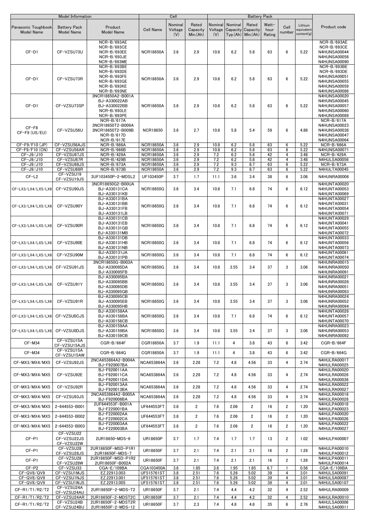|                                          | Model Information                        |                                                                                               |                                      | Cell                      |                               |                           |            | <b>Battery Pack</b>                                 |                         |                     |                                     |                                                                                                                 |
|------------------------------------------|------------------------------------------|-----------------------------------------------------------------------------------------------|--------------------------------------|---------------------------|-------------------------------|---------------------------|------------|-----------------------------------------------------|-------------------------|---------------------|-------------------------------------|-----------------------------------------------------------------------------------------------------------------|
| Panasonic Toughbook<br><b>Model Name</b> | <b>Battery Pack</b><br><b>Model Name</b> | Product<br><b>Model Name</b>                                                                  | <b>Cell Name</b>                     | Nominal<br>Voltage<br>(V) | Rated<br>Capacity<br>Min.(Ah) | Nominal<br>Voltage<br>(V) | Nominal    | Rated<br>Capacity Capacity<br>$Typ(Ah)$ Min. $(Ah)$ | Watt-<br>hour<br>Rating | Cell<br>number      | Lithium<br>squivalent<br>content(g) | Product code                                                                                                    |
| $CF-D1$                                  | CF-VZSU73U                               | NCR-B/693AE<br>NCR-B/693CE<br>NCR-B/693EE<br>NCR-B/693JE<br>NCR-B/693ME                       | <b>NCR18650A</b>                     | 3.6                       | 2.9                           | 10.8                      | 6.2        | 5.8                                                 | 63                      | 6                   | 5.22                                | NCR-B/693AE<br>NCR-B/693CE<br>N4HUNSA00044<br><b>N4HUNSA00058</b><br>N4HUNSA00090                               |
| CF-D1                                    | CF-VZSU73R                               | NCR-B/693BE<br>NCR-B/693DE<br>NCR-B/693FE<br><b>NCR-B/693GE</b><br>NCR-B/693KE<br>NCR-B/693NE | <b>NCR18650A</b>                     | 3.6                       | 2.9                           | 10.8                      | 6.2        | 5.8                                                 | 63                      | 6                   | 5.22                                | NCR-B/693BE<br>NCR-B/693DE<br>N4HUNSA00051<br><b>N4HUNSA00055</b><br><b>N4HUNSA00059</b><br><b>N4HUNSA00088</b> |
| $CF-D1$                                  | CF-VZSU73SP                              | 3NCR18650A2-B001A<br>BJ-A330022AB<br>BJ-A330022BB<br>NCR-B/693LE<br>NCR-B/693PE               | <b>NCR18650A</b>                     | 3.6                       | 2.9                           | 10.8                      | 6.2        | 5.8                                                 | 63                      | 6                   | 5.22                                | N4HUNSA00020<br>N4HUNSA00045<br><b>N4HUNSA00057</b><br>N4HUNSA00060<br>N4HUNSA00089                             |
| $CF-F8$<br>CF-F9 (US/EU)                 | CF-VZSU56U                               | NCR-B/617A<br>3NCR18650T2-B009A<br>3NCR18650T2-B009B<br>NCR-B/617D<br>NCR-B/617E              | <b>NCR18650</b>                      | 3.6                       | 2.7                           | 10.8                      | 5.8        | 5.4                                                 | 59                      | 6                   | 4.86                                | NCR-B/617A<br><b>N4HUNSA00023</b><br>N4HUNSA00038<br>N4HUNSA00047<br>N4HUNSA00064                               |
| CF-F9/F10 (JP)                           | CF-VZSU56AJS                             | $NCR-B/666A$                                                                                  | <b>NCR18650A</b>                     | 3.6                       | 2.9                           | 10.8                      | 6.2        | 5.8                                                 | 63                      | 6                   | 5.22                                | $NCR-B/666A$                                                                                                    |
| CF-F9/F10 (CN)                           | CF-VZSU56AR                              | NCR-B/666B                                                                                    | <b>NCR18650A</b>                     | 3.6                       | 2.9                           | 10.8                      | 6.2        | 5.8                                                 | 63                      | 6                   | 5.22                                | N4HUNSA00071                                                                                                    |
| CF-J9/J10                                | CF-VZSU67JS                              | NCR-B/429A                                                                                    | <b>NCR18650A</b>                     | 3.6                       | 2.9                           | 7.2                       | 6.2        | 5.8                                                 | 42                      | $\overline{4}$      | 3.48                                | NCR-B/429A                                                                                                      |
| CF-J9/J10<br>CF-J9/J10                   | CF-VZSU67R<br>CF-VZSU68JS                | <b>NCR-B/429B</b><br>NCR-B/673A                                                               | <b>NCR18650A</b><br><b>NCR18650A</b> | 3.6<br>3.6                | 2.9<br>2.9                    | 7.2<br>7.2                | 6.2<br>9.3 | 5.8<br>8.7                                          | 42<br>63                | $\overline{4}$<br>6 | 3.48<br>5.22                        | N4HULSA00056<br>NCR-B/673A                                                                                      |
| CF-J9/J10                                | CF-VZSU68R                               | NCR-B/673B                                                                                    | <b>NCR18650A</b>                     | 3.6                       | 2.9                           | 7.2                       | 9.3        | 8.7                                                 | 63                      | 6                   | 5.22                                | N4HULTA00045                                                                                                    |
| $CF-L2$                                  | CF-VZSU19<br>CF-VZSU19JS                 | 3UF103450P-2-MDSL2                                                                            | UF103450P                            | 3.7                       | 1.7                           | 11.1                      | 3.6        | 3.4                                                 | 38                      | 6                   | 3.06                                | N4HUNRA00006                                                                                                    |
| CF-LX3/LX4/LX5/LX6                       | CF-VZSU90JS                              | 3NCR18650G2-B00UA<br>BJ-A330131CA<br>BJ-A330131KB                                             | <b>NCR18650G</b>                     | 3.6                       | 3.4                           | 10.8                      | 7.1        | 6.8                                                 | 74                      | 6                   | 6.12                                | N4HUNTA00020<br>N4HUNTA00053<br>N4HUNTA00069                                                                    |
| CF-LX3/LX4/LX5/LX6                       | CF-VZSU90Y                               | BJ-A330131BA<br>BJ-A330131BB<br>BJ-A330131FB<br>BJ-A330131LB                                  | <b>NCR18650G</b>                     | 3.6                       | 3.4                           | 10.8                      | 7.1        | 6.8                                                 | 74                      | 6                   | 6.12                                | N4HUNTA00027<br>N4HUNTA00031<br>N4HUNTA00054<br>N4HUNTA00071                                                    |
| CF-LX3/LX4/LX5/LX6                       | CF-VZSU90R                               | BJ-A330131CB<br>BJ-A330131EB<br>BJ-A330131GB<br>BJ-A330131MB                                  | <b>NCR18650G</b>                     | 3.6                       | 3.4                           | 10.8                      | 7.1        | 6.8                                                 | 74                      | 6                   | 6.12                                | N4HUNTA00029<br>N4HUNTA00041<br>N4HUNTA00055<br>N4HUNTA00072                                                    |
| CF-LX3/LX4/LX5/LX6                       | CF-VZSU90E                               | BJ-A330131DB<br>BJ-A330131HB<br>BJ-A330131NB                                                  | <b>NCR18650G</b>                     | 3.6                       | 3.4                           | 10.8                      | 7.1        | 6.8                                                 | 74                      | 6                   | 6.12                                | N4HUNTA00033<br>N4HUNTA00056<br>N4HUNTA00073                                                                    |
| CF-LX3/LX4/LX5/LX6                       | CF-VZSU90M                               | BJ-A330131JA<br>BJ-A330131PB                                                                  | <b>NCR18650G</b>                     | 3.6                       | 3.4                           | 10.8                      | 7.1        | 6.8                                                 | 74                      | 6                   | 6.12                                | N4HUNTA00061<br>N4HUNTA00074                                                                                    |
| CF-LX3/LX4/LX5/LX6                       | CF-VZSU91JS                              | 3NCR18650G-B003A<br>BJ-A330095DA<br>BJ-A330095FB                                              | <b>NCR18650G</b>                     | 3.6                       | 3.4                           | 10.8                      | 3.55       | 3.4                                                 | 37                      | 3                   | 3.06                                | N4HUNRA00015<br>N4HUNRA00050<br>N4HUNRA00091                                                                    |
| CF-LX3/LX4/LX5/LX6                       | CF-VZSU91Y                               | BJ-A330095BA<br>BJ-A330095BB<br>BJ-A330095DB<br>BJ-A330095GB                                  | <b>NCR18650G</b>                     | 3.6                       | 3.4                           | 10.8                      | 3.55       | 3.4                                                 | 37                      | 3                   | 3.06                                | N4HUNRA00021<br>N4HUNRA00026<br>N4HUNRA00051<br>N4HUNRA00093                                                    |
| CF-LX3/LX4/LX5/LX6                       | CF-VZSU91R                               | BJ-A330095CB<br>BJ-A330095EB<br>BJ-A330095HB                                                  | <b>NCR18650G</b>                     | 3.6                       | 3.4                           | 10.8                      | 3.55       | 3.4                                                 | 37                      | 3                   | 3.06                                | N4HUNRA00024<br>N4HUNRA00052<br>N4HUNRA00094                                                                    |
| CF-LX3/LX4/LX5/LX6                       | CF-VZSU0CJS                              | BJ-A330158AA<br>BJ-A330158BA<br>BJ-A330158CB                                                  | <b>NCR18650G</b>                     | 3.6                       | 3.4                           | 10.8                      | 7.1        | 6.8                                                 | 74                      | 6                   | 6.12                                | N4HUNTA00028<br>N4HUNTA00057<br>N4HUNTA00070                                                                    |
| CF-LX3/LX4/LX5/LX6                       | CF-VZSU0DJS                              | BJ-A330159AA<br>BJ-A330159BA<br>BJ-A330159CB                                                  | <b>NCR18650G</b>                     | 3.6                       | 3.4                           | 10.8                      | 3.55       | 3.4                                                 | 37                      | 3                   | 3.06                                | <b>N4HUNRA00023</b><br><b>N4HUNRA00053</b><br>N4HUNRA00092                                                      |
| CF-M34                                   | CF-VZSU15A<br>CF-VZSU15AJS               | CGR-B/664F                                                                                    | CGR18650A                            | 3.7                       | 1.9                           | 11.1                      | 4          | 3.8                                                 | 43                      | 6                   | 3.42                                | CGR-B/664F                                                                                                      |
| CF-M34                                   | CF-VZSU15A<br>CF-VZSU15AW                | CGR-B/664G                                                                                    | CGR18650A                            | 3.7                       | 1.9                           | 11.1                      | 4          | 3.8                                                 | 43                      | 6                   | 3.42                                | CGR-B/664G                                                                                                      |
| CF-MX3/MX4/MX5                           | CF-VZSU92JS                              | 2NCA653864A2-B004A<br>BJ-F920007BA                                                            | NCA653864A                           | 3.6                       | 2.28                          | 7.2                       | 4.8        | 4.56                                                | 33                      | 4                   | 2.74                                | N4HULRA00017<br>N4HULRA00025                                                                                    |
| CF-MX3/MX4/MX5                           | CF-VZSU92E                               | BJ-F920011AA<br>BJ-F920011CA<br>BJ-F920011DA                                                  | <b>NCA653864A</b>                    | 3.6                       | 2.28                          | 7.2                       | 4.8        | 4.56                                                | 33                      | 4                   | 2.74                                | N4HULRA00020<br>N4HULRA00026<br>N4HULRA00036                                                                    |
| CF-MX3/MX4/MX5                           | CF-VZSU92R                               | BJ-F920013AA<br>BJ-F920013BA                                                                  | <b>NCA653864A</b>                    | 3.6                       | 2.28                          | 7.2                       | 4.8        | 4.56                                                | 33                      | $\overline{4}$      | 2.74                                | N4HULRA00022<br>N4HULRA00027                                                                                    |
| CF-MX3/MX4/MX5                           | CF-VZSU93JS                              | 2NCA653864A2-B005A                                                                            | NCA653864A                           | 3.6                       | 2.28                          | 7.2                       | 4.8        | 4.56                                                | 33                      | $\overline{4}$      | 2.74                                | N4HULRA00018                                                                                                    |
| CF-MX3/MX4/MX5                           | 2-644553-B001                            | BJ-F920008BA<br>2UF644553F-B001A                                                              | UF644553FT                           | 3.8                       | 2                             | 7.6                       | 2.06       | 2                                                   | 16                      | $\overline{2}$      | 1.20                                | N4HULRA00028<br>N4HULPA00018                                                                                    |
| CF-MX3/MX4/MX5                           | 2-644553-B002                            | BJ-F220001BA<br>BJ-F220002AA                                                                  | UF644553FT                           | 3.8                       | $\overline{2}$                | 7.6                       | 2.06       | $\overline{2}$                                      | 16                      | $\overline{2}$      | 1.20                                | N4HULPA00023<br>N4HULPA00020                                                                                    |
| CF-MX3/MX4/MX5                           | 2-644553-B003                            | BJ-F220002CA<br>BJ-F220003AA                                                                  | UF644553FT                           | 3.8                       | $\overline{2}$                | 7.6                       | 2.06       | $\overline{2}$                                      | 16                      | $\overline{2}$      | 1.20                                | N4HULPA00026<br>N4HULPA00022                                                                                    |
| CF-P1                                    | CF-VZSU22<br>CF-VZSU22JS                 | BJ-F220003BA<br>2UR18650-MDS-6                                                                | UR18650P                             | 3.7                       | 1.7                           | 7.4                       | 1.7        | 1.7                                                 | 13                      | 2                   | 1.02                                | N4HULPA00027<br>N4HULPA00007                                                                                    |
| CF-P1                                    | CF-VZSU22W<br>CF-VZSU28<br>CF-VZSU28JS   | 2UR18650F-MSD-P1R1<br>2UR18650F-MDS-7                                                         | <b>UR18650F</b>                      | 3.7                       | 2.1                           | 7.4                       | 2.1        | 2.1                                                 | 16                      | $\overline{2}$      | 1.26                                | N4HULPA00010<br>N4HULPA00012                                                                                    |
| CF-P1                                    | CF-VZSU28<br>CF-VZSU28W                  | 2UR18650F-MSD-P1R2<br>2UR18650F-B002A                                                         | <b>UR18650F</b>                      | 3.7                       | 2.1                           | 7.4                       | 2.1        | 2.1                                                 | 16                      | $\overline{2}$      | 1.26                                | N4HULPA00011<br>N4HULPA00014                                                                                    |
| $CF-P2$                                  | CF-VZSU33                                | CGA-E/109BA                                                                                   | CGA103450A                           | 3.6                       | 1.85                          | 3.6                       | 1.95       | 1.85                                                | 6.7                     | $\mathbf{1}$        | 0.56                                | CGA-E/109BA                                                                                                     |
| CF-QV8/QV9                               | CF-VZSU1MJS                              | EZ.22913.003                                                                                  | UF515761ST                           | 3.8                       | 2.51                          | 7.6                       | 5.26       | 5.02                                                | 39                      | 4                   | 3.01                                | N4HULSA00091                                                                                                    |
| CF-QV8/QV9                               | CF-VZSU1NJS                              | EZ.22913.001                                                                                  | UF515761ST                           | 3.8                       | 2.51                          | 7.6                       | 5.26       | 5.02                                                | 39                      | 4                   | 3.01                                | N4HULSA00087                                                                                                    |
| CF-QV8/QV9                               | CF-VZSU1WJS                              | EZ.22913.005                                                                                  | UF515761ST                           | 3.8                       | 2.51                          | 7.6                       | 5.26       | 5.02                                                | 39                      | 4                   | 3.01                                | N4HULSA00107                                                                                                    |
| CF-R1/T1/R2/T2                           | CF-VZSU24A<br>CF-VZSU24AU                | 2UR18650F-2-MDS-T2                                                                            | <b>UR18650F</b>                      | 3.7                       | 2.1                           | 7.4                       | 4.4        | 4.2                                                 | 32                      | $\overline{4}$      | 2.52                                | N4HULRA00009                                                                                                    |
| CF-R1/T1/R2/T2                           | CF-VZSU24AR                              | 2UR18650F-2-MDST2C                                                                            | UR18650F                             | 3.7                       | 2.1                           | 7.4                       | 4.4        | 4.2                                                 | 32                      | 4                   | 2.52                                | N4HULRA00010                                                                                                    |
| CF-R1/T1/R2/T2                           | CF-VZSU24B                               | 2UR18650F-2-MDST2R                                                                            | UR18650F                             | 3.7                       | 2.3                           | 7.4                       | 4.8        | 4.6                                                 | 35                      | 6                   | 2.76                                | N4HULSA00006                                                                                                    |
|                                          | CF-VZSU24BU                              | 2UR18650F-2-MDS-12                                                                            |                                      |                           |                               |                           |            |                                                     |                         |                     |                                     | N4HULSA00011                                                                                                    |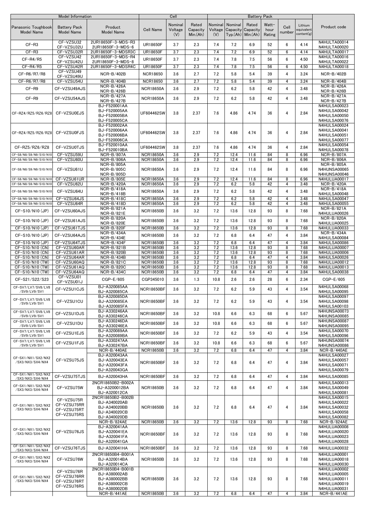|                                        | Model Information                                       |                                                                                                   |                                      | Cell                      |                              |                           |                                                       | <b>Battery Pack</b> |                         |                |                                     |                                                                                              |
|----------------------------------------|---------------------------------------------------------|---------------------------------------------------------------------------------------------------|--------------------------------------|---------------------------|------------------------------|---------------------------|-------------------------------------------------------|---------------------|-------------------------|----------------|-------------------------------------|----------------------------------------------------------------------------------------------|
| Panasonic Toughbook<br>Model Name      | <b>Battery Pack</b><br>Model Name                       | Product<br><b>Model Name</b>                                                                      | <b>Cell Name</b>                     | Nominal<br>Voltage<br>(V) | Rated<br>Capacity<br>Min(Ah) | Nominal<br>Voltage<br>(V) | Nominal<br>Capacity Capacity<br>$Typ(Ah)$ Min. $(Ah)$ | Rated               | Watt-<br>hour<br>Rating | Cell<br>number | Lithium<br>equivalent<br>content(g) | Product code                                                                                 |
| $CF-R3$                                | CF-VZSU32<br>CF-VZSU32U                                 | 2UR18650F-3-MDS-R3<br>2UR18650F-3-MDS-6                                                           | <b>UR18650F</b>                      | 3.7                       | 2.3                          | 7.4                       | 7.2                                                   | 6.9                 | 52                      | 6              | 4.14                                | N4HULTA00014<br>N4HULTA00020                                                                 |
| $CF-R3$                                | CF-VZSU32R                                              | 2UR18650F-3-MDSR3C                                                                                | <b>UR18650F</b>                      | 3.7                       | 2.3                          | 7.4                       | 7.2                                                   | 6.9                 | 52                      | 6              | 4.14                                | N4HULTA00017                                                                                 |
| CF-R4/R5                               | CF-VZSU42<br>CF-VZSU42U                                 | 2UR18650F-3-MDS-R4<br>2UR18650F-3-MDS-8                                                           | <b>UR18650F</b>                      | 3.7                       | 2.3                          | 7.4                       | 7.8                                                   | 7.5                 | 56                      | 6              | 4.50                                | N4HULTA00016<br>N4HULTA00022                                                                 |
| $CF-R4/R5$                             | CF-VZSU42R                                              | 2UR18650F-3-MDSR4C                                                                                | <b>UR18650F</b>                      | 3.7                       | 2.3                          | 7.4                       | 7.8                                                   | 7.5                 | 56                      | 6              | 4.50                                | N4HULTA00018                                                                                 |
| $CF-R6/RT/R8$                          | CF-VZSU49                                               | NCR-B/402B                                                                                        | <b>NCR18650</b>                      | 3.6                       | 2.7                          | 7.2                       | 5.8                                                   | 5.4                 | 39                      | 4              | 3.24                                | NCR-B/402B                                                                                   |
| CF-R6/R7/R8                            | CF-VZSU49U<br>CF-VZSU54U                                | NCR-B/404B                                                                                        | <b>NCR18650</b>                      | 3.6                       | 2.7                          | 7.2                       | 5.8                                                   | 5.4                 | 39                      | 4              | 3.24                                | $NCR-B/404B$                                                                                 |
|                                        |                                                         | NCR-B/426A                                                                                        |                                      |                           |                              |                           |                                                       |                     |                         |                |                                     | <b>NCR-B/426A</b>                                                                            |
| CF-R9                                  | CF-VZSU49AJS                                            | $NCR-B/426B$                                                                                      | <b>NCR18650A</b>                     | 3.6                       | 2.9                          | 7.2                       | 6.2                                                   | 5.8                 | 42                      | 4              | 3.48                                | NCR-B/426B                                                                                   |
| $CF-R9$                                | CF-VZSU54AJS                                            | NCR-B/427A<br>NCR-B/427B                                                                          | <b>NCR18650A</b>                     | 3.6                       | 2.9                          | 7.2                       | 6.2                                                   | 5.8                 | 42                      | $\overline{4}$ | 3.48                                | <b>NCR-B/427A</b><br><b>NCR-B/427B</b>                                                       |
| CF-RZ4/RZ5/RZ6/RZ8                     | CF-VZSU0EJS                                             | BJ-F520001AA<br>BJ-F520005AA<br>BJ-F520005BA<br>BJ-F520005CA                                      | UF604462SW                           | 3.8                       | 2.37                         | 7.6                       | 4.86                                                  | 4.74                | 36                      | $\overline{4}$ | 2.84                                | N4HULSA00023<br>N4HULSA00042<br>N4HULSA00050<br>N4HULSA00076                                 |
| CF-RZ4/RZ5/RZ6/RZ8                     | CF-VZSU0FJS                                             | BJ-F520002AA<br>BJ-F520006AA<br>BJ-F520006BA<br>BJ-F520006CA                                      | UF604462SW                           | 3.8                       | 2.37                         | 7.6                       | 4.86                                                  | 4.74                | 36                      | 4              | 2.84                                | N4HULSA00024<br>N4HULSA00041<br>N4HULSA00051<br>N4HULSA00077                                 |
| CF-RZ5/RZ6/RZ8                         | CF-VZSU0TJS                                             | BJ-F520010AA<br>BJ-F520010BA                                                                      | UF604462SW                           | 3.8                       | 2.37                         | 7.6                       | 4.86                                                  | 4.74                | 36                      | $\overline{4}$ | 2.84                                | N4HULSA00054<br>N4HULSA00078                                                                 |
| CF-S8/N8/S9/N9/S10/N10                 | CF-VZSU59U                                              | <b>NCR-B/807A</b>                                                                                 | <b>NCR18650A</b>                     | 3.6                       | 2.9                          | 7.2                       | 12.4                                                  | 11.6                | 84                      | 8              | 6.96                                | NCR-B/807A                                                                                   |
| CF-S8/N8/S9/N9/S10/N10                 | CF-VZSU60U                                              | NCR-B/806A                                                                                        | <b>NCR18650A</b>                     | 3.6                       | 2.9                          | 7.2                       | 12.4                                                  | 11.6                | 84                      | 8              | 6.96                                | NCR-B/806A                                                                                   |
| CF-S8/N8/S9/N9/S10/N10                 | CF-VZSU61U                                              | NCR-B/805A<br><b>NCR-B/805C</b><br>NCR-B/805D                                                     | <b>NCR18650A</b>                     | 3.6                       | 2.9                          | 7.2                       | 12.4                                                  | 11.6                | 84                      | 8              | 6.96                                | NCR-B/805A<br><b>N4HUNSA00065</b><br>N4HUNSA00046                                            |
| CF-S8/N8/S9/N9/S10/N10                 | CF-VZSU61UR                                             | <b>NCR-B/805E</b>                                                                                 | <b>NCR18650A</b>                     | 3.6                       | 2.9                          | 7.2                       | 12.4                                                  | 11.6                | 84                      | 8              | 6.96                                | N4HULUA00017                                                                                 |
| CF-S8/N8/S9/N9/S10/N10                 | CF-VZSU62U                                              | <b>NCR-B/420A</b>                                                                                 | <b>NCR18650A</b>                     | 3.6                       | 2.9                          | 7.2                       | 6.2                                                   | 5.8                 | 42                      | 4              | 3.48                                | <b>NCR-B/420A</b>                                                                            |
| CF-S8/N8/S9/N9/S10/N10                 | CF-VZSU64U                                              | <b>NCR-B/418A</b><br>NCR-B/418B                                                                   | <b>NCR18650A</b>                     | 3.6                       | 2.9                          | 7.2                       | 6.2                                                   | 5.8                 | 42                      | 4              | 3.48                                | <b>NCR-B/418A</b><br>N4HULSA00048                                                            |
| CF-S8/N8/S9/N9/S10/N10                 | CF-VZSU64JS                                             | NCR-B/418C                                                                                        | <b>NCR18650A</b>                     | 3.6                       | 2.9                          | 7.2                       | 6.2                                                   | 5.8                 | 42                      | 4              | 3.48                                | N4HULSA00047                                                                                 |
| CF-S8/N8/S9/N9/S10/N10                 | CF-VZSU64R                                              | NCR-B/418D                                                                                        | <b>NCR18650A</b>                     | 3.6                       | 2.9                          | 7.2                       | 6.2                                                   | 5.8                 | 42                      | 4              | 3.48                                | N4HULSA00055                                                                                 |
| CF-S10/N10 (JP)                        | CF-VZSU60AJS                                            | NCR-B/821A<br>NCR-B/821E                                                                          | <b>NCR18650B</b>                     | 3.6                       | 3.2                          | 7.2                       | 13.6                                                  | 12.8                | 93                      | 8              | 7.68                                | NCR-B/821A<br>N4HULUA00026                                                                   |
| CF-S10/N10 (JP)                        | CF-VZSU61AJS                                            | NCR-B/820A<br>NCR-B/820E                                                                          | <b>NCR18650B</b>                     | 3.6                       | 3.2                          | 7.2                       | 13.6                                                  | 12.8                | 93                      | 8              | 7.68                                | <b>NCR-B/820A</b><br>N4HULUA00025                                                            |
| CF-S10/N10 (JP)                        | CF-VZSU61TJS                                            | <b>NCR-B/820F</b>                                                                                 | <b>NCR18650B</b>                     | 3.6                       | 3.2                          | 7.2                       | 13.6                                                  | 12.8                | 93                      | 8              | 7.68                                | N4HULUA00033                                                                                 |
| CF-S10/N10 (JP)                        | CF-VZSU64AJS                                            | NCR-B/434A                                                                                        | <b>NCR18650B</b>                     | 3.6                       | 3.2                          | 7.2                       | 6.8                                                   | 6.4                 | 47                      | 4              | 3.84                                | NCR-B/434A                                                                                   |
| CF-S10/N10 (JP)                        | CF-VZSU64TJS                                            | NCR-B/434E<br>NCR-B/434F                                                                          | <b>NCR18650B</b>                     | 3.6                       | 3.2                          | 7.2                       | 6.8                                                   | 6.4                 | 47                      | $\overline{4}$ | 3.84                                | N4HULSA00084<br>N4HULSA00086                                                                 |
| CF-S10/N10 (CN)                        | CF-VZSU60AR                                             | NCR-B/821B                                                                                        | <b>NCR18650B</b>                     | 3.6                       | 3.2                          | 7.2                       | 13.6                                                  | 12.8                | 93                      | 8              | 7.68                                | N4HULUA00007                                                                                 |
| CF-S10/N10 (CN)                        | CF-VZSU61AR                                             | NCR-B/820B                                                                                        | <b>NCR18650B</b>                     | 3.6                       | 3.2                          | 7.2                       | 13.6                                                  | 12.8                | 93                      | 8              | 7.68                                | N4HULUA00006                                                                                 |
| CF-S10/N10 (CN)                        | CF-VZSU64AR                                             | NCR-B/434B                                                                                        | <b>NCR18650B</b>                     | 3.6                       | 3.2                          | 7.2                       | 6.8                                                   | 6.4                 | 47                      | 4              | 3.84                                | N4HULSA00026<br>N4HULUA00012                                                                 |
| CF-S10/N10 (TW)<br>CF-S10/N10 (TW)     | CF-VZSU60AQ<br>CF-VZSU61AQ                              | NCR-B/821C<br>NCR-B/820C                                                                          | <b>NCR18650B</b><br><b>NCR18650B</b> | 3.6<br>3.6                | 3.2<br>3.2                   | 7.2<br>7.2                | 13.6<br>13.6                                          | 12.8<br>12.8        | 93<br>93                | 8<br>8         | 7.68<br>7.68                        | N4HULUA00013                                                                                 |
| CF-S10/N10 (TW)                        | CF-VZSU64AQ                                             | NCR-B/434C                                                                                        | <b>NCR18650B</b>                     | 3.6                       | 3.2                          | 7.2                       | 6.8                                                   | 6.4                 | 47                      | 4              | 3.84                                | N4HULSA00038                                                                                 |
| CF-S21/S22/S23                         | CF-VZSU01<br>CF-VZSU01J                                 | CGP-E/605                                                                                         | CGP345010                            | 3.6                       | 1.3                          | 10.8                      | 2.6                                                   | 2.6                 | 28                      | 6              | 2.34                                | CGP-E/605                                                                                    |
| CF-SV7/LV7/SV8/LV8<br>/SV9/LV9/SV1     | CF-VZSU1CJS                                             | BJ-A320085AA<br>BJ-A320085CA                                                                      | <b>NCR18650BF</b>                    | 3.6                       | 3.2                          | 7.2                       | 6.2                                                   | 5.9                 | 43                      | $\overline{4}$ | 3.54                                | N4HULSA00068<br>N4HULSA00095                                                                 |
| CF-SV7/LV7/SV8/LV8<br>/SV9/LV9/SV1     | CF-VZSU1CU                                              | BJ-A320085DA<br>BJ-A320085EA<br>BJ-A320085FA                                                      | <b>NCR18650BF</b>                    | 3.6                       | 3.2                          | 7.2                       | 6.2                                                   | 5.9                 | 43                      | 4              | 3.54                                | N4HULSA00097<br>N4HULSA00098<br>N4HULSA00103                                                 |
| CF-SV7/LV7/SV8/LV8<br>/SV9/LV9/SV1     | CF-VZSU1DJS                                             | BJ-A330246AA<br>BJ-A330246CA                                                                      | <b>NCR18650BF</b>                    | 3.6                       | 3.2                          | 10.8                      | 6.6                                                   | 6.3                 | 68                      | 6              | 5.67                                | <b>N4HUNSA00073</b><br>N4HUNSA00085                                                          |
| CF-SV7/LV7/SV8/LV8<br>/SV9/LV9/SV1     | CF-VZSU1DU                                              | BJ-A330246DA<br>BJ-A330246EA                                                                      | <b>NCR18650BF</b>                    | 3.6                       | 3.2                          | 10.8                      | 6.6                                                   | 6.3                 | 68                      | 6              | 5.67                                | <b>N4HUNSA00087</b><br>N4HUNSA00095                                                          |
| CF-SV7/LV7/SV8/LV8<br>/SV9/LV9/SV1     | CF-VZSU1EJS                                             | BJ-A320089AA<br>BJ-A320089BA                                                                      | <b>NCR18650BF</b>                    | 3.6                       | 3.2                          | 7.2                       | 6.2                                                   | 5.9                 | 43                      | 4              | 3.54                                | N4HULSA00070<br>N4HULSA00096                                                                 |
| CF-SV7/LV7/SV8/LV8<br>/SV9/LV9/SV1     | CF-VZSU1FJS                                             | BJ-A330247AA<br>BJ-A330247BA                                                                      | <b>NCR18650BF</b>                    | 3.6                       | 3.2                          | 10.8                      | 6.6                                                   | 6.3                 | 68                      | 6              | 5.67                                | N4HUNSA00074<br>N4HUNSA00086                                                                 |
|                                        |                                                         | NCR-B/440AE                                                                                       | <b>NCR18650B</b>                     | 3.6                       | 3.2                          | 7.2                       | 6.8                                                   | 6.4                 | 47                      | 4              | 3.84                                | NCR-B/440AE                                                                                  |
| CF-SX1/NX1/SX2/NX2<br>/SX3/NX3/SX4/NX4 | CF-VZSU75JS                                             | BJ-A320043AA<br>BJ-A320043EA<br>BJ-A320043FA<br>BJ-A320043GA                                      | <b>NCR18650BF</b>                    | 3.6                       | 3.2                          | 7.2                       | 6.8                                                   | 6.4                 | 47                      | 4              | 3.84                                | N4HULSA00027<br>N4HULSA00057<br>N4HULSA00071<br>N4HULSA00079                                 |
| CF-SX1/NX1/SX2/NX2<br>/SX3/NX3/SX4/NX4 | CF-VZSU75TJS                                            | BJ-A320043HA                                                                                      | <b>NCR18650BF</b>                    | 3.6                       | 3.2                          | 7.2                       | 6.8                                                   | 6.4                 | 47                      | 4              | 3.84                                | N4HULSA00085                                                                                 |
| CF-SX1/NX1/SX2/NX2<br>/SX3/NX3/SX4/NX4 | CF-VZSU75W                                              | 2NCR18650B2-B002A<br>BJ-A3200012BA                                                                | <b>NCR18650B</b>                     | 3.6                       | 3.2                          | 7.2                       | 6.8                                                   | 6.4                 | 47                      | 4              | 3.84                                | N4HULSA00013<br>N4HULSA00049                                                                 |
| CF-SX1/NX1/SX2/NX2<br>/SX3/NX3/SX4/NX4 | CF-VZSU75R<br>CF-VZSU75RR<br>CF-VZSU75RT<br>CF-VZSU75RS | BJ-A320012CA<br>2NCR18650B2-B002B<br>BJ-A340020AB<br>BJ-A340020BB<br>BJ-A340020CB<br>BJ-A340020DB | <b>NCR18650B</b>                     | 3.6                       | 3.2                          | 7.2                       | 6.8                                                   | 6.4                 | 47                      | 4              | 3.84                                | N4HULSA00081<br>N4HULSA00015<br>N4HULSA00022<br>N4HULSA00032<br>N4HULSA00058<br>N4HULSA00082 |
|                                        |                                                         | NCR-B/824AE                                                                                       | <b>NCR18650B</b>                     | 3.6                       | 3.2                          | 7.2                       | 13.6                                                  | 12.8                | 93                      | 8              | 7.68                                | NCR-B/824AE                                                                                  |
| CF-SX1/NX1/SX2/NX2<br>/SX3/NX3/SX4/NX4 | CF-VZSU76JS                                             | BJ-A320041AA<br>BJ-A320041EA<br>BJ-A320041FA<br>BJ-A320041GA                                      | <b>NCR18650BF</b>                    | 3.6                       | 3.2                          | 7.2                       | 13.6                                                  | 12.8                | 93                      | 8              | 7.68                                | N4HULUA00008<br>N4HULUA00020<br>N4HULUA00023<br>N4HULUA00028                                 |
| CF-SX1/NX1/SX2/NX2<br>/SX3/NX3/SX4/NX4 | CF-VZSU76TJS                                            | BJ-A320041HA                                                                                      | <b>NCR18650BF</b>                    | 3.6                       | 3.2                          | 7.2                       | 13.6                                                  | 12.8                | 93                      | 8              | 7.68                                | N4HULUA00032                                                                                 |
| CF-SX1/NX1/SX2/NX2                     | CF-VZSU76W                                              | 2NCR18650B4-B001A<br>BJ-A320014BA                                                                 | <b>NCR18650B</b>                     | 3.6                       | 3.2                          | 7.2                       | 13.6                                                  | 12.8                | 93                      | 8              | 7.68                                | N4HULUA00001<br>N4HULUA00018                                                                 |
| /SX3/NX3/SX4/NX4                       | CF-VZSU76R                                              | BJ-A320014CA<br>2NCR18650B4-B001B                                                                 |                                      |                           |                              |                           |                                                       |                     |                         |                |                                     | N4HULUA00030<br>N4HULUA00002                                                                 |
| CF-SX1/NX1/SX2/NX2<br>/SX3/NX3/SX4/NX4 | CF-VZSU76RR<br>CF-VZSU76RT<br>CF-VZSU76RS               | BJ-A380002AB<br>BJ-A380002BB<br>BJ-A380002CB<br>BJ-A380002DB                                      | <b>NCR18650B</b>                     | 3.6                       | 3.2                          | 7.2                       | 13.6                                                  | 12.8                | 93                      | 8              | 7.68                                | N4HULUA00005<br>N4HULUA00011<br>N4HULUA00019<br>N4HULUA00031                                 |
|                                        |                                                         | NCR-B/441AE                                                                                       | <b>NCR18650B</b>                     | 3.6                       | 3.2                          | 7.2                       | 6.8                                                   | 6.4                 | 47                      | $\overline{4}$ | 3.84                                | NCR-B/441AE                                                                                  |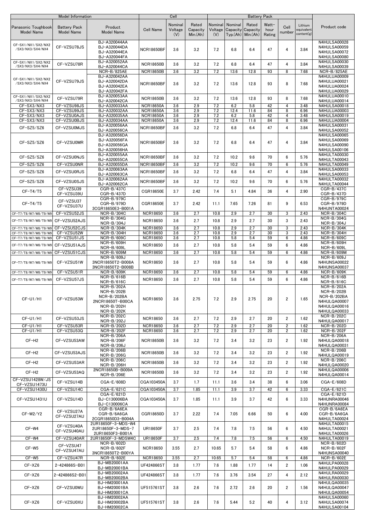|                                              | Model Information                        |                                                                                                    |                                        | Cell                      |                              |                           |             | <b>Battery Pack</b>                                  |                         |                     |                                     |                                                                                                |
|----------------------------------------------|------------------------------------------|----------------------------------------------------------------------------------------------------|----------------------------------------|---------------------------|------------------------------|---------------------------|-------------|------------------------------------------------------|-------------------------|---------------------|-------------------------------------|------------------------------------------------------------------------------------------------|
| Panasonic Toughbook<br><b>Model Name</b>     | <b>Battery Pack</b><br><b>Model Name</b> | Product<br><b>Model Name</b>                                                                       | <b>Cell Name</b>                       | Nominal<br>Voltage<br>(V) | Rated<br>Capacity<br>Min(Ah) | Nominal<br>Voltage<br>(V) | Nominal     | Rated<br>Capacity Capacity<br>$Typ.(Ah)$ Min. $(Ah)$ | Watt-<br>hour<br>Rating | Cell<br>number      | Lithium<br>equivalent<br>content(g) | Product code                                                                                   |
| CF-SX1/NX1/SX2/NX2<br>/SX3/NX3/SX4/NX4       | CF-VZSU78JS                              | BJ-A320044AA<br>BJ-A320044DA<br>BJ-A320044EA<br>BJ-A320044FA                                       | <b>NCR18650BF</b>                      | 3.6                       | 3.2                          | 7.2                       | 6.8         | 6.4                                                  | 47                      | 4                   | 3.84                                | N4HULSA00028<br>N4HULSA00059<br>N4HULSA00072<br>N4HULSA00080                                   |
| CF-SX1/NX1/SX2/NX2<br>/SX3/NX3/SX4/NX4       | CF-VZSU78R                               | BJ-A320052AA<br>BJ-A320044CA<br>NCR-B/825AE                                                        | <b>NCR18650B</b><br><b>NCR18650B</b>   | 3.6<br>3.6                | 3.2<br>3.2                   | 7.2<br>7.2                | 6.8<br>13.6 | 6.4<br>12.8                                          | 47<br>93                | 4<br>8              | 3.84<br>7.68                        | N4HULSA00030<br>N4HULSA00039<br>NCR-B/825AE                                                    |
| CF-SX1/NX1/SX2/NX2<br>/SX3/NX3/SX4/NX4       | CF-VZSU79JS                              | BJ-A320042AA<br>BJ-A320042DA<br>BJ-A320042EA<br>BJ-A320042FA                                       | <b>NCR18650BF</b>                      | 3.6                       | 3.2                          | 7.2                       | 13.6        | 12.8                                                 | 93                      | 8                   | 7.68                                | N4HULUA00009<br>N4HULUA00021<br>N4HULUA00024<br>N4HULUA00029                                   |
| CF-SX1/NX1/SX2/NX2<br>/SX3/NX3/SX4/NX4       | CF-VZSU79R                               | BJ-A320053AA<br>BJ-A320042CA                                                                       | <b>NCR18650B</b>                       | 3.6                       | 3.2                          | 7.2                       | 13.6        | 12.8                                                 | 93                      | 8                   | 7.68                                | N4HULUA00010<br>N4HULUA00014                                                                   |
| CF-SX3/NX3                                   | CF-VZSU98JS                              | BJ-A320033AA                                                                                       | <b>NCR18650A</b>                       | 3.6                       | 2.9                          | 7.2                       | 6.2         | 5.8                                                  | 42                      | $\overline{4}$      | 3.48                                | N4HULSA00018                                                                                   |
| CF-SX3/NX3                                   | CF-VZSU99JS                              | BJ-A320032AA                                                                                       | <b>NCR18650A</b>                       | 3.6                       | 2.9                          | 7.2                       | 12.4        | 11.6                                                 | 84                      | 8                   | 6.96                                | <b>N4HULUA00003</b>                                                                            |
| CF-SX3/NX3<br>CF-SX3/NX3                     | CF-VZSU0AJS<br>CF-VZSU0BJS               | BJ-A320035AA<br>BJ-A320034AA                                                                       | <b>NCR18650A</b><br><b>NCR18650A</b>   | 3.6<br>3.6                | 2.9<br>2.9                   | 7.2<br>7.2                | 6.2<br>12.4 | 5.8<br>11.6                                          | 42<br>84                | $\overline{4}$<br>8 | 3.48<br>6.96                        | N4HULSA00019<br>N4HULUA00004                                                                   |
| CF-SZ5/SZ6                                   | CF-VZSU0MJS                              | BJ-A320056AA<br>BJ-A320056CA                                                                       | <b>NCR18650BF</b>                      | 3.6                       | 3.2                          | 7.2                       | 6.8         | 6.4                                                  | 47                      | $\overline{4}$      | 3.84                                | N4HULSA00031<br>N4HULSA00052                                                                   |
| CF-SZ5/SZ6                                   | CF-VZSU0MR                               | BJ-A320056DA<br>BJ-A320056FA<br>BJ-A320056GA<br>BJ-A320056HA                                       | <b>NCR18650BF</b>                      | 3.6                       | 3.2                          | 7.2                       | 6.8         | 6.4                                                  | 47                      | $\overline{4}$      | 3.84                                | N4HULSA00065<br>N4HULSA00069<br>N4HULSA00090<br>N4HULSA00106                                   |
| CF-SZ5/SZ6                                   | CF-VZSU0NJS                              | BJ-A320055AA<br>BJ-A320055CA                                                                       | <b>NCR18650BF</b>                      | 3.6                       | 3.2                          | 7.2                       | 10.2        | 9.6                                                  | 70                      | 6                   | 5.76                                | N4HULTA00030<br>N4HULTA00043                                                                   |
| CF-SZ5/SZ6<br>CF-SZ5/SZ6                     | CF-VZSU0NR<br>CF-VZSU0RJS                | BJ-A320055DA<br>BJ-A320063AA                                                                       | <b>NCR18650BF</b><br><b>NCR18650BF</b> | 3.6<br>3.6                | 3.2<br>3.2                   | 7.2<br>7.2                | 10.2<br>6.8 | 9.6<br>6.4                                           | 70<br>47                | 6<br>$\overline{4}$ | 5.76<br>3.84                        | N4HULTA00049<br>N4HULSA00033<br>N4HULSA00053                                                   |
| CF-SZ5/SZ6                                   | CF-VZSU0SJS                              | BJ-A320063CA<br>BJ-A320062AA<br>BJ-A320062CA                                                       | <b>NCR18650BF</b>                      | 3.6                       | 3.2                          | 7.2                       | 10.2        | 9.6                                                  | 70                      | 6                   | 5.76                                | N4HULTA00032<br>N4HULTA00044                                                                   |
| $CF-T4/T5$                                   | CF-VZSU39<br>CF-VZSU39U                  | CGR-B/437C<br>CGR-B/437D                                                                           | CGR18650E                              | 3.7                       | 2.42                         | 7.4                       | 5.1         | 4.84                                                 | 36                      | $\overline{4}$      | 2.90                                | CGR-B/437C<br>CGR-B/437D                                                                       |
| $CF-T4/T5$                                   | CF-VZSU37<br>CF-VZSU37U                  | CGR-B/979C<br>CGR-B/979D<br>3CGR18650E3-B001A                                                      | CGR18650E                              | 3.7                       | 2.42                         | 11.1                      | 7.65        | 7.26                                                 | 81                      | 9                   | 6.53                                | CGR-B/979C<br>CGR-B/979D<br>N4HUNTA00024                                                       |
| CF-T7/T8/W7/W8/T9/W9                         | CF-VZSU52JS                              | NCR-B/304C<br>NCR-B/304G                                                                           | <b>NCR18650</b>                        | 3.6                       | 2.7                          | 10.8                      | 2.9         | 2.7                                                  | 30                      | 3                   | 2.43                                | NCR-B/304C<br>NCR-B/304G                                                                       |
| CF-T7/T8/W7/W8/T9/W9<br>CF-T7/T8/W7/W8/T9/W9 | CF-VZSU52AJS<br>CF-VZSU52CJS             | NCR-B/304J<br>NCR-B/304K                                                                           | <b>NCR18650</b><br><b>NCR18650</b>     | 3.6<br>3.6                | 2.7<br>2.7                   | 10.8<br>10.8              | 2.9<br>2.9  | 2.7<br>2.7                                           | 30<br>30                | 3<br>3              | 2.43<br>2.43                        | NCR-B/304J<br>NCR-B/304K                                                                       |
| CF-T7/T8/W7/W8/T9/W9<br>CF-T7/T8/W7/W8/T9/W9 | CF-VZSU52W<br>CF-VZSU51JS                | NCR-B/304H<br>NCR-B/609C                                                                           | <b>NCR18650</b><br><b>NCR18650</b>     | 3.6<br>3.6                | 2.7<br>2.7                   | 10.8<br>10.8              | 2.9<br>5.8  | 2.7<br>5.4                                           | 30<br>59                | 3<br>6              | 2.43<br>4.86                        | NCR-B/304H<br>NCR-B/609C                                                                       |
|                                              |                                          | NCR-B/609H                                                                                         |                                        |                           |                              |                           |             |                                                      |                         |                     |                                     | NCR-B/609H                                                                                     |
| CF-T7/T8/W7/W8/T9/W9                         | CF-VZSU51AJS                             | <b>NCR-B/609L</b>                                                                                  | <b>NCR18650</b>                        | 3.6                       | 2.7                          | 10.8                      | 5.8         | 5.4                                                  | 59                      | 6                   | 4.86                                | <b>NCR-B/609L</b>                                                                              |
| CF-T7/T8/W7/W8/T9/W9                         | CF-VZSU51CJS                             | NCR-B/609M<br>NCR-B/609J                                                                           | <b>NCR18650</b>                        | 3.6                       | 2.7                          | 10.8                      | 5.8         | 5.4                                                  | 59                      | 6                   | 4.86                                | NCR-B/609M<br>NCR-B/609J                                                                       |
| CF-T7/T8/W7/W8/T9/W9                         | CF-VZSU51W                               | 3NCR18650T2-B008A<br>3NCR18650T2-B008B                                                             | <b>NCR18650</b>                        | 3.6                       | 2.7                          | 10.8                      | 5.8         | 5.4                                                  | 59                      | 6                   | 4.86                                | <b>N4HUNSA00022</b><br><b>N4HUNSA00037</b>                                                     |
| CF-T7/T8/W7/W8/T9/W9                         | CF-VZSU51R                               | NCR-B/609K<br>$NCR-B/616B$                                                                         | <b>NCR18650</b>                        | 3.6                       | 2.7                          | 10.8                      | 5.8         | 5.4                                                  | 59                      | 6                   | 4.86                                | NCR-B/609K<br>NCR-B/616B                                                                       |
| CF-T7/T8/W7/W8/T9/W9                         | CF-VZSU57JS                              | NCR-B/616C                                                                                         | <b>NCR18650</b>                        | 3.6                       | 2.7                          | 10.8                      | 5.8         | 5.4                                                  | 59                      | 6                   | 4.86                                | NCR-B/616C                                                                                     |
| CF-U1/H1                                     | CF-VZSU53W                               | NCR-B/202A<br>$NCR - R/202R$<br>NCR-B/202BA<br>2NCR18650T-B00CA<br><b>NCR-B/202H</b><br>NCR-B/202K | <b>NCR18650</b>                        | 3.6                       | 2.75                         | 7.2                       | 2.9         | 2.75                                                 | 20                      | $\overline{2}$      | 1.65                                | NCR-B/202A<br>NCR-B/202B<br>NCR-B/202BA<br><b>N4HULQA00007</b><br>N4HULQA00016<br>N4HULQA00033 |
| CF-U1/H1                                     | CF-VZSU53JS                              | <b>NCR-B/202C</b><br>NCR-B/202J                                                                    | <b>NCR18650</b>                        | 3.6                       | 2.7                          | 7.2                       | 2.9         | 2.7                                                  | 20                      | $\overline{2}$      | 1.62                                | NCR-B/202C<br><b>N4HULQA00017</b>                                                              |
| CF-U1/H1<br>CF-U1/H1                         | CF-VZSU53R<br>CF-VZSU53Q                 | NCR-B/202D<br><b>NCR-B/202F</b>                                                                    | <b>NCR18650</b><br><b>NCR18650</b>     | 3.6<br>3.6                | 2.7<br>2.7                   | 7.2<br>7.2                | 2.9<br>2.9  | 2.7<br>2.7                                           | 20<br>20                | $\overline{2}$<br>2 | 1.62<br>1.62                        | NCR-B/202D<br><b>NCR-B/202F</b>                                                                |
| CF-H <sub>2</sub>                            | CF-VZSU53AW                              | NCR-B/206A<br><b>NCR-B/206F</b><br><b>NCR-B/206J</b>                                               | <b>NCR18650B</b>                       | 3.6                       | 3.2                          | 7.2                       | 3.4         | 3.2                                                  | 23                      | 2                   | 1.92                                | NCR-B/206A<br><b>N4HULQA00018</b><br>N4HULQA00031                                              |
| CF-H <sub>2</sub>                            | CF-VZSU53AJS                             | NCR-B/206B<br>NCR-B/206G                                                                           | <b>NCR18650B</b>                       | 3.6                       | 3.2                          | 7.2                       | 3.4         | 3.2                                                  | 23                      | 2                   | 1.92                                | <b>NCR-B/206B</b><br>N4HULQA00019                                                              |
| CF-H <sub>2</sub>                            | CF-VZSU53AR                              | NCR-B/206C<br>NCR-B/206H                                                                           | <b>NCR18650B</b>                       | 3.6                       | 3.2                          | 7.2                       | 3.4         | 3.2                                                  | 23                      | $\overline{2}$      | 1.92                                | <b>NCR-B/206C</b><br>N4HULQA00020                                                              |
| CF-H <sub>2</sub>                            | CF-VZSU53AQ                              | 2NCR18650B-B009A<br>NCR-B/206E                                                                     | <b>NCR18650B</b>                       | 3.6                       | 3.2                          | 7.2                       | 3.4         | 3.2                                                  | 23                      | $\overline{2}$      | 1.92                                | N4HULQA00006<br>N4HULQA00014                                                                   |
| CF-VZSU1428W/JS<br>CF-VZSU1473U              | CF-VZSU14B                               | CGA-E/608D                                                                                         | CGA103450A                             | 3.7                       | 1.7                          | 11.1                      | 3.6         | 3.4                                                  | 38                      | 6                   | 3.06                                | CGA-E/608D                                                                                     |
| CF-VZSU1430U                                 | CF-VZSU14C                               | CGA-E/621C                                                                                         | CGA103450A                             | 3.7                       | 1.85                         | 11.1                      | 3.9         | 3.7                                                  | 42                      | 6                   | 3.33                                | CGA-E/621C                                                                                     |
| CF-VZSU1431U                                 | CF-VZSU14D                               | CGA-E/621D<br>BJ-C130006BA<br>BJ-C130006CA                                                         | CGA103450A                             | 3.7                       | 1.85                         | 11.1                      | 3.9         | 3.7                                                  | 42                      | 6                   | 3.33                                | CGA-E/621D<br>N4HUNRA00046<br>N4HUNRA00084                                                     |
| CF-W2/Y2                                     | CF-VZSU27A<br>CF-VZSU27AU                | CGR-B/6A6EA<br>CGR-B/6A6GA<br>2CGR18650D3-B004A                                                    | CGR18650D                              | 3.7                       | 2.22                         | 7.4                       | 7.05        | 6.66                                                 | 50                      | 6                   | 4.00                                | CGR-B/6A6EA<br>CGR-B/6A6GA<br>N4HULTA00024                                                     |
| CF-W4                                        | CF-VZSU40A<br>CF-VZSU40AU                | 2UR18650F-3-MDS-W4<br>2UR18650F-3-MDS-7<br>2UR18650F3-B001A                                        | <b>UR18650F</b>                        | 3.7                       | 2.5                          | 7.4                       | 7.8         | 7.5                                                  | 56                      | 6                   | 4.50                                | N4HULTA00015<br>N4HULTA00021<br>N4HULTA00026                                                   |
| CF-W4                                        | CF-VZSU40AR                              | 2UR18650F-3-MDSW4C<br>NCR-B/602D                                                                   | <b>UR18650F</b>                        | 3.7                       | 2.5                          | 7.4                       | 7.8         | 7.5                                                  | 56                      | 6                   | 4.50                                | N4HULTA00019<br>NCR-B/602D                                                                     |
| CF-W5                                        | CF-VZSU47<br>CF-VZSU47AU                 | NCR-B/602F<br>3NCR18650T2-B00YA                                                                    | <b>NCR18650</b>                        | 3.55                      | 2.7                          | 10.65                     | 5.7         | 5.4                                                  | 58                      | 6                   | 4.86                                | NCR-B/602F<br>N4HUNSA00040                                                                     |
| CF-W5                                        | CF-VZSU47R                               | <b>NCR-B/602E</b><br>BJ-MB20001AA                                                                  | <b>NCR18650</b>                        | 3.55                      | 2.7                          | 10.65                     | 5.7         | 5.4                                                  | 58                      | 6                   | 4.86                                | <b>NCR-B/602E</b><br>N4HULPA00028                                                              |
| CF-XZ6                                       | 2-424866S-B01                            | BJ-MB20001BA                                                                                       | UF424866ST                             | 3.8                       | 1.77                         | 7.6                       | 1.88        | 1.77                                                 | 14                      | $\overline{2}$      | 1.06                                | N4HULPA00029                                                                                   |
| CF-XZ6                                       | 2-424866S2-B01                           | BJ-MB20002AA<br>BJ-MB20002BA<br>BJ-HM20001AA                                                       | UF424866ST                             | 3.8                       | 1.77                         | 7.6                       | 3.76        | 3.54                                                 | 27                      | $\overline{4}$      | 2.12                                | N4HULRA00029<br>N4HULRA00030<br>N4HULQA00035                                                   |
| CF-XZ6                                       | CF-VZSU0WU                               | BJ-HM20001BA<br>BJ-HM20001CA<br>BJ-HM20002AA                                                       | UF515761ST                             | 3.8                       | 2.6                          | 7.6                       | 2.72        | 2.6                                                  | 20                      | 2                   | 1.56                                | N4HULQA00047<br>N4HULQA00054<br>N4HULSA00060                                                   |
| CF-XZ6                                       | CF-VZSU0XU                               | BJ-HM20002BA<br>BJ-HM20002CA                                                                       | UF515761ST                             | 3.8                       | 2.6                          | 7.6                       | 5.44        | 5.2                                                  | 40                      | 4                   | 3.12                                | N4HULSA00074<br>N4HULSA00104                                                                   |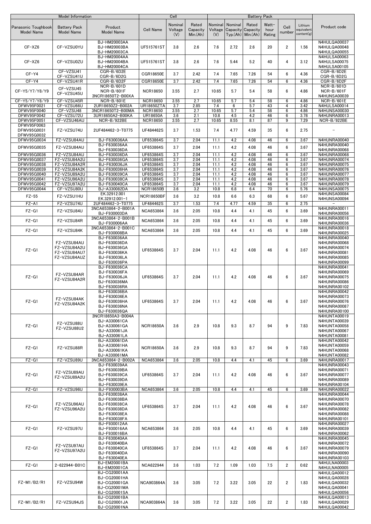| Nominal<br>Nominal<br>Rated<br>Watt-<br>Nominal<br>Rated<br>Lithium<br><b>Battery Pack</b><br>Product<br>Cell<br>Product code<br>Panasonic Toughbook<br><b>Cell Name</b><br>Voltage<br>Voltage<br>Capacity<br>Capacity<br>Capacity<br>hour<br>equivalent<br><b>Model Name</b><br><b>Model Name</b><br><b>Model Name</b><br>number<br>content(g)<br>(V)<br>Min.(Ah)<br>(V)<br>Typ(Ah)<br>Min.(Ah)<br>Rating<br>BJ-HM20003AA<br>N4HULQA00037<br>$CF-XZ6$<br>2.6<br>2.72<br>2.6<br>20<br>$\overline{2}$<br>CF-VZSU0YU<br>UF515761ST<br>3.8<br>7.6<br>1.56<br>N4HULQA00048<br>BJ-HM20003BA<br>BJ-HM20003CA<br>N4HULQA00055<br>BJ-HM20004AA<br>N4HULSA00063<br>40<br>CF-XZ6<br>CF-VZSU0ZU<br>BJ-HM20004BA<br>UF515761ST<br>3.8<br>2.6<br>7.6<br>5.44<br>5.2<br>4<br>3.12<br>N4HULSA00075<br>N4HULSA00105<br>BJ-HM20004CA<br>CF-VZSU41<br>CGR-B/6D2E<br>CGR-B/6D2E<br>$CF-Y4$<br>6<br>CGR18650E<br>3.7<br>2.42<br>7.4<br>7.65<br>7.26<br>54<br>4.36<br>CF-VZSU41U<br>CGR-B/6D2G<br>CGR-B/6D2G<br>$CF-Y4$<br>CF-VZSU41R<br>CGR18650E<br>3.7<br>2.42<br>7.4<br>7.65<br>7.26<br>54<br>6<br>4.36<br>CGR-B/6D2F<br>CGR-B/6D2F<br>NCR-B/601D<br>NCR-B/601D<br>CF-VZSU45<br>NCR-B/601F<br>6<br>NCR-B/601F<br>CF-Y5/Y7/Y8/Y9<br><b>NCR18650</b><br>3.55<br>2.7<br>10.65<br>5.7<br>5.4<br>58<br>4.86<br>CF-VZSU45U<br>3NCR18650T2-B00XA<br><b>N4HUNSA00039</b><br>CF-VZSU45R<br><b>NCR18650</b><br>3.55<br>2.7<br>10.65<br>5.7<br>5.4<br>58<br>4.86<br>CF-Y5/Y7/Y8/Y9<br>NCR-B/601E<br>6<br><b>NCR-B/601E</b><br>DFWV95F0021<br>CF-VZSU66U<br>2UR18650Z2-B002A<br><b>UR18650ZTA</b><br>3.7<br>2.85<br>7.4<br>5.7<br>43<br>$\overline{4}$<br>3.42<br>N4HULSA00014<br>6<br>DFWV95F0040<br>3NCR18650T2-B00MA<br>10.65<br>5.7<br>5.4<br>58<br>6<br>N4HUNSA00030<br>CF-VZSU48<br><b>NCR18650</b><br>3.55<br>2.7<br>4.86<br>CF-VZSU72U<br>46<br>3.78<br>DFWV95F0042<br>3UR18650A2-B00KA<br><b>UR18650A</b><br>3.6<br>2.1<br>10.8<br>4.5<br>4.2<br>6<br>N4HUNRA00013<br>DFWV95F0051<br>CF-VZSU46AU<br>NCR-B/922BE<br><b>NCR18650</b><br>8.55<br>87<br>9<br>7.29<br>NCR-B/922BE<br>3.55<br>2.7<br>10.65<br>8.1<br>DFWV95F0063<br>6<br>DFWV95G0031<br>FZ-VZSU74U<br>2UF484462-3-T0775<br>UF484462S<br>3.7<br>1.53<br>7.4<br>4.77<br>4.59<br>35<br>2.75<br>DFWV95G0032<br>FZ-VZSU84AU<br>BJ-F630036AA<br>UF653864S<br>DFWV95G0034<br>3.7<br>2.04<br>11.1<br>4.2<br>4.08<br>46<br>6<br>3.67<br>N4HUNRA00040<br>N4HUNRA00040<br>BJ-F630036AA<br>UF653864S<br>4.08<br>6<br>DFWV95G0035<br>FZ-VZSU84AU<br>3.7<br>2.04<br>11.1<br>4.2<br>46<br>3.67<br>BJ-F630036DA<br>N4HUNRA00068<br>2.04<br>4.2<br>46<br>DFWV95G0036<br>FZ-VZSU84AU<br>BJ-F630036DA<br>UF653864S<br>3.7<br>11.1<br>4.08<br>6<br>3.67<br><b>N4HUNRA00068</b><br>FZ-VZSU84A2U<br>BJ-F630036GA<br>UF653864S<br>3.7<br>4.2<br>N4HUNRA00074<br>DFWV95G0037<br>2.04<br>11.1<br>4.08<br>46<br>6<br>3.67<br>FZ-VZSU84A2R<br>UF653864S<br>3.7<br>4.2<br>4.08<br>46<br>N4HUNRA00075<br>DFWV95G0038<br>BJ-F630036JA<br>2.04<br>11.1<br>6<br>3.67<br>BJ-F630036HA<br>UF653864S<br>3.7<br>2.04<br>4.2<br>46<br>3.67<br>N4HUNRA00076<br>DFWV95G0039<br>FZ-VZSU84A2K<br>11.1<br>4.08<br>6<br>FZ-VZSU89A2U<br>BJ-F630039CA<br>3.7<br>4.2<br>4.08<br>46<br>6<br>DFWV95G0040<br>UF653864S<br>2.04<br>11.1<br>3.67<br>N4HUNRA00077<br>3.7<br>46<br>6<br>DFWV95G0041<br>FZ-VZSU96A2U<br>BJ-F630038CA<br>UF653864S<br>2.04<br>11.1<br>4.2<br>4.08<br>3.67<br>N4HUNRA00078<br>UF653864S<br>4.2<br>DFWV95G0042<br>FZ-VZSU97A2U<br>BJ-F630040CA<br>3.7<br>2.04<br>11.1<br>4.08<br>46<br>6<br>3.67<br>N4HUNRA00079<br>CF-VZSU80U<br>70<br>DFWV95G0044<br>BJ-A330082DA<br><b>NCR18650B</b><br>3.6<br>3.2<br>10.8<br>6.8<br>6.4<br>6<br>5.76<br>N4HUNSA00075<br>EK.32912.001<br>N4HUNSA00084<br>$FZ-55$<br>FZ-VZSU1HU<br>3.2<br>6.3<br>6<br><b>NCR18650BF</b><br>3.6<br>10.8<br>6.6<br>68<br>5.67<br>EK.32912.001-1<br>N4HUNSA00094<br>$FZ - A1$<br>FZ-VZSU74U<br>UF484462S<br>1.53<br>4.77<br>4.59<br>35<br>2.75<br>2UF484462-3-T0775<br>3.7<br>7.4<br>6<br>3NCA653864-2-B001A<br>N4HUNRA00011<br>$FZ-G1$<br>FZ-VZSU84U<br>3.6<br>2.05<br>10.8<br>4.4<br>4.1<br>45<br>6<br><b>NCA653864</b><br>3.69<br>BJ-F930003DA<br>N4HUNRA00056<br>3NCA653864-2-B001B<br>N4HUNRA00016<br>FZ-VZSU84R<br>6<br>$FZ-G1$<br>NCA653864<br>3.6<br>2.05<br>10.8<br>4.4<br>4.1<br>45<br>3.69<br>BJ-F930006AA<br>N4HUNRA00036<br>3NCA653864-2-B001C<br><b>N4HUNRA00018</b><br>6<br>$FZ-G1$<br>FZ-VZSU84K<br><b>NCA653864</b><br>3.6<br>2.05<br>10.8<br>4.4<br>4.1<br>45<br>3.69<br>BJ-F930008BA<br>N4HUNRA00025<br>BJ-F630036AA<br>N4HUNRA00040<br>FZ-VZSU84AU<br>BJ-F630036DA<br>N4HUNRA00068<br>FZ-VZSU84A2U<br>BJ-F630036GA<br>N4HUNRA00074<br>6<br>$FZ-G1$<br>UF653864S<br>3.7<br>2.04<br>11.1<br>4.2<br>4.08<br>46<br>3.67<br>FZ-VZSU84AU7<br>BJ-F630036KA<br>N4HUNRA00081<br>FZ-VZSU84AUZ<br>BJ-F630036LA<br>N4HUNRA00085<br>BJ-F630036PA<br>N4HUNRA00099<br>BJ-F630036CA<br>N4HUNRA00041<br>BJ-F630036FA<br>N4HUNRA00069<br>FZ-VZSU84AR<br>$FZ-G1$<br>BJ-F630036JA<br>UF653864S<br>3.7<br>2.04<br>11.1<br>4.2<br>4.08<br>46<br>6<br>3.67<br>N4HUNRA00075<br>FZ-VZSU84A2R<br>BJ-F630036MA<br>N4HUNRA00086<br>BJ-F630036RA<br>N4HUNRA00102<br>BJ-F630036BA<br>N4HUNRA00042<br>BJ-F630036EA<br>N4HUNRA00073<br>FZ-VZSU84AK<br>$FZ-G1$<br>BJ-F630036HA<br>UF653864S<br>3.7<br>2.04<br>11.1<br>4.2<br>4.08<br>46<br>6<br>3.67<br>N4HUNRA00076<br>FZ-VZSU84A2K<br>BJ-F630036NA<br>N4HUNRA00087<br>N4HUNRA00100<br>BJ-F630036QA<br>3NCR18650A3-B004A<br>N4HUNTA00019<br>BJ-A330061CA<br>N4HUNTA00039<br>FZ-VZSU88U<br>$FZ-G1$<br>9.3<br>8.7<br>9<br>BJ-A330061GA<br><b>NCR18650A</b><br>3.6<br>2.9<br>10.8<br>94<br>7.83<br>N4HUNTA00058<br>FZ-VZSU88U2<br>BJ-A330061JA<br>N4HUNTA00067<br>BJ-A330061LA<br><b>N4HUNTA00081</b><br>BJ-A330061DA<br>N4HUNTA00042<br>BJ-A330061HA<br>N4HUNTA00059<br>9<br>$FZ-G1$<br>FZ-VZSU88R<br><b>NCR18650A</b><br>3.6<br>2.9<br>10.8<br>9.3<br>8.7<br>94<br>7.83<br>BJ-A330061KA<br>N4HUNTA00068<br>BJ-A330061MA<br>N4HUNTA00082<br>$FZ-G1$<br>FZ-VZSU89U<br>3NCA653864-2-B002A<br><b>NCA653864</b><br>3.6<br>2.05<br>10.8<br>4.4<br>4.1<br>45<br>6<br>3.69<br>N4HUNRA00017<br>BJ-F630039AA<br>N4HUNRA00043<br>BJ-F630039BA<br>N4HUNRA00071<br>FZ-VZSU89AU<br>6<br>$FZ-G1$<br>BJ-F630039CA<br>UF653864S<br>3.7<br>2.04<br>4.2<br>4.08<br>46<br>3.67<br>N4HUNRA00077<br>11.1<br>FZ-VZSU89A2U<br>BJ-F630039DA<br>N4HUNRA00089<br>BJ-F630039EA<br>N4HUNRA00104<br>$FZ-G1$<br>FZ-VZSU96U<br>BJ-F930003BA<br>NCA653864<br>3.6<br>2.05<br>10.8<br>4.4<br>4.1<br>45<br>6<br>3.69<br>N4HUNRA00022<br>BJ-F630038AA<br>N4HUNRA00044<br>BJ-F630038BA<br>N4HUNRA00070<br>FZ-VZSU96AU<br>BJ-F630038CA<br>N4HUNRA00078<br>6<br>$FZ-G1$<br>UF653864S<br>3.7<br>2.04<br>4.2<br>4.08<br>46<br>3.67<br>11.1<br>FZ-VZSU96A2U<br>BJ-F630038DA<br>N4HUNRA00082<br>BJ-F630038EA<br>N4HUNRA00088<br>BJ-F630038FA<br>N4HUNRA00101<br>BJ-F930012AA<br>N4HUNRA00027<br>$FZ-G1$<br>6<br>FZ-VZSU97U<br>BJ-F930016AA<br><b>NCA653864</b><br>3.6<br>2.05<br>10.8<br>4.4<br>4.1<br>45<br>3.69<br>N4HUNRA00039<br>N4HUNRA00062<br>BJ-F930016BA<br>BJ-F630040AA<br>N4HUNRA00045<br>BJ-F630040BA<br>N4HUNRA00072<br>FZ-VZSU97AU<br>$FZ-G1$<br>2.04<br>4.2<br>6<br>BJ-F630040CA<br>UF653864S<br>3.7<br>11.1<br>4.08<br>46<br>3.67<br><b>N4HUNRA00079</b><br>FZ-VZSU97A2U<br>BJ-F630040DA<br>N4HUNRA00090<br>BJ-F630040EA<br>N4HUNRA00103<br>BJ-EM20001BA<br>N4HULNA00003<br>$FZ-G1$<br>7.2<br>1.09<br>$\overline{2}$<br>2-622944-B01C<br><b>NCA622944</b><br>3.6<br>1.03<br>1.03<br>7.5<br>0.62<br>BJ-EM20001CA<br>N4HULNA00005<br>BJ-CG20001AA<br>N4HULQA00012<br>BJ-CG20001HA<br>N4HULQA00028<br>FZ-M1/B2/R1<br>FZ-VZSU94W<br>BJ-CG20001GA<br><b>NCA903864A</b><br>3.6<br>3.05<br>7.2<br>3.22<br>3.05<br>22<br>2<br>1.83<br>N4HULQA00032<br>BJ-CG20001MA<br>N4HULQA00041<br><b>BJ-CG20001SA</b><br>N4HULQA00056<br>BJ-CG20001BA<br>N4HULQA00013<br>FZ-M1/B2/R1<br>FZ-VZSU94JS<br>BJ-CG20001JA<br>3.6<br>3.05<br>7.2<br>3.22<br>3.05<br>22<br>2<br>1.83<br>N4HULQA00029<br><b>NCA903864A</b> | Model Information |              | Cell |  | <b>Battery Pack</b> |  |              |
|-----------------------------------------------------------------------------------------------------------------------------------------------------------------------------------------------------------------------------------------------------------------------------------------------------------------------------------------------------------------------------------------------------------------------------------------------------------------------------------------------------------------------------------------------------------------------------------------------------------------------------------------------------------------------------------------------------------------------------------------------------------------------------------------------------------------------------------------------------------------------------------------------------------------------------------------------------------------------------------------------------------------------------------------------------------------------------------------------------------------------------------------------------------------------------------------------------------------------------------------------------------------------------------------------------------------------------------------------------------------------------------------------------------------------------------------------------------------------------------------------------------------------------------------------------------------------------------------------------------------------------------------------------------------------------------------------------------------------------------------------------------------------------------------------------------------------------------------------------------------------------------------------------------------------------------------------------------------------------------------------------------------------------------------------------------------------------------------------------------------------------------------------------------------------------------------------------------------------------------------------------------------------------------------------------------------------------------------------------------------------------------------------------------------------------------------------------------------------------------------------------------------------------------------------------------------------------------------------------------------------------------------------------------------------------------------------------------------------------------------------------------------------------------------------------------------------------------------------------------------------------------------------------------------------------------------------------------------------------------------------------------------------------------------------------------------------------------------------------------------------------------------------------------------------------------------------------------------------------------------------------------------------------------------------------------------------------------------------------------------------------------------------------------------------------------------------------------------------------------------------------------------------------------------------------------------------------------------------------------------------------------------------------------------------------------------------------------------------------------------------------------------------------------------------------------------------------------------------------------------------------------------------------------------------------------------------------------------------------------------------------------------------------------------------------------------------------------------------------------------------------------------------------------------------------------------------------------------------------------------------------------------------------------------------------------------------------------------------------------------------------------------------------------------------------------------------------------------------------------------------------------------------------------------------------------------------------------------------------------------------------------------------------------------------------------------------------------------------------------------------------------------------------------------------------------------------------------------------------------------------------------------------------------------------------------------------------------------------------------------------------------------------------------------------------------------------------------------------------------------------------------------------------------------------------------------------------------------------------------------------------------------------------------------------------------------------------------------------------------------------------------------------------------------------------------------------------------------------------------------------------------------------------------------------------------------------------------------------------------------------------------------------------------------------------------------------------------------------------------------------------------------------------------------------------------------------------------------------------------------------------------------------------------------------------------------------------------------------------------------------------------------------------------------------------------------------------------------------------------------------------------------------------------------------------------------------------------------------------------------------------------------------------------------------------------------------------------------------------------------------------------------------------------------------------------------------------------------------------------------------------------------------------------------------------------------------------------------------------------------------------------------------------------------------------------------------------------------------------------------------------------------------------------------------------------------------------------------------------------------------------------------------------------------------------------------------------------------------------------------------------------------------------------------------------------------------------------------------------------------------------------------------------------------------------------------------------------------------------------------------------------------------------------------------------------------------------------------------------------------------------------------------------------------------------------------------------------------------------------------------------------------------------------------------------------------------------------------------------------------------------------------------------------------------------------------------------------------------------------------------------------------------------------------------------------------------------------------------------------------------------------------------------------------------------------------------------------------------------------|-------------------|--------------|------|--|---------------------|--|--------------|
|                                                                                                                                                                                                                                                                                                                                                                                                                                                                                                                                                                                                                                                                                                                                                                                                                                                                                                                                                                                                                                                                                                                                                                                                                                                                                                                                                                                                                                                                                                                                                                                                                                                                                                                                                                                                                                                                                                                                                                                                                                                                                                                                                                                                                                                                                                                                                                                                                                                                                                                                                                                                                                                                                                                                                                                                                                                                                                                                                                                                                                                                                                                                                                                                                                                                                                                                                                                                                                                                                                                                                                                                                                                                                                                                                                                                                                                                                                                                                                                                                                                                                                                                                                                                                                                                                                                                                                                                                                                                                                                                                                                                                                                                                                                                                                                                                                                                                                                                                                                                                                                                                                                                                                                                                                                                                                                                                                                                                                                                                                                                                                                                                                                                                                                                                                                                                                                                                                                                                                                                                                                                                                                                                                                                                                                                                                                                                                                                                                                                                                                                                                                                                                                                                                                                                                                                                                                                                                                                                                                                                                                                                                                                                                                                                                                                                                                                                                                                                                                                                                                                                                                                                                                                                                                                                                                                                                                                                                                                                                                   |                   |              |      |  |                     |  |              |
|                                                                                                                                                                                                                                                                                                                                                                                                                                                                                                                                                                                                                                                                                                                                                                                                                                                                                                                                                                                                                                                                                                                                                                                                                                                                                                                                                                                                                                                                                                                                                                                                                                                                                                                                                                                                                                                                                                                                                                                                                                                                                                                                                                                                                                                                                                                                                                                                                                                                                                                                                                                                                                                                                                                                                                                                                                                                                                                                                                                                                                                                                                                                                                                                                                                                                                                                                                                                                                                                                                                                                                                                                                                                                                                                                                                                                                                                                                                                                                                                                                                                                                                                                                                                                                                                                                                                                                                                                                                                                                                                                                                                                                                                                                                                                                                                                                                                                                                                                                                                                                                                                                                                                                                                                                                                                                                                                                                                                                                                                                                                                                                                                                                                                                                                                                                                                                                                                                                                                                                                                                                                                                                                                                                                                                                                                                                                                                                                                                                                                                                                                                                                                                                                                                                                                                                                                                                                                                                                                                                                                                                                                                                                                                                                                                                                                                                                                                                                                                                                                                                                                                                                                                                                                                                                                                                                                                                                                                                                                                                   |                   |              |      |  |                     |  |              |
|                                                                                                                                                                                                                                                                                                                                                                                                                                                                                                                                                                                                                                                                                                                                                                                                                                                                                                                                                                                                                                                                                                                                                                                                                                                                                                                                                                                                                                                                                                                                                                                                                                                                                                                                                                                                                                                                                                                                                                                                                                                                                                                                                                                                                                                                                                                                                                                                                                                                                                                                                                                                                                                                                                                                                                                                                                                                                                                                                                                                                                                                                                                                                                                                                                                                                                                                                                                                                                                                                                                                                                                                                                                                                                                                                                                                                                                                                                                                                                                                                                                                                                                                                                                                                                                                                                                                                                                                                                                                                                                                                                                                                                                                                                                                                                                                                                                                                                                                                                                                                                                                                                                                                                                                                                                                                                                                                                                                                                                                                                                                                                                                                                                                                                                                                                                                                                                                                                                                                                                                                                                                                                                                                                                                                                                                                                                                                                                                                                                                                                                                                                                                                                                                                                                                                                                                                                                                                                                                                                                                                                                                                                                                                                                                                                                                                                                                                                                                                                                                                                                                                                                                                                                                                                                                                                                                                                                                                                                                                                                   |                   |              |      |  |                     |  |              |
|                                                                                                                                                                                                                                                                                                                                                                                                                                                                                                                                                                                                                                                                                                                                                                                                                                                                                                                                                                                                                                                                                                                                                                                                                                                                                                                                                                                                                                                                                                                                                                                                                                                                                                                                                                                                                                                                                                                                                                                                                                                                                                                                                                                                                                                                                                                                                                                                                                                                                                                                                                                                                                                                                                                                                                                                                                                                                                                                                                                                                                                                                                                                                                                                                                                                                                                                                                                                                                                                                                                                                                                                                                                                                                                                                                                                                                                                                                                                                                                                                                                                                                                                                                                                                                                                                                                                                                                                                                                                                                                                                                                                                                                                                                                                                                                                                                                                                                                                                                                                                                                                                                                                                                                                                                                                                                                                                                                                                                                                                                                                                                                                                                                                                                                                                                                                                                                                                                                                                                                                                                                                                                                                                                                                                                                                                                                                                                                                                                                                                                                                                                                                                                                                                                                                                                                                                                                                                                                                                                                                                                                                                                                                                                                                                                                                                                                                                                                                                                                                                                                                                                                                                                                                                                                                                                                                                                                                                                                                                                                   |                   |              |      |  |                     |  |              |
|                                                                                                                                                                                                                                                                                                                                                                                                                                                                                                                                                                                                                                                                                                                                                                                                                                                                                                                                                                                                                                                                                                                                                                                                                                                                                                                                                                                                                                                                                                                                                                                                                                                                                                                                                                                                                                                                                                                                                                                                                                                                                                                                                                                                                                                                                                                                                                                                                                                                                                                                                                                                                                                                                                                                                                                                                                                                                                                                                                                                                                                                                                                                                                                                                                                                                                                                                                                                                                                                                                                                                                                                                                                                                                                                                                                                                                                                                                                                                                                                                                                                                                                                                                                                                                                                                                                                                                                                                                                                                                                                                                                                                                                                                                                                                                                                                                                                                                                                                                                                                                                                                                                                                                                                                                                                                                                                                                                                                                                                                                                                                                                                                                                                                                                                                                                                                                                                                                                                                                                                                                                                                                                                                                                                                                                                                                                                                                                                                                                                                                                                                                                                                                                                                                                                                                                                                                                                                                                                                                                                                                                                                                                                                                                                                                                                                                                                                                                                                                                                                                                                                                                                                                                                                                                                                                                                                                                                                                                                                                                   |                   |              |      |  |                     |  |              |
|                                                                                                                                                                                                                                                                                                                                                                                                                                                                                                                                                                                                                                                                                                                                                                                                                                                                                                                                                                                                                                                                                                                                                                                                                                                                                                                                                                                                                                                                                                                                                                                                                                                                                                                                                                                                                                                                                                                                                                                                                                                                                                                                                                                                                                                                                                                                                                                                                                                                                                                                                                                                                                                                                                                                                                                                                                                                                                                                                                                                                                                                                                                                                                                                                                                                                                                                                                                                                                                                                                                                                                                                                                                                                                                                                                                                                                                                                                                                                                                                                                                                                                                                                                                                                                                                                                                                                                                                                                                                                                                                                                                                                                                                                                                                                                                                                                                                                                                                                                                                                                                                                                                                                                                                                                                                                                                                                                                                                                                                                                                                                                                                                                                                                                                                                                                                                                                                                                                                                                                                                                                                                                                                                                                                                                                                                                                                                                                                                                                                                                                                                                                                                                                                                                                                                                                                                                                                                                                                                                                                                                                                                                                                                                                                                                                                                                                                                                                                                                                                                                                                                                                                                                                                                                                                                                                                                                                                                                                                                                                   |                   |              |      |  |                     |  |              |
|                                                                                                                                                                                                                                                                                                                                                                                                                                                                                                                                                                                                                                                                                                                                                                                                                                                                                                                                                                                                                                                                                                                                                                                                                                                                                                                                                                                                                                                                                                                                                                                                                                                                                                                                                                                                                                                                                                                                                                                                                                                                                                                                                                                                                                                                                                                                                                                                                                                                                                                                                                                                                                                                                                                                                                                                                                                                                                                                                                                                                                                                                                                                                                                                                                                                                                                                                                                                                                                                                                                                                                                                                                                                                                                                                                                                                                                                                                                                                                                                                                                                                                                                                                                                                                                                                                                                                                                                                                                                                                                                                                                                                                                                                                                                                                                                                                                                                                                                                                                                                                                                                                                                                                                                                                                                                                                                                                                                                                                                                                                                                                                                                                                                                                                                                                                                                                                                                                                                                                                                                                                                                                                                                                                                                                                                                                                                                                                                                                                                                                                                                                                                                                                                                                                                                                                                                                                                                                                                                                                                                                                                                                                                                                                                                                                                                                                                                                                                                                                                                                                                                                                                                                                                                                                                                                                                                                                                                                                                                                                   |                   |              |      |  |                     |  |              |
|                                                                                                                                                                                                                                                                                                                                                                                                                                                                                                                                                                                                                                                                                                                                                                                                                                                                                                                                                                                                                                                                                                                                                                                                                                                                                                                                                                                                                                                                                                                                                                                                                                                                                                                                                                                                                                                                                                                                                                                                                                                                                                                                                                                                                                                                                                                                                                                                                                                                                                                                                                                                                                                                                                                                                                                                                                                                                                                                                                                                                                                                                                                                                                                                                                                                                                                                                                                                                                                                                                                                                                                                                                                                                                                                                                                                                                                                                                                                                                                                                                                                                                                                                                                                                                                                                                                                                                                                                                                                                                                                                                                                                                                                                                                                                                                                                                                                                                                                                                                                                                                                                                                                                                                                                                                                                                                                                                                                                                                                                                                                                                                                                                                                                                                                                                                                                                                                                                                                                                                                                                                                                                                                                                                                                                                                                                                                                                                                                                                                                                                                                                                                                                                                                                                                                                                                                                                                                                                                                                                                                                                                                                                                                                                                                                                                                                                                                                                                                                                                                                                                                                                                                                                                                                                                                                                                                                                                                                                                                                                   |                   |              |      |  |                     |  |              |
|                                                                                                                                                                                                                                                                                                                                                                                                                                                                                                                                                                                                                                                                                                                                                                                                                                                                                                                                                                                                                                                                                                                                                                                                                                                                                                                                                                                                                                                                                                                                                                                                                                                                                                                                                                                                                                                                                                                                                                                                                                                                                                                                                                                                                                                                                                                                                                                                                                                                                                                                                                                                                                                                                                                                                                                                                                                                                                                                                                                                                                                                                                                                                                                                                                                                                                                                                                                                                                                                                                                                                                                                                                                                                                                                                                                                                                                                                                                                                                                                                                                                                                                                                                                                                                                                                                                                                                                                                                                                                                                                                                                                                                                                                                                                                                                                                                                                                                                                                                                                                                                                                                                                                                                                                                                                                                                                                                                                                                                                                                                                                                                                                                                                                                                                                                                                                                                                                                                                                                                                                                                                                                                                                                                                                                                                                                                                                                                                                                                                                                                                                                                                                                                                                                                                                                                                                                                                                                                                                                                                                                                                                                                                                                                                                                                                                                                                                                                                                                                                                                                                                                                                                                                                                                                                                                                                                                                                                                                                                                                   |                   |              |      |  |                     |  |              |
|                                                                                                                                                                                                                                                                                                                                                                                                                                                                                                                                                                                                                                                                                                                                                                                                                                                                                                                                                                                                                                                                                                                                                                                                                                                                                                                                                                                                                                                                                                                                                                                                                                                                                                                                                                                                                                                                                                                                                                                                                                                                                                                                                                                                                                                                                                                                                                                                                                                                                                                                                                                                                                                                                                                                                                                                                                                                                                                                                                                                                                                                                                                                                                                                                                                                                                                                                                                                                                                                                                                                                                                                                                                                                                                                                                                                                                                                                                                                                                                                                                                                                                                                                                                                                                                                                                                                                                                                                                                                                                                                                                                                                                                                                                                                                                                                                                                                                                                                                                                                                                                                                                                                                                                                                                                                                                                                                                                                                                                                                                                                                                                                                                                                                                                                                                                                                                                                                                                                                                                                                                                                                                                                                                                                                                                                                                                                                                                                                                                                                                                                                                                                                                                                                                                                                                                                                                                                                                                                                                                                                                                                                                                                                                                                                                                                                                                                                                                                                                                                                                                                                                                                                                                                                                                                                                                                                                                                                                                                                                                   |                   |              |      |  |                     |  |              |
|                                                                                                                                                                                                                                                                                                                                                                                                                                                                                                                                                                                                                                                                                                                                                                                                                                                                                                                                                                                                                                                                                                                                                                                                                                                                                                                                                                                                                                                                                                                                                                                                                                                                                                                                                                                                                                                                                                                                                                                                                                                                                                                                                                                                                                                                                                                                                                                                                                                                                                                                                                                                                                                                                                                                                                                                                                                                                                                                                                                                                                                                                                                                                                                                                                                                                                                                                                                                                                                                                                                                                                                                                                                                                                                                                                                                                                                                                                                                                                                                                                                                                                                                                                                                                                                                                                                                                                                                                                                                                                                                                                                                                                                                                                                                                                                                                                                                                                                                                                                                                                                                                                                                                                                                                                                                                                                                                                                                                                                                                                                                                                                                                                                                                                                                                                                                                                                                                                                                                                                                                                                                                                                                                                                                                                                                                                                                                                                                                                                                                                                                                                                                                                                                                                                                                                                                                                                                                                                                                                                                                                                                                                                                                                                                                                                                                                                                                                                                                                                                                                                                                                                                                                                                                                                                                                                                                                                                                                                                                                                   |                   |              |      |  |                     |  |              |
|                                                                                                                                                                                                                                                                                                                                                                                                                                                                                                                                                                                                                                                                                                                                                                                                                                                                                                                                                                                                                                                                                                                                                                                                                                                                                                                                                                                                                                                                                                                                                                                                                                                                                                                                                                                                                                                                                                                                                                                                                                                                                                                                                                                                                                                                                                                                                                                                                                                                                                                                                                                                                                                                                                                                                                                                                                                                                                                                                                                                                                                                                                                                                                                                                                                                                                                                                                                                                                                                                                                                                                                                                                                                                                                                                                                                                                                                                                                                                                                                                                                                                                                                                                                                                                                                                                                                                                                                                                                                                                                                                                                                                                                                                                                                                                                                                                                                                                                                                                                                                                                                                                                                                                                                                                                                                                                                                                                                                                                                                                                                                                                                                                                                                                                                                                                                                                                                                                                                                                                                                                                                                                                                                                                                                                                                                                                                                                                                                                                                                                                                                                                                                                                                                                                                                                                                                                                                                                                                                                                                                                                                                                                                                                                                                                                                                                                                                                                                                                                                                                                                                                                                                                                                                                                                                                                                                                                                                                                                                                                   |                   |              |      |  |                     |  |              |
|                                                                                                                                                                                                                                                                                                                                                                                                                                                                                                                                                                                                                                                                                                                                                                                                                                                                                                                                                                                                                                                                                                                                                                                                                                                                                                                                                                                                                                                                                                                                                                                                                                                                                                                                                                                                                                                                                                                                                                                                                                                                                                                                                                                                                                                                                                                                                                                                                                                                                                                                                                                                                                                                                                                                                                                                                                                                                                                                                                                                                                                                                                                                                                                                                                                                                                                                                                                                                                                                                                                                                                                                                                                                                                                                                                                                                                                                                                                                                                                                                                                                                                                                                                                                                                                                                                                                                                                                                                                                                                                                                                                                                                                                                                                                                                                                                                                                                                                                                                                                                                                                                                                                                                                                                                                                                                                                                                                                                                                                                                                                                                                                                                                                                                                                                                                                                                                                                                                                                                                                                                                                                                                                                                                                                                                                                                                                                                                                                                                                                                                                                                                                                                                                                                                                                                                                                                                                                                                                                                                                                                                                                                                                                                                                                                                                                                                                                                                                                                                                                                                                                                                                                                                                                                                                                                                                                                                                                                                                                                                   |                   |              |      |  |                     |  |              |
|                                                                                                                                                                                                                                                                                                                                                                                                                                                                                                                                                                                                                                                                                                                                                                                                                                                                                                                                                                                                                                                                                                                                                                                                                                                                                                                                                                                                                                                                                                                                                                                                                                                                                                                                                                                                                                                                                                                                                                                                                                                                                                                                                                                                                                                                                                                                                                                                                                                                                                                                                                                                                                                                                                                                                                                                                                                                                                                                                                                                                                                                                                                                                                                                                                                                                                                                                                                                                                                                                                                                                                                                                                                                                                                                                                                                                                                                                                                                                                                                                                                                                                                                                                                                                                                                                                                                                                                                                                                                                                                                                                                                                                                                                                                                                                                                                                                                                                                                                                                                                                                                                                                                                                                                                                                                                                                                                                                                                                                                                                                                                                                                                                                                                                                                                                                                                                                                                                                                                                                                                                                                                                                                                                                                                                                                                                                                                                                                                                                                                                                                                                                                                                                                                                                                                                                                                                                                                                                                                                                                                                                                                                                                                                                                                                                                                                                                                                                                                                                                                                                                                                                                                                                                                                                                                                                                                                                                                                                                                                                   |                   |              |      |  |                     |  |              |
|                                                                                                                                                                                                                                                                                                                                                                                                                                                                                                                                                                                                                                                                                                                                                                                                                                                                                                                                                                                                                                                                                                                                                                                                                                                                                                                                                                                                                                                                                                                                                                                                                                                                                                                                                                                                                                                                                                                                                                                                                                                                                                                                                                                                                                                                                                                                                                                                                                                                                                                                                                                                                                                                                                                                                                                                                                                                                                                                                                                                                                                                                                                                                                                                                                                                                                                                                                                                                                                                                                                                                                                                                                                                                                                                                                                                                                                                                                                                                                                                                                                                                                                                                                                                                                                                                                                                                                                                                                                                                                                                                                                                                                                                                                                                                                                                                                                                                                                                                                                                                                                                                                                                                                                                                                                                                                                                                                                                                                                                                                                                                                                                                                                                                                                                                                                                                                                                                                                                                                                                                                                                                                                                                                                                                                                                                                                                                                                                                                                                                                                                                                                                                                                                                                                                                                                                                                                                                                                                                                                                                                                                                                                                                                                                                                                                                                                                                                                                                                                                                                                                                                                                                                                                                                                                                                                                                                                                                                                                                                                   |                   |              |      |  |                     |  |              |
|                                                                                                                                                                                                                                                                                                                                                                                                                                                                                                                                                                                                                                                                                                                                                                                                                                                                                                                                                                                                                                                                                                                                                                                                                                                                                                                                                                                                                                                                                                                                                                                                                                                                                                                                                                                                                                                                                                                                                                                                                                                                                                                                                                                                                                                                                                                                                                                                                                                                                                                                                                                                                                                                                                                                                                                                                                                                                                                                                                                                                                                                                                                                                                                                                                                                                                                                                                                                                                                                                                                                                                                                                                                                                                                                                                                                                                                                                                                                                                                                                                                                                                                                                                                                                                                                                                                                                                                                                                                                                                                                                                                                                                                                                                                                                                                                                                                                                                                                                                                                                                                                                                                                                                                                                                                                                                                                                                                                                                                                                                                                                                                                                                                                                                                                                                                                                                                                                                                                                                                                                                                                                                                                                                                                                                                                                                                                                                                                                                                                                                                                                                                                                                                                                                                                                                                                                                                                                                                                                                                                                                                                                                                                                                                                                                                                                                                                                                                                                                                                                                                                                                                                                                                                                                                                                                                                                                                                                                                                                                                   |                   |              |      |  |                     |  |              |
|                                                                                                                                                                                                                                                                                                                                                                                                                                                                                                                                                                                                                                                                                                                                                                                                                                                                                                                                                                                                                                                                                                                                                                                                                                                                                                                                                                                                                                                                                                                                                                                                                                                                                                                                                                                                                                                                                                                                                                                                                                                                                                                                                                                                                                                                                                                                                                                                                                                                                                                                                                                                                                                                                                                                                                                                                                                                                                                                                                                                                                                                                                                                                                                                                                                                                                                                                                                                                                                                                                                                                                                                                                                                                                                                                                                                                                                                                                                                                                                                                                                                                                                                                                                                                                                                                                                                                                                                                                                                                                                                                                                                                                                                                                                                                                                                                                                                                                                                                                                                                                                                                                                                                                                                                                                                                                                                                                                                                                                                                                                                                                                                                                                                                                                                                                                                                                                                                                                                                                                                                                                                                                                                                                                                                                                                                                                                                                                                                                                                                                                                                                                                                                                                                                                                                                                                                                                                                                                                                                                                                                                                                                                                                                                                                                                                                                                                                                                                                                                                                                                                                                                                                                                                                                                                                                                                                                                                                                                                                                                   |                   |              |      |  |                     |  |              |
|                                                                                                                                                                                                                                                                                                                                                                                                                                                                                                                                                                                                                                                                                                                                                                                                                                                                                                                                                                                                                                                                                                                                                                                                                                                                                                                                                                                                                                                                                                                                                                                                                                                                                                                                                                                                                                                                                                                                                                                                                                                                                                                                                                                                                                                                                                                                                                                                                                                                                                                                                                                                                                                                                                                                                                                                                                                                                                                                                                                                                                                                                                                                                                                                                                                                                                                                                                                                                                                                                                                                                                                                                                                                                                                                                                                                                                                                                                                                                                                                                                                                                                                                                                                                                                                                                                                                                                                                                                                                                                                                                                                                                                                                                                                                                                                                                                                                                                                                                                                                                                                                                                                                                                                                                                                                                                                                                                                                                                                                                                                                                                                                                                                                                                                                                                                                                                                                                                                                                                                                                                                                                                                                                                                                                                                                                                                                                                                                                                                                                                                                                                                                                                                                                                                                                                                                                                                                                                                                                                                                                                                                                                                                                                                                                                                                                                                                                                                                                                                                                                                                                                                                                                                                                                                                                                                                                                                                                                                                                                                   |                   |              |      |  |                     |  |              |
|                                                                                                                                                                                                                                                                                                                                                                                                                                                                                                                                                                                                                                                                                                                                                                                                                                                                                                                                                                                                                                                                                                                                                                                                                                                                                                                                                                                                                                                                                                                                                                                                                                                                                                                                                                                                                                                                                                                                                                                                                                                                                                                                                                                                                                                                                                                                                                                                                                                                                                                                                                                                                                                                                                                                                                                                                                                                                                                                                                                                                                                                                                                                                                                                                                                                                                                                                                                                                                                                                                                                                                                                                                                                                                                                                                                                                                                                                                                                                                                                                                                                                                                                                                                                                                                                                                                                                                                                                                                                                                                                                                                                                                                                                                                                                                                                                                                                                                                                                                                                                                                                                                                                                                                                                                                                                                                                                                                                                                                                                                                                                                                                                                                                                                                                                                                                                                                                                                                                                                                                                                                                                                                                                                                                                                                                                                                                                                                                                                                                                                                                                                                                                                                                                                                                                                                                                                                                                                                                                                                                                                                                                                                                                                                                                                                                                                                                                                                                                                                                                                                                                                                                                                                                                                                                                                                                                                                                                                                                                                                   |                   |              |      |  |                     |  |              |
|                                                                                                                                                                                                                                                                                                                                                                                                                                                                                                                                                                                                                                                                                                                                                                                                                                                                                                                                                                                                                                                                                                                                                                                                                                                                                                                                                                                                                                                                                                                                                                                                                                                                                                                                                                                                                                                                                                                                                                                                                                                                                                                                                                                                                                                                                                                                                                                                                                                                                                                                                                                                                                                                                                                                                                                                                                                                                                                                                                                                                                                                                                                                                                                                                                                                                                                                                                                                                                                                                                                                                                                                                                                                                                                                                                                                                                                                                                                                                                                                                                                                                                                                                                                                                                                                                                                                                                                                                                                                                                                                                                                                                                                                                                                                                                                                                                                                                                                                                                                                                                                                                                                                                                                                                                                                                                                                                                                                                                                                                                                                                                                                                                                                                                                                                                                                                                                                                                                                                                                                                                                                                                                                                                                                                                                                                                                                                                                                                                                                                                                                                                                                                                                                                                                                                                                                                                                                                                                                                                                                                                                                                                                                                                                                                                                                                                                                                                                                                                                                                                                                                                                                                                                                                                                                                                                                                                                                                                                                                                                   |                   |              |      |  |                     |  |              |
|                                                                                                                                                                                                                                                                                                                                                                                                                                                                                                                                                                                                                                                                                                                                                                                                                                                                                                                                                                                                                                                                                                                                                                                                                                                                                                                                                                                                                                                                                                                                                                                                                                                                                                                                                                                                                                                                                                                                                                                                                                                                                                                                                                                                                                                                                                                                                                                                                                                                                                                                                                                                                                                                                                                                                                                                                                                                                                                                                                                                                                                                                                                                                                                                                                                                                                                                                                                                                                                                                                                                                                                                                                                                                                                                                                                                                                                                                                                                                                                                                                                                                                                                                                                                                                                                                                                                                                                                                                                                                                                                                                                                                                                                                                                                                                                                                                                                                                                                                                                                                                                                                                                                                                                                                                                                                                                                                                                                                                                                                                                                                                                                                                                                                                                                                                                                                                                                                                                                                                                                                                                                                                                                                                                                                                                                                                                                                                                                                                                                                                                                                                                                                                                                                                                                                                                                                                                                                                                                                                                                                                                                                                                                                                                                                                                                                                                                                                                                                                                                                                                                                                                                                                                                                                                                                                                                                                                                                                                                                                                   |                   |              |      |  |                     |  |              |
|                                                                                                                                                                                                                                                                                                                                                                                                                                                                                                                                                                                                                                                                                                                                                                                                                                                                                                                                                                                                                                                                                                                                                                                                                                                                                                                                                                                                                                                                                                                                                                                                                                                                                                                                                                                                                                                                                                                                                                                                                                                                                                                                                                                                                                                                                                                                                                                                                                                                                                                                                                                                                                                                                                                                                                                                                                                                                                                                                                                                                                                                                                                                                                                                                                                                                                                                                                                                                                                                                                                                                                                                                                                                                                                                                                                                                                                                                                                                                                                                                                                                                                                                                                                                                                                                                                                                                                                                                                                                                                                                                                                                                                                                                                                                                                                                                                                                                                                                                                                                                                                                                                                                                                                                                                                                                                                                                                                                                                                                                                                                                                                                                                                                                                                                                                                                                                                                                                                                                                                                                                                                                                                                                                                                                                                                                                                                                                                                                                                                                                                                                                                                                                                                                                                                                                                                                                                                                                                                                                                                                                                                                                                                                                                                                                                                                                                                                                                                                                                                                                                                                                                                                                                                                                                                                                                                                                                                                                                                                                                   |                   |              |      |  |                     |  |              |
|                                                                                                                                                                                                                                                                                                                                                                                                                                                                                                                                                                                                                                                                                                                                                                                                                                                                                                                                                                                                                                                                                                                                                                                                                                                                                                                                                                                                                                                                                                                                                                                                                                                                                                                                                                                                                                                                                                                                                                                                                                                                                                                                                                                                                                                                                                                                                                                                                                                                                                                                                                                                                                                                                                                                                                                                                                                                                                                                                                                                                                                                                                                                                                                                                                                                                                                                                                                                                                                                                                                                                                                                                                                                                                                                                                                                                                                                                                                                                                                                                                                                                                                                                                                                                                                                                                                                                                                                                                                                                                                                                                                                                                                                                                                                                                                                                                                                                                                                                                                                                                                                                                                                                                                                                                                                                                                                                                                                                                                                                                                                                                                                                                                                                                                                                                                                                                                                                                                                                                                                                                                                                                                                                                                                                                                                                                                                                                                                                                                                                                                                                                                                                                                                                                                                                                                                                                                                                                                                                                                                                                                                                                                                                                                                                                                                                                                                                                                                                                                                                                                                                                                                                                                                                                                                                                                                                                                                                                                                                                                   |                   |              |      |  |                     |  |              |
|                                                                                                                                                                                                                                                                                                                                                                                                                                                                                                                                                                                                                                                                                                                                                                                                                                                                                                                                                                                                                                                                                                                                                                                                                                                                                                                                                                                                                                                                                                                                                                                                                                                                                                                                                                                                                                                                                                                                                                                                                                                                                                                                                                                                                                                                                                                                                                                                                                                                                                                                                                                                                                                                                                                                                                                                                                                                                                                                                                                                                                                                                                                                                                                                                                                                                                                                                                                                                                                                                                                                                                                                                                                                                                                                                                                                                                                                                                                                                                                                                                                                                                                                                                                                                                                                                                                                                                                                                                                                                                                                                                                                                                                                                                                                                                                                                                                                                                                                                                                                                                                                                                                                                                                                                                                                                                                                                                                                                                                                                                                                                                                                                                                                                                                                                                                                                                                                                                                                                                                                                                                                                                                                                                                                                                                                                                                                                                                                                                                                                                                                                                                                                                                                                                                                                                                                                                                                                                                                                                                                                                                                                                                                                                                                                                                                                                                                                                                                                                                                                                                                                                                                                                                                                                                                                                                                                                                                                                                                                                                   |                   |              |      |  |                     |  |              |
|                                                                                                                                                                                                                                                                                                                                                                                                                                                                                                                                                                                                                                                                                                                                                                                                                                                                                                                                                                                                                                                                                                                                                                                                                                                                                                                                                                                                                                                                                                                                                                                                                                                                                                                                                                                                                                                                                                                                                                                                                                                                                                                                                                                                                                                                                                                                                                                                                                                                                                                                                                                                                                                                                                                                                                                                                                                                                                                                                                                                                                                                                                                                                                                                                                                                                                                                                                                                                                                                                                                                                                                                                                                                                                                                                                                                                                                                                                                                                                                                                                                                                                                                                                                                                                                                                                                                                                                                                                                                                                                                                                                                                                                                                                                                                                                                                                                                                                                                                                                                                                                                                                                                                                                                                                                                                                                                                                                                                                                                                                                                                                                                                                                                                                                                                                                                                                                                                                                                                                                                                                                                                                                                                                                                                                                                                                                                                                                                                                                                                                                                                                                                                                                                                                                                                                                                                                                                                                                                                                                                                                                                                                                                                                                                                                                                                                                                                                                                                                                                                                                                                                                                                                                                                                                                                                                                                                                                                                                                                                                   |                   |              |      |  |                     |  |              |
|                                                                                                                                                                                                                                                                                                                                                                                                                                                                                                                                                                                                                                                                                                                                                                                                                                                                                                                                                                                                                                                                                                                                                                                                                                                                                                                                                                                                                                                                                                                                                                                                                                                                                                                                                                                                                                                                                                                                                                                                                                                                                                                                                                                                                                                                                                                                                                                                                                                                                                                                                                                                                                                                                                                                                                                                                                                                                                                                                                                                                                                                                                                                                                                                                                                                                                                                                                                                                                                                                                                                                                                                                                                                                                                                                                                                                                                                                                                                                                                                                                                                                                                                                                                                                                                                                                                                                                                                                                                                                                                                                                                                                                                                                                                                                                                                                                                                                                                                                                                                                                                                                                                                                                                                                                                                                                                                                                                                                                                                                                                                                                                                                                                                                                                                                                                                                                                                                                                                                                                                                                                                                                                                                                                                                                                                                                                                                                                                                                                                                                                                                                                                                                                                                                                                                                                                                                                                                                                                                                                                                                                                                                                                                                                                                                                                                                                                                                                                                                                                                                                                                                                                                                                                                                                                                                                                                                                                                                                                                                                   |                   |              |      |  |                     |  |              |
|                                                                                                                                                                                                                                                                                                                                                                                                                                                                                                                                                                                                                                                                                                                                                                                                                                                                                                                                                                                                                                                                                                                                                                                                                                                                                                                                                                                                                                                                                                                                                                                                                                                                                                                                                                                                                                                                                                                                                                                                                                                                                                                                                                                                                                                                                                                                                                                                                                                                                                                                                                                                                                                                                                                                                                                                                                                                                                                                                                                                                                                                                                                                                                                                                                                                                                                                                                                                                                                                                                                                                                                                                                                                                                                                                                                                                                                                                                                                                                                                                                                                                                                                                                                                                                                                                                                                                                                                                                                                                                                                                                                                                                                                                                                                                                                                                                                                                                                                                                                                                                                                                                                                                                                                                                                                                                                                                                                                                                                                                                                                                                                                                                                                                                                                                                                                                                                                                                                                                                                                                                                                                                                                                                                                                                                                                                                                                                                                                                                                                                                                                                                                                                                                                                                                                                                                                                                                                                                                                                                                                                                                                                                                                                                                                                                                                                                                                                                                                                                                                                                                                                                                                                                                                                                                                                                                                                                                                                                                                                                   |                   |              |      |  |                     |  |              |
|                                                                                                                                                                                                                                                                                                                                                                                                                                                                                                                                                                                                                                                                                                                                                                                                                                                                                                                                                                                                                                                                                                                                                                                                                                                                                                                                                                                                                                                                                                                                                                                                                                                                                                                                                                                                                                                                                                                                                                                                                                                                                                                                                                                                                                                                                                                                                                                                                                                                                                                                                                                                                                                                                                                                                                                                                                                                                                                                                                                                                                                                                                                                                                                                                                                                                                                                                                                                                                                                                                                                                                                                                                                                                                                                                                                                                                                                                                                                                                                                                                                                                                                                                                                                                                                                                                                                                                                                                                                                                                                                                                                                                                                                                                                                                                                                                                                                                                                                                                                                                                                                                                                                                                                                                                                                                                                                                                                                                                                                                                                                                                                                                                                                                                                                                                                                                                                                                                                                                                                                                                                                                                                                                                                                                                                                                                                                                                                                                                                                                                                                                                                                                                                                                                                                                                                                                                                                                                                                                                                                                                                                                                                                                                                                                                                                                                                                                                                                                                                                                                                                                                                                                                                                                                                                                                                                                                                                                                                                                                                   |                   |              |      |  |                     |  |              |
|                                                                                                                                                                                                                                                                                                                                                                                                                                                                                                                                                                                                                                                                                                                                                                                                                                                                                                                                                                                                                                                                                                                                                                                                                                                                                                                                                                                                                                                                                                                                                                                                                                                                                                                                                                                                                                                                                                                                                                                                                                                                                                                                                                                                                                                                                                                                                                                                                                                                                                                                                                                                                                                                                                                                                                                                                                                                                                                                                                                                                                                                                                                                                                                                                                                                                                                                                                                                                                                                                                                                                                                                                                                                                                                                                                                                                                                                                                                                                                                                                                                                                                                                                                                                                                                                                                                                                                                                                                                                                                                                                                                                                                                                                                                                                                                                                                                                                                                                                                                                                                                                                                                                                                                                                                                                                                                                                                                                                                                                                                                                                                                                                                                                                                                                                                                                                                                                                                                                                                                                                                                                                                                                                                                                                                                                                                                                                                                                                                                                                                                                                                                                                                                                                                                                                                                                                                                                                                                                                                                                                                                                                                                                                                                                                                                                                                                                                                                                                                                                                                                                                                                                                                                                                                                                                                                                                                                                                                                                                                                   |                   |              |      |  |                     |  |              |
|                                                                                                                                                                                                                                                                                                                                                                                                                                                                                                                                                                                                                                                                                                                                                                                                                                                                                                                                                                                                                                                                                                                                                                                                                                                                                                                                                                                                                                                                                                                                                                                                                                                                                                                                                                                                                                                                                                                                                                                                                                                                                                                                                                                                                                                                                                                                                                                                                                                                                                                                                                                                                                                                                                                                                                                                                                                                                                                                                                                                                                                                                                                                                                                                                                                                                                                                                                                                                                                                                                                                                                                                                                                                                                                                                                                                                                                                                                                                                                                                                                                                                                                                                                                                                                                                                                                                                                                                                                                                                                                                                                                                                                                                                                                                                                                                                                                                                                                                                                                                                                                                                                                                                                                                                                                                                                                                                                                                                                                                                                                                                                                                                                                                                                                                                                                                                                                                                                                                                                                                                                                                                                                                                                                                                                                                                                                                                                                                                                                                                                                                                                                                                                                                                                                                                                                                                                                                                                                                                                                                                                                                                                                                                                                                                                                                                                                                                                                                                                                                                                                                                                                                                                                                                                                                                                                                                                                                                                                                                                                   |                   |              |      |  |                     |  |              |
|                                                                                                                                                                                                                                                                                                                                                                                                                                                                                                                                                                                                                                                                                                                                                                                                                                                                                                                                                                                                                                                                                                                                                                                                                                                                                                                                                                                                                                                                                                                                                                                                                                                                                                                                                                                                                                                                                                                                                                                                                                                                                                                                                                                                                                                                                                                                                                                                                                                                                                                                                                                                                                                                                                                                                                                                                                                                                                                                                                                                                                                                                                                                                                                                                                                                                                                                                                                                                                                                                                                                                                                                                                                                                                                                                                                                                                                                                                                                                                                                                                                                                                                                                                                                                                                                                                                                                                                                                                                                                                                                                                                                                                                                                                                                                                                                                                                                                                                                                                                                                                                                                                                                                                                                                                                                                                                                                                                                                                                                                                                                                                                                                                                                                                                                                                                                                                                                                                                                                                                                                                                                                                                                                                                                                                                                                                                                                                                                                                                                                                                                                                                                                                                                                                                                                                                                                                                                                                                                                                                                                                                                                                                                                                                                                                                                                                                                                                                                                                                                                                                                                                                                                                                                                                                                                                                                                                                                                                                                                                                   |                   |              |      |  |                     |  |              |
|                                                                                                                                                                                                                                                                                                                                                                                                                                                                                                                                                                                                                                                                                                                                                                                                                                                                                                                                                                                                                                                                                                                                                                                                                                                                                                                                                                                                                                                                                                                                                                                                                                                                                                                                                                                                                                                                                                                                                                                                                                                                                                                                                                                                                                                                                                                                                                                                                                                                                                                                                                                                                                                                                                                                                                                                                                                                                                                                                                                                                                                                                                                                                                                                                                                                                                                                                                                                                                                                                                                                                                                                                                                                                                                                                                                                                                                                                                                                                                                                                                                                                                                                                                                                                                                                                                                                                                                                                                                                                                                                                                                                                                                                                                                                                                                                                                                                                                                                                                                                                                                                                                                                                                                                                                                                                                                                                                                                                                                                                                                                                                                                                                                                                                                                                                                                                                                                                                                                                                                                                                                                                                                                                                                                                                                                                                                                                                                                                                                                                                                                                                                                                                                                                                                                                                                                                                                                                                                                                                                                                                                                                                                                                                                                                                                                                                                                                                                                                                                                                                                                                                                                                                                                                                                                                                                                                                                                                                                                                                                   |                   |              |      |  |                     |  |              |
|                                                                                                                                                                                                                                                                                                                                                                                                                                                                                                                                                                                                                                                                                                                                                                                                                                                                                                                                                                                                                                                                                                                                                                                                                                                                                                                                                                                                                                                                                                                                                                                                                                                                                                                                                                                                                                                                                                                                                                                                                                                                                                                                                                                                                                                                                                                                                                                                                                                                                                                                                                                                                                                                                                                                                                                                                                                                                                                                                                                                                                                                                                                                                                                                                                                                                                                                                                                                                                                                                                                                                                                                                                                                                                                                                                                                                                                                                                                                                                                                                                                                                                                                                                                                                                                                                                                                                                                                                                                                                                                                                                                                                                                                                                                                                                                                                                                                                                                                                                                                                                                                                                                                                                                                                                                                                                                                                                                                                                                                                                                                                                                                                                                                                                                                                                                                                                                                                                                                                                                                                                                                                                                                                                                                                                                                                                                                                                                                                                                                                                                                                                                                                                                                                                                                                                                                                                                                                                                                                                                                                                                                                                                                                                                                                                                                                                                                                                                                                                                                                                                                                                                                                                                                                                                                                                                                                                                                                                                                                                                   |                   |              |      |  |                     |  |              |
|                                                                                                                                                                                                                                                                                                                                                                                                                                                                                                                                                                                                                                                                                                                                                                                                                                                                                                                                                                                                                                                                                                                                                                                                                                                                                                                                                                                                                                                                                                                                                                                                                                                                                                                                                                                                                                                                                                                                                                                                                                                                                                                                                                                                                                                                                                                                                                                                                                                                                                                                                                                                                                                                                                                                                                                                                                                                                                                                                                                                                                                                                                                                                                                                                                                                                                                                                                                                                                                                                                                                                                                                                                                                                                                                                                                                                                                                                                                                                                                                                                                                                                                                                                                                                                                                                                                                                                                                                                                                                                                                                                                                                                                                                                                                                                                                                                                                                                                                                                                                                                                                                                                                                                                                                                                                                                                                                                                                                                                                                                                                                                                                                                                                                                                                                                                                                                                                                                                                                                                                                                                                                                                                                                                                                                                                                                                                                                                                                                                                                                                                                                                                                                                                                                                                                                                                                                                                                                                                                                                                                                                                                                                                                                                                                                                                                                                                                                                                                                                                                                                                                                                                                                                                                                                                                                                                                                                                                                                                                                                   |                   |              |      |  |                     |  |              |
|                                                                                                                                                                                                                                                                                                                                                                                                                                                                                                                                                                                                                                                                                                                                                                                                                                                                                                                                                                                                                                                                                                                                                                                                                                                                                                                                                                                                                                                                                                                                                                                                                                                                                                                                                                                                                                                                                                                                                                                                                                                                                                                                                                                                                                                                                                                                                                                                                                                                                                                                                                                                                                                                                                                                                                                                                                                                                                                                                                                                                                                                                                                                                                                                                                                                                                                                                                                                                                                                                                                                                                                                                                                                                                                                                                                                                                                                                                                                                                                                                                                                                                                                                                                                                                                                                                                                                                                                                                                                                                                                                                                                                                                                                                                                                                                                                                                                                                                                                                                                                                                                                                                                                                                                                                                                                                                                                                                                                                                                                                                                                                                                                                                                                                                                                                                                                                                                                                                                                                                                                                                                                                                                                                                                                                                                                                                                                                                                                                                                                                                                                                                                                                                                                                                                                                                                                                                                                                                                                                                                                                                                                                                                                                                                                                                                                                                                                                                                                                                                                                                                                                                                                                                                                                                                                                                                                                                                                                                                                                                   |                   |              |      |  |                     |  |              |
|                                                                                                                                                                                                                                                                                                                                                                                                                                                                                                                                                                                                                                                                                                                                                                                                                                                                                                                                                                                                                                                                                                                                                                                                                                                                                                                                                                                                                                                                                                                                                                                                                                                                                                                                                                                                                                                                                                                                                                                                                                                                                                                                                                                                                                                                                                                                                                                                                                                                                                                                                                                                                                                                                                                                                                                                                                                                                                                                                                                                                                                                                                                                                                                                                                                                                                                                                                                                                                                                                                                                                                                                                                                                                                                                                                                                                                                                                                                                                                                                                                                                                                                                                                                                                                                                                                                                                                                                                                                                                                                                                                                                                                                                                                                                                                                                                                                                                                                                                                                                                                                                                                                                                                                                                                                                                                                                                                                                                                                                                                                                                                                                                                                                                                                                                                                                                                                                                                                                                                                                                                                                                                                                                                                                                                                                                                                                                                                                                                                                                                                                                                                                                                                                                                                                                                                                                                                                                                                                                                                                                                                                                                                                                                                                                                                                                                                                                                                                                                                                                                                                                                                                                                                                                                                                                                                                                                                                                                                                                                                   |                   |              |      |  |                     |  |              |
|                                                                                                                                                                                                                                                                                                                                                                                                                                                                                                                                                                                                                                                                                                                                                                                                                                                                                                                                                                                                                                                                                                                                                                                                                                                                                                                                                                                                                                                                                                                                                                                                                                                                                                                                                                                                                                                                                                                                                                                                                                                                                                                                                                                                                                                                                                                                                                                                                                                                                                                                                                                                                                                                                                                                                                                                                                                                                                                                                                                                                                                                                                                                                                                                                                                                                                                                                                                                                                                                                                                                                                                                                                                                                                                                                                                                                                                                                                                                                                                                                                                                                                                                                                                                                                                                                                                                                                                                                                                                                                                                                                                                                                                                                                                                                                                                                                                                                                                                                                                                                                                                                                                                                                                                                                                                                                                                                                                                                                                                                                                                                                                                                                                                                                                                                                                                                                                                                                                                                                                                                                                                                                                                                                                                                                                                                                                                                                                                                                                                                                                                                                                                                                                                                                                                                                                                                                                                                                                                                                                                                                                                                                                                                                                                                                                                                                                                                                                                                                                                                                                                                                                                                                                                                                                                                                                                                                                                                                                                                                                   |                   |              |      |  |                     |  |              |
|                                                                                                                                                                                                                                                                                                                                                                                                                                                                                                                                                                                                                                                                                                                                                                                                                                                                                                                                                                                                                                                                                                                                                                                                                                                                                                                                                                                                                                                                                                                                                                                                                                                                                                                                                                                                                                                                                                                                                                                                                                                                                                                                                                                                                                                                                                                                                                                                                                                                                                                                                                                                                                                                                                                                                                                                                                                                                                                                                                                                                                                                                                                                                                                                                                                                                                                                                                                                                                                                                                                                                                                                                                                                                                                                                                                                                                                                                                                                                                                                                                                                                                                                                                                                                                                                                                                                                                                                                                                                                                                                                                                                                                                                                                                                                                                                                                                                                                                                                                                                                                                                                                                                                                                                                                                                                                                                                                                                                                                                                                                                                                                                                                                                                                                                                                                                                                                                                                                                                                                                                                                                                                                                                                                                                                                                                                                                                                                                                                                                                                                                                                                                                                                                                                                                                                                                                                                                                                                                                                                                                                                                                                                                                                                                                                                                                                                                                                                                                                                                                                                                                                                                                                                                                                                                                                                                                                                                                                                                                                                   |                   |              |      |  |                     |  |              |
|                                                                                                                                                                                                                                                                                                                                                                                                                                                                                                                                                                                                                                                                                                                                                                                                                                                                                                                                                                                                                                                                                                                                                                                                                                                                                                                                                                                                                                                                                                                                                                                                                                                                                                                                                                                                                                                                                                                                                                                                                                                                                                                                                                                                                                                                                                                                                                                                                                                                                                                                                                                                                                                                                                                                                                                                                                                                                                                                                                                                                                                                                                                                                                                                                                                                                                                                                                                                                                                                                                                                                                                                                                                                                                                                                                                                                                                                                                                                                                                                                                                                                                                                                                                                                                                                                                                                                                                                                                                                                                                                                                                                                                                                                                                                                                                                                                                                                                                                                                                                                                                                                                                                                                                                                                                                                                                                                                                                                                                                                                                                                                                                                                                                                                                                                                                                                                                                                                                                                                                                                                                                                                                                                                                                                                                                                                                                                                                                                                                                                                                                                                                                                                                                                                                                                                                                                                                                                                                                                                                                                                                                                                                                                                                                                                                                                                                                                                                                                                                                                                                                                                                                                                                                                                                                                                                                                                                                                                                                                                                   |                   |              |      |  |                     |  |              |
|                                                                                                                                                                                                                                                                                                                                                                                                                                                                                                                                                                                                                                                                                                                                                                                                                                                                                                                                                                                                                                                                                                                                                                                                                                                                                                                                                                                                                                                                                                                                                                                                                                                                                                                                                                                                                                                                                                                                                                                                                                                                                                                                                                                                                                                                                                                                                                                                                                                                                                                                                                                                                                                                                                                                                                                                                                                                                                                                                                                                                                                                                                                                                                                                                                                                                                                                                                                                                                                                                                                                                                                                                                                                                                                                                                                                                                                                                                                                                                                                                                                                                                                                                                                                                                                                                                                                                                                                                                                                                                                                                                                                                                                                                                                                                                                                                                                                                                                                                                                                                                                                                                                                                                                                                                                                                                                                                                                                                                                                                                                                                                                                                                                                                                                                                                                                                                                                                                                                                                                                                                                                                                                                                                                                                                                                                                                                                                                                                                                                                                                                                                                                                                                                                                                                                                                                                                                                                                                                                                                                                                                                                                                                                                                                                                                                                                                                                                                                                                                                                                                                                                                                                                                                                                                                                                                                                                                                                                                                                                                   |                   |              |      |  |                     |  |              |
|                                                                                                                                                                                                                                                                                                                                                                                                                                                                                                                                                                                                                                                                                                                                                                                                                                                                                                                                                                                                                                                                                                                                                                                                                                                                                                                                                                                                                                                                                                                                                                                                                                                                                                                                                                                                                                                                                                                                                                                                                                                                                                                                                                                                                                                                                                                                                                                                                                                                                                                                                                                                                                                                                                                                                                                                                                                                                                                                                                                                                                                                                                                                                                                                                                                                                                                                                                                                                                                                                                                                                                                                                                                                                                                                                                                                                                                                                                                                                                                                                                                                                                                                                                                                                                                                                                                                                                                                                                                                                                                                                                                                                                                                                                                                                                                                                                                                                                                                                                                                                                                                                                                                                                                                                                                                                                                                                                                                                                                                                                                                                                                                                                                                                                                                                                                                                                                                                                                                                                                                                                                                                                                                                                                                                                                                                                                                                                                                                                                                                                                                                                                                                                                                                                                                                                                                                                                                                                                                                                                                                                                                                                                                                                                                                                                                                                                                                                                                                                                                                                                                                                                                                                                                                                                                                                                                                                                                                                                                                                                   |                   |              |      |  |                     |  |              |
|                                                                                                                                                                                                                                                                                                                                                                                                                                                                                                                                                                                                                                                                                                                                                                                                                                                                                                                                                                                                                                                                                                                                                                                                                                                                                                                                                                                                                                                                                                                                                                                                                                                                                                                                                                                                                                                                                                                                                                                                                                                                                                                                                                                                                                                                                                                                                                                                                                                                                                                                                                                                                                                                                                                                                                                                                                                                                                                                                                                                                                                                                                                                                                                                                                                                                                                                                                                                                                                                                                                                                                                                                                                                                                                                                                                                                                                                                                                                                                                                                                                                                                                                                                                                                                                                                                                                                                                                                                                                                                                                                                                                                                                                                                                                                                                                                                                                                                                                                                                                                                                                                                                                                                                                                                                                                                                                                                                                                                                                                                                                                                                                                                                                                                                                                                                                                                                                                                                                                                                                                                                                                                                                                                                                                                                                                                                                                                                                                                                                                                                                                                                                                                                                                                                                                                                                                                                                                                                                                                                                                                                                                                                                                                                                                                                                                                                                                                                                                                                                                                                                                                                                                                                                                                                                                                                                                                                                                                                                                                                   |                   |              |      |  |                     |  |              |
|                                                                                                                                                                                                                                                                                                                                                                                                                                                                                                                                                                                                                                                                                                                                                                                                                                                                                                                                                                                                                                                                                                                                                                                                                                                                                                                                                                                                                                                                                                                                                                                                                                                                                                                                                                                                                                                                                                                                                                                                                                                                                                                                                                                                                                                                                                                                                                                                                                                                                                                                                                                                                                                                                                                                                                                                                                                                                                                                                                                                                                                                                                                                                                                                                                                                                                                                                                                                                                                                                                                                                                                                                                                                                                                                                                                                                                                                                                                                                                                                                                                                                                                                                                                                                                                                                                                                                                                                                                                                                                                                                                                                                                                                                                                                                                                                                                                                                                                                                                                                                                                                                                                                                                                                                                                                                                                                                                                                                                                                                                                                                                                                                                                                                                                                                                                                                                                                                                                                                                                                                                                                                                                                                                                                                                                                                                                                                                                                                                                                                                                                                                                                                                                                                                                                                                                                                                                                                                                                                                                                                                                                                                                                                                                                                                                                                                                                                                                                                                                                                                                                                                                                                                                                                                                                                                                                                                                                                                                                                                                   |                   |              |      |  |                     |  |              |
|                                                                                                                                                                                                                                                                                                                                                                                                                                                                                                                                                                                                                                                                                                                                                                                                                                                                                                                                                                                                                                                                                                                                                                                                                                                                                                                                                                                                                                                                                                                                                                                                                                                                                                                                                                                                                                                                                                                                                                                                                                                                                                                                                                                                                                                                                                                                                                                                                                                                                                                                                                                                                                                                                                                                                                                                                                                                                                                                                                                                                                                                                                                                                                                                                                                                                                                                                                                                                                                                                                                                                                                                                                                                                                                                                                                                                                                                                                                                                                                                                                                                                                                                                                                                                                                                                                                                                                                                                                                                                                                                                                                                                                                                                                                                                                                                                                                                                                                                                                                                                                                                                                                                                                                                                                                                                                                                                                                                                                                                                                                                                                                                                                                                                                                                                                                                                                                                                                                                                                                                                                                                                                                                                                                                                                                                                                                                                                                                                                                                                                                                                                                                                                                                                                                                                                                                                                                                                                                                                                                                                                                                                                                                                                                                                                                                                                                                                                                                                                                                                                                                                                                                                                                                                                                                                                                                                                                                                                                                                                                   |                   |              |      |  |                     |  |              |
|                                                                                                                                                                                                                                                                                                                                                                                                                                                                                                                                                                                                                                                                                                                                                                                                                                                                                                                                                                                                                                                                                                                                                                                                                                                                                                                                                                                                                                                                                                                                                                                                                                                                                                                                                                                                                                                                                                                                                                                                                                                                                                                                                                                                                                                                                                                                                                                                                                                                                                                                                                                                                                                                                                                                                                                                                                                                                                                                                                                                                                                                                                                                                                                                                                                                                                                                                                                                                                                                                                                                                                                                                                                                                                                                                                                                                                                                                                                                                                                                                                                                                                                                                                                                                                                                                                                                                                                                                                                                                                                                                                                                                                                                                                                                                                                                                                                                                                                                                                                                                                                                                                                                                                                                                                                                                                                                                                                                                                                                                                                                                                                                                                                                                                                                                                                                                                                                                                                                                                                                                                                                                                                                                                                                                                                                                                                                                                                                                                                                                                                                                                                                                                                                                                                                                                                                                                                                                                                                                                                                                                                                                                                                                                                                                                                                                                                                                                                                                                                                                                                                                                                                                                                                                                                                                                                                                                                                                                                                                                                   |                   |              |      |  |                     |  |              |
|                                                                                                                                                                                                                                                                                                                                                                                                                                                                                                                                                                                                                                                                                                                                                                                                                                                                                                                                                                                                                                                                                                                                                                                                                                                                                                                                                                                                                                                                                                                                                                                                                                                                                                                                                                                                                                                                                                                                                                                                                                                                                                                                                                                                                                                                                                                                                                                                                                                                                                                                                                                                                                                                                                                                                                                                                                                                                                                                                                                                                                                                                                                                                                                                                                                                                                                                                                                                                                                                                                                                                                                                                                                                                                                                                                                                                                                                                                                                                                                                                                                                                                                                                                                                                                                                                                                                                                                                                                                                                                                                                                                                                                                                                                                                                                                                                                                                                                                                                                                                                                                                                                                                                                                                                                                                                                                                                                                                                                                                                                                                                                                                                                                                                                                                                                                                                                                                                                                                                                                                                                                                                                                                                                                                                                                                                                                                                                                                                                                                                                                                                                                                                                                                                                                                                                                                                                                                                                                                                                                                                                                                                                                                                                                                                                                                                                                                                                                                                                                                                                                                                                                                                                                                                                                                                                                                                                                                                                                                                                                   |                   |              |      |  |                     |  |              |
|                                                                                                                                                                                                                                                                                                                                                                                                                                                                                                                                                                                                                                                                                                                                                                                                                                                                                                                                                                                                                                                                                                                                                                                                                                                                                                                                                                                                                                                                                                                                                                                                                                                                                                                                                                                                                                                                                                                                                                                                                                                                                                                                                                                                                                                                                                                                                                                                                                                                                                                                                                                                                                                                                                                                                                                                                                                                                                                                                                                                                                                                                                                                                                                                                                                                                                                                                                                                                                                                                                                                                                                                                                                                                                                                                                                                                                                                                                                                                                                                                                                                                                                                                                                                                                                                                                                                                                                                                                                                                                                                                                                                                                                                                                                                                                                                                                                                                                                                                                                                                                                                                                                                                                                                                                                                                                                                                                                                                                                                                                                                                                                                                                                                                                                                                                                                                                                                                                                                                                                                                                                                                                                                                                                                                                                                                                                                                                                                                                                                                                                                                                                                                                                                                                                                                                                                                                                                                                                                                                                                                                                                                                                                                                                                                                                                                                                                                                                                                                                                                                                                                                                                                                                                                                                                                                                                                                                                                                                                                                                   |                   |              |      |  |                     |  |              |
|                                                                                                                                                                                                                                                                                                                                                                                                                                                                                                                                                                                                                                                                                                                                                                                                                                                                                                                                                                                                                                                                                                                                                                                                                                                                                                                                                                                                                                                                                                                                                                                                                                                                                                                                                                                                                                                                                                                                                                                                                                                                                                                                                                                                                                                                                                                                                                                                                                                                                                                                                                                                                                                                                                                                                                                                                                                                                                                                                                                                                                                                                                                                                                                                                                                                                                                                                                                                                                                                                                                                                                                                                                                                                                                                                                                                                                                                                                                                                                                                                                                                                                                                                                                                                                                                                                                                                                                                                                                                                                                                                                                                                                                                                                                                                                                                                                                                                                                                                                                                                                                                                                                                                                                                                                                                                                                                                                                                                                                                                                                                                                                                                                                                                                                                                                                                                                                                                                                                                                                                                                                                                                                                                                                                                                                                                                                                                                                                                                                                                                                                                                                                                                                                                                                                                                                                                                                                                                                                                                                                                                                                                                                                                                                                                                                                                                                                                                                                                                                                                                                                                                                                                                                                                                                                                                                                                                                                                                                                                                                   |                   |              |      |  |                     |  |              |
|                                                                                                                                                                                                                                                                                                                                                                                                                                                                                                                                                                                                                                                                                                                                                                                                                                                                                                                                                                                                                                                                                                                                                                                                                                                                                                                                                                                                                                                                                                                                                                                                                                                                                                                                                                                                                                                                                                                                                                                                                                                                                                                                                                                                                                                                                                                                                                                                                                                                                                                                                                                                                                                                                                                                                                                                                                                                                                                                                                                                                                                                                                                                                                                                                                                                                                                                                                                                                                                                                                                                                                                                                                                                                                                                                                                                                                                                                                                                                                                                                                                                                                                                                                                                                                                                                                                                                                                                                                                                                                                                                                                                                                                                                                                                                                                                                                                                                                                                                                                                                                                                                                                                                                                                                                                                                                                                                                                                                                                                                                                                                                                                                                                                                                                                                                                                                                                                                                                                                                                                                                                                                                                                                                                                                                                                                                                                                                                                                                                                                                                                                                                                                                                                                                                                                                                                                                                                                                                                                                                                                                                                                                                                                                                                                                                                                                                                                                                                                                                                                                                                                                                                                                                                                                                                                                                                                                                                                                                                                                                   |                   |              |      |  |                     |  |              |
|                                                                                                                                                                                                                                                                                                                                                                                                                                                                                                                                                                                                                                                                                                                                                                                                                                                                                                                                                                                                                                                                                                                                                                                                                                                                                                                                                                                                                                                                                                                                                                                                                                                                                                                                                                                                                                                                                                                                                                                                                                                                                                                                                                                                                                                                                                                                                                                                                                                                                                                                                                                                                                                                                                                                                                                                                                                                                                                                                                                                                                                                                                                                                                                                                                                                                                                                                                                                                                                                                                                                                                                                                                                                                                                                                                                                                                                                                                                                                                                                                                                                                                                                                                                                                                                                                                                                                                                                                                                                                                                                                                                                                                                                                                                                                                                                                                                                                                                                                                                                                                                                                                                                                                                                                                                                                                                                                                                                                                                                                                                                                                                                                                                                                                                                                                                                                                                                                                                                                                                                                                                                                                                                                                                                                                                                                                                                                                                                                                                                                                                                                                                                                                                                                                                                                                                                                                                                                                                                                                                                                                                                                                                                                                                                                                                                                                                                                                                                                                                                                                                                                                                                                                                                                                                                                                                                                                                                                                                                                                                   |                   |              |      |  |                     |  |              |
|                                                                                                                                                                                                                                                                                                                                                                                                                                                                                                                                                                                                                                                                                                                                                                                                                                                                                                                                                                                                                                                                                                                                                                                                                                                                                                                                                                                                                                                                                                                                                                                                                                                                                                                                                                                                                                                                                                                                                                                                                                                                                                                                                                                                                                                                                                                                                                                                                                                                                                                                                                                                                                                                                                                                                                                                                                                                                                                                                                                                                                                                                                                                                                                                                                                                                                                                                                                                                                                                                                                                                                                                                                                                                                                                                                                                                                                                                                                                                                                                                                                                                                                                                                                                                                                                                                                                                                                                                                                                                                                                                                                                                                                                                                                                                                                                                                                                                                                                                                                                                                                                                                                                                                                                                                                                                                                                                                                                                                                                                                                                                                                                                                                                                                                                                                                                                                                                                                                                                                                                                                                                                                                                                                                                                                                                                                                                                                                                                                                                                                                                                                                                                                                                                                                                                                                                                                                                                                                                                                                                                                                                                                                                                                                                                                                                                                                                                                                                                                                                                                                                                                                                                                                                                                                                                                                                                                                                                                                                                                                   |                   |              |      |  |                     |  |              |
|                                                                                                                                                                                                                                                                                                                                                                                                                                                                                                                                                                                                                                                                                                                                                                                                                                                                                                                                                                                                                                                                                                                                                                                                                                                                                                                                                                                                                                                                                                                                                                                                                                                                                                                                                                                                                                                                                                                                                                                                                                                                                                                                                                                                                                                                                                                                                                                                                                                                                                                                                                                                                                                                                                                                                                                                                                                                                                                                                                                                                                                                                                                                                                                                                                                                                                                                                                                                                                                                                                                                                                                                                                                                                                                                                                                                                                                                                                                                                                                                                                                                                                                                                                                                                                                                                                                                                                                                                                                                                                                                                                                                                                                                                                                                                                                                                                                                                                                                                                                                                                                                                                                                                                                                                                                                                                                                                                                                                                                                                                                                                                                                                                                                                                                                                                                                                                                                                                                                                                                                                                                                                                                                                                                                                                                                                                                                                                                                                                                                                                                                                                                                                                                                                                                                                                                                                                                                                                                                                                                                                                                                                                                                                                                                                                                                                                                                                                                                                                                                                                                                                                                                                                                                                                                                                                                                                                                                                                                                                                                   |                   |              |      |  |                     |  |              |
|                                                                                                                                                                                                                                                                                                                                                                                                                                                                                                                                                                                                                                                                                                                                                                                                                                                                                                                                                                                                                                                                                                                                                                                                                                                                                                                                                                                                                                                                                                                                                                                                                                                                                                                                                                                                                                                                                                                                                                                                                                                                                                                                                                                                                                                                                                                                                                                                                                                                                                                                                                                                                                                                                                                                                                                                                                                                                                                                                                                                                                                                                                                                                                                                                                                                                                                                                                                                                                                                                                                                                                                                                                                                                                                                                                                                                                                                                                                                                                                                                                                                                                                                                                                                                                                                                                                                                                                                                                                                                                                                                                                                                                                                                                                                                                                                                                                                                                                                                                                                                                                                                                                                                                                                                                                                                                                                                                                                                                                                                                                                                                                                                                                                                                                                                                                                                                                                                                                                                                                                                                                                                                                                                                                                                                                                                                                                                                                                                                                                                                                                                                                                                                                                                                                                                                                                                                                                                                                                                                                                                                                                                                                                                                                                                                                                                                                                                                                                                                                                                                                                                                                                                                                                                                                                                                                                                                                                                                                                                                                   |                   |              |      |  |                     |  |              |
|                                                                                                                                                                                                                                                                                                                                                                                                                                                                                                                                                                                                                                                                                                                                                                                                                                                                                                                                                                                                                                                                                                                                                                                                                                                                                                                                                                                                                                                                                                                                                                                                                                                                                                                                                                                                                                                                                                                                                                                                                                                                                                                                                                                                                                                                                                                                                                                                                                                                                                                                                                                                                                                                                                                                                                                                                                                                                                                                                                                                                                                                                                                                                                                                                                                                                                                                                                                                                                                                                                                                                                                                                                                                                                                                                                                                                                                                                                                                                                                                                                                                                                                                                                                                                                                                                                                                                                                                                                                                                                                                                                                                                                                                                                                                                                                                                                                                                                                                                                                                                                                                                                                                                                                                                                                                                                                                                                                                                                                                                                                                                                                                                                                                                                                                                                                                                                                                                                                                                                                                                                                                                                                                                                                                                                                                                                                                                                                                                                                                                                                                                                                                                                                                                                                                                                                                                                                                                                                                                                                                                                                                                                                                                                                                                                                                                                                                                                                                                                                                                                                                                                                                                                                                                                                                                                                                                                                                                                                                                                                   |                   |              |      |  |                     |  |              |
|                                                                                                                                                                                                                                                                                                                                                                                                                                                                                                                                                                                                                                                                                                                                                                                                                                                                                                                                                                                                                                                                                                                                                                                                                                                                                                                                                                                                                                                                                                                                                                                                                                                                                                                                                                                                                                                                                                                                                                                                                                                                                                                                                                                                                                                                                                                                                                                                                                                                                                                                                                                                                                                                                                                                                                                                                                                                                                                                                                                                                                                                                                                                                                                                                                                                                                                                                                                                                                                                                                                                                                                                                                                                                                                                                                                                                                                                                                                                                                                                                                                                                                                                                                                                                                                                                                                                                                                                                                                                                                                                                                                                                                                                                                                                                                                                                                                                                                                                                                                                                                                                                                                                                                                                                                                                                                                                                                                                                                                                                                                                                                                                                                                                                                                                                                                                                                                                                                                                                                                                                                                                                                                                                                                                                                                                                                                                                                                                                                                                                                                                                                                                                                                                                                                                                                                                                                                                                                                                                                                                                                                                                                                                                                                                                                                                                                                                                                                                                                                                                                                                                                                                                                                                                                                                                                                                                                                                                                                                                                                   |                   |              |      |  |                     |  |              |
|                                                                                                                                                                                                                                                                                                                                                                                                                                                                                                                                                                                                                                                                                                                                                                                                                                                                                                                                                                                                                                                                                                                                                                                                                                                                                                                                                                                                                                                                                                                                                                                                                                                                                                                                                                                                                                                                                                                                                                                                                                                                                                                                                                                                                                                                                                                                                                                                                                                                                                                                                                                                                                                                                                                                                                                                                                                                                                                                                                                                                                                                                                                                                                                                                                                                                                                                                                                                                                                                                                                                                                                                                                                                                                                                                                                                                                                                                                                                                                                                                                                                                                                                                                                                                                                                                                                                                                                                                                                                                                                                                                                                                                                                                                                                                                                                                                                                                                                                                                                                                                                                                                                                                                                                                                                                                                                                                                                                                                                                                                                                                                                                                                                                                                                                                                                                                                                                                                                                                                                                                                                                                                                                                                                                                                                                                                                                                                                                                                                                                                                                                                                                                                                                                                                                                                                                                                                                                                                                                                                                                                                                                                                                                                                                                                                                                                                                                                                                                                                                                                                                                                                                                                                                                                                                                                                                                                                                                                                                                                                   |                   |              |      |  |                     |  |              |
|                                                                                                                                                                                                                                                                                                                                                                                                                                                                                                                                                                                                                                                                                                                                                                                                                                                                                                                                                                                                                                                                                                                                                                                                                                                                                                                                                                                                                                                                                                                                                                                                                                                                                                                                                                                                                                                                                                                                                                                                                                                                                                                                                                                                                                                                                                                                                                                                                                                                                                                                                                                                                                                                                                                                                                                                                                                                                                                                                                                                                                                                                                                                                                                                                                                                                                                                                                                                                                                                                                                                                                                                                                                                                                                                                                                                                                                                                                                                                                                                                                                                                                                                                                                                                                                                                                                                                                                                                                                                                                                                                                                                                                                                                                                                                                                                                                                                                                                                                                                                                                                                                                                                                                                                                                                                                                                                                                                                                                                                                                                                                                                                                                                                                                                                                                                                                                                                                                                                                                                                                                                                                                                                                                                                                                                                                                                                                                                                                                                                                                                                                                                                                                                                                                                                                                                                                                                                                                                                                                                                                                                                                                                                                                                                                                                                                                                                                                                                                                                                                                                                                                                                                                                                                                                                                                                                                                                                                                                                                                                   |                   |              |      |  |                     |  |              |
|                                                                                                                                                                                                                                                                                                                                                                                                                                                                                                                                                                                                                                                                                                                                                                                                                                                                                                                                                                                                                                                                                                                                                                                                                                                                                                                                                                                                                                                                                                                                                                                                                                                                                                                                                                                                                                                                                                                                                                                                                                                                                                                                                                                                                                                                                                                                                                                                                                                                                                                                                                                                                                                                                                                                                                                                                                                                                                                                                                                                                                                                                                                                                                                                                                                                                                                                                                                                                                                                                                                                                                                                                                                                                                                                                                                                                                                                                                                                                                                                                                                                                                                                                                                                                                                                                                                                                                                                                                                                                                                                                                                                                                                                                                                                                                                                                                                                                                                                                                                                                                                                                                                                                                                                                                                                                                                                                                                                                                                                                                                                                                                                                                                                                                                                                                                                                                                                                                                                                                                                                                                                                                                                                                                                                                                                                                                                                                                                                                                                                                                                                                                                                                                                                                                                                                                                                                                                                                                                                                                                                                                                                                                                                                                                                                                                                                                                                                                                                                                                                                                                                                                                                                                                                                                                                                                                                                                                                                                                                                                   |                   |              |      |  |                     |  |              |
|                                                                                                                                                                                                                                                                                                                                                                                                                                                                                                                                                                                                                                                                                                                                                                                                                                                                                                                                                                                                                                                                                                                                                                                                                                                                                                                                                                                                                                                                                                                                                                                                                                                                                                                                                                                                                                                                                                                                                                                                                                                                                                                                                                                                                                                                                                                                                                                                                                                                                                                                                                                                                                                                                                                                                                                                                                                                                                                                                                                                                                                                                                                                                                                                                                                                                                                                                                                                                                                                                                                                                                                                                                                                                                                                                                                                                                                                                                                                                                                                                                                                                                                                                                                                                                                                                                                                                                                                                                                                                                                                                                                                                                                                                                                                                                                                                                                                                                                                                                                                                                                                                                                                                                                                                                                                                                                                                                                                                                                                                                                                                                                                                                                                                                                                                                                                                                                                                                                                                                                                                                                                                                                                                                                                                                                                                                                                                                                                                                                                                                                                                                                                                                                                                                                                                                                                                                                                                                                                                                                                                                                                                                                                                                                                                                                                                                                                                                                                                                                                                                                                                                                                                                                                                                                                                                                                                                                                                                                                                                                   |                   |              |      |  |                     |  |              |
|                                                                                                                                                                                                                                                                                                                                                                                                                                                                                                                                                                                                                                                                                                                                                                                                                                                                                                                                                                                                                                                                                                                                                                                                                                                                                                                                                                                                                                                                                                                                                                                                                                                                                                                                                                                                                                                                                                                                                                                                                                                                                                                                                                                                                                                                                                                                                                                                                                                                                                                                                                                                                                                                                                                                                                                                                                                                                                                                                                                                                                                                                                                                                                                                                                                                                                                                                                                                                                                                                                                                                                                                                                                                                                                                                                                                                                                                                                                                                                                                                                                                                                                                                                                                                                                                                                                                                                                                                                                                                                                                                                                                                                                                                                                                                                                                                                                                                                                                                                                                                                                                                                                                                                                                                                                                                                                                                                                                                                                                                                                                                                                                                                                                                                                                                                                                                                                                                                                                                                                                                                                                                                                                                                                                                                                                                                                                                                                                                                                                                                                                                                                                                                                                                                                                                                                                                                                                                                                                                                                                                                                                                                                                                                                                                                                                                                                                                                                                                                                                                                                                                                                                                                                                                                                                                                                                                                                                                                                                                                                   |                   |              |      |  |                     |  |              |
|                                                                                                                                                                                                                                                                                                                                                                                                                                                                                                                                                                                                                                                                                                                                                                                                                                                                                                                                                                                                                                                                                                                                                                                                                                                                                                                                                                                                                                                                                                                                                                                                                                                                                                                                                                                                                                                                                                                                                                                                                                                                                                                                                                                                                                                                                                                                                                                                                                                                                                                                                                                                                                                                                                                                                                                                                                                                                                                                                                                                                                                                                                                                                                                                                                                                                                                                                                                                                                                                                                                                                                                                                                                                                                                                                                                                                                                                                                                                                                                                                                                                                                                                                                                                                                                                                                                                                                                                                                                                                                                                                                                                                                                                                                                                                                                                                                                                                                                                                                                                                                                                                                                                                                                                                                                                                                                                                                                                                                                                                                                                                                                                                                                                                                                                                                                                                                                                                                                                                                                                                                                                                                                                                                                                                                                                                                                                                                                                                                                                                                                                                                                                                                                                                                                                                                                                                                                                                                                                                                                                                                                                                                                                                                                                                                                                                                                                                                                                                                                                                                                                                                                                                                                                                                                                                                                                                                                                                                                                                                                   |                   |              |      |  |                     |  |              |
|                                                                                                                                                                                                                                                                                                                                                                                                                                                                                                                                                                                                                                                                                                                                                                                                                                                                                                                                                                                                                                                                                                                                                                                                                                                                                                                                                                                                                                                                                                                                                                                                                                                                                                                                                                                                                                                                                                                                                                                                                                                                                                                                                                                                                                                                                                                                                                                                                                                                                                                                                                                                                                                                                                                                                                                                                                                                                                                                                                                                                                                                                                                                                                                                                                                                                                                                                                                                                                                                                                                                                                                                                                                                                                                                                                                                                                                                                                                                                                                                                                                                                                                                                                                                                                                                                                                                                                                                                                                                                                                                                                                                                                                                                                                                                                                                                                                                                                                                                                                                                                                                                                                                                                                                                                                                                                                                                                                                                                                                                                                                                                                                                                                                                                                                                                                                                                                                                                                                                                                                                                                                                                                                                                                                                                                                                                                                                                                                                                                                                                                                                                                                                                                                                                                                                                                                                                                                                                                                                                                                                                                                                                                                                                                                                                                                                                                                                                                                                                                                                                                                                                                                                                                                                                                                                                                                                                                                                                                                                                                   |                   |              |      |  |                     |  |              |
|                                                                                                                                                                                                                                                                                                                                                                                                                                                                                                                                                                                                                                                                                                                                                                                                                                                                                                                                                                                                                                                                                                                                                                                                                                                                                                                                                                                                                                                                                                                                                                                                                                                                                                                                                                                                                                                                                                                                                                                                                                                                                                                                                                                                                                                                                                                                                                                                                                                                                                                                                                                                                                                                                                                                                                                                                                                                                                                                                                                                                                                                                                                                                                                                                                                                                                                                                                                                                                                                                                                                                                                                                                                                                                                                                                                                                                                                                                                                                                                                                                                                                                                                                                                                                                                                                                                                                                                                                                                                                                                                                                                                                                                                                                                                                                                                                                                                                                                                                                                                                                                                                                                                                                                                                                                                                                                                                                                                                                                                                                                                                                                                                                                                                                                                                                                                                                                                                                                                                                                                                                                                                                                                                                                                                                                                                                                                                                                                                                                                                                                                                                                                                                                                                                                                                                                                                                                                                                                                                                                                                                                                                                                                                                                                                                                                                                                                                                                                                                                                                                                                                                                                                                                                                                                                                                                                                                                                                                                                                                                   |                   |              |      |  |                     |  |              |
|                                                                                                                                                                                                                                                                                                                                                                                                                                                                                                                                                                                                                                                                                                                                                                                                                                                                                                                                                                                                                                                                                                                                                                                                                                                                                                                                                                                                                                                                                                                                                                                                                                                                                                                                                                                                                                                                                                                                                                                                                                                                                                                                                                                                                                                                                                                                                                                                                                                                                                                                                                                                                                                                                                                                                                                                                                                                                                                                                                                                                                                                                                                                                                                                                                                                                                                                                                                                                                                                                                                                                                                                                                                                                                                                                                                                                                                                                                                                                                                                                                                                                                                                                                                                                                                                                                                                                                                                                                                                                                                                                                                                                                                                                                                                                                                                                                                                                                                                                                                                                                                                                                                                                                                                                                                                                                                                                                                                                                                                                                                                                                                                                                                                                                                                                                                                                                                                                                                                                                                                                                                                                                                                                                                                                                                                                                                                                                                                                                                                                                                                                                                                                                                                                                                                                                                                                                                                                                                                                                                                                                                                                                                                                                                                                                                                                                                                                                                                                                                                                                                                                                                                                                                                                                                                                                                                                                                                                                                                                                                   |                   |              |      |  |                     |  |              |
|                                                                                                                                                                                                                                                                                                                                                                                                                                                                                                                                                                                                                                                                                                                                                                                                                                                                                                                                                                                                                                                                                                                                                                                                                                                                                                                                                                                                                                                                                                                                                                                                                                                                                                                                                                                                                                                                                                                                                                                                                                                                                                                                                                                                                                                                                                                                                                                                                                                                                                                                                                                                                                                                                                                                                                                                                                                                                                                                                                                                                                                                                                                                                                                                                                                                                                                                                                                                                                                                                                                                                                                                                                                                                                                                                                                                                                                                                                                                                                                                                                                                                                                                                                                                                                                                                                                                                                                                                                                                                                                                                                                                                                                                                                                                                                                                                                                                                                                                                                                                                                                                                                                                                                                                                                                                                                                                                                                                                                                                                                                                                                                                                                                                                                                                                                                                                                                                                                                                                                                                                                                                                                                                                                                                                                                                                                                                                                                                                                                                                                                                                                                                                                                                                                                                                                                                                                                                                                                                                                                                                                                                                                                                                                                                                                                                                                                                                                                                                                                                                                                                                                                                                                                                                                                                                                                                                                                                                                                                                                                   |                   |              |      |  |                     |  |              |
|                                                                                                                                                                                                                                                                                                                                                                                                                                                                                                                                                                                                                                                                                                                                                                                                                                                                                                                                                                                                                                                                                                                                                                                                                                                                                                                                                                                                                                                                                                                                                                                                                                                                                                                                                                                                                                                                                                                                                                                                                                                                                                                                                                                                                                                                                                                                                                                                                                                                                                                                                                                                                                                                                                                                                                                                                                                                                                                                                                                                                                                                                                                                                                                                                                                                                                                                                                                                                                                                                                                                                                                                                                                                                                                                                                                                                                                                                                                                                                                                                                                                                                                                                                                                                                                                                                                                                                                                                                                                                                                                                                                                                                                                                                                                                                                                                                                                                                                                                                                                                                                                                                                                                                                                                                                                                                                                                                                                                                                                                                                                                                                                                                                                                                                                                                                                                                                                                                                                                                                                                                                                                                                                                                                                                                                                                                                                                                                                                                                                                                                                                                                                                                                                                                                                                                                                                                                                                                                                                                                                                                                                                                                                                                                                                                                                                                                                                                                                                                                                                                                                                                                                                                                                                                                                                                                                                                                                                                                                                                                   |                   |              |      |  |                     |  |              |
|                                                                                                                                                                                                                                                                                                                                                                                                                                                                                                                                                                                                                                                                                                                                                                                                                                                                                                                                                                                                                                                                                                                                                                                                                                                                                                                                                                                                                                                                                                                                                                                                                                                                                                                                                                                                                                                                                                                                                                                                                                                                                                                                                                                                                                                                                                                                                                                                                                                                                                                                                                                                                                                                                                                                                                                                                                                                                                                                                                                                                                                                                                                                                                                                                                                                                                                                                                                                                                                                                                                                                                                                                                                                                                                                                                                                                                                                                                                                                                                                                                                                                                                                                                                                                                                                                                                                                                                                                                                                                                                                                                                                                                                                                                                                                                                                                                                                                                                                                                                                                                                                                                                                                                                                                                                                                                                                                                                                                                                                                                                                                                                                                                                                                                                                                                                                                                                                                                                                                                                                                                                                                                                                                                                                                                                                                                                                                                                                                                                                                                                                                                                                                                                                                                                                                                                                                                                                                                                                                                                                                                                                                                                                                                                                                                                                                                                                                                                                                                                                                                                                                                                                                                                                                                                                                                                                                                                                                                                                                                                   |                   |              |      |  |                     |  |              |
|                                                                                                                                                                                                                                                                                                                                                                                                                                                                                                                                                                                                                                                                                                                                                                                                                                                                                                                                                                                                                                                                                                                                                                                                                                                                                                                                                                                                                                                                                                                                                                                                                                                                                                                                                                                                                                                                                                                                                                                                                                                                                                                                                                                                                                                                                                                                                                                                                                                                                                                                                                                                                                                                                                                                                                                                                                                                                                                                                                                                                                                                                                                                                                                                                                                                                                                                                                                                                                                                                                                                                                                                                                                                                                                                                                                                                                                                                                                                                                                                                                                                                                                                                                                                                                                                                                                                                                                                                                                                                                                                                                                                                                                                                                                                                                                                                                                                                                                                                                                                                                                                                                                                                                                                                                                                                                                                                                                                                                                                                                                                                                                                                                                                                                                                                                                                                                                                                                                                                                                                                                                                                                                                                                                                                                                                                                                                                                                                                                                                                                                                                                                                                                                                                                                                                                                                                                                                                                                                                                                                                                                                                                                                                                                                                                                                                                                                                                                                                                                                                                                                                                                                                                                                                                                                                                                                                                                                                                                                                                                   |                   |              |      |  |                     |  |              |
|                                                                                                                                                                                                                                                                                                                                                                                                                                                                                                                                                                                                                                                                                                                                                                                                                                                                                                                                                                                                                                                                                                                                                                                                                                                                                                                                                                                                                                                                                                                                                                                                                                                                                                                                                                                                                                                                                                                                                                                                                                                                                                                                                                                                                                                                                                                                                                                                                                                                                                                                                                                                                                                                                                                                                                                                                                                                                                                                                                                                                                                                                                                                                                                                                                                                                                                                                                                                                                                                                                                                                                                                                                                                                                                                                                                                                                                                                                                                                                                                                                                                                                                                                                                                                                                                                                                                                                                                                                                                                                                                                                                                                                                                                                                                                                                                                                                                                                                                                                                                                                                                                                                                                                                                                                                                                                                                                                                                                                                                                                                                                                                                                                                                                                                                                                                                                                                                                                                                                                                                                                                                                                                                                                                                                                                                                                                                                                                                                                                                                                                                                                                                                                                                                                                                                                                                                                                                                                                                                                                                                                                                                                                                                                                                                                                                                                                                                                                                                                                                                                                                                                                                                                                                                                                                                                                                                                                                                                                                                                                   |                   |              |      |  |                     |  |              |
|                                                                                                                                                                                                                                                                                                                                                                                                                                                                                                                                                                                                                                                                                                                                                                                                                                                                                                                                                                                                                                                                                                                                                                                                                                                                                                                                                                                                                                                                                                                                                                                                                                                                                                                                                                                                                                                                                                                                                                                                                                                                                                                                                                                                                                                                                                                                                                                                                                                                                                                                                                                                                                                                                                                                                                                                                                                                                                                                                                                                                                                                                                                                                                                                                                                                                                                                                                                                                                                                                                                                                                                                                                                                                                                                                                                                                                                                                                                                                                                                                                                                                                                                                                                                                                                                                                                                                                                                                                                                                                                                                                                                                                                                                                                                                                                                                                                                                                                                                                                                                                                                                                                                                                                                                                                                                                                                                                                                                                                                                                                                                                                                                                                                                                                                                                                                                                                                                                                                                                                                                                                                                                                                                                                                                                                                                                                                                                                                                                                                                                                                                                                                                                                                                                                                                                                                                                                                                                                                                                                                                                                                                                                                                                                                                                                                                                                                                                                                                                                                                                                                                                                                                                                                                                                                                                                                                                                                                                                                                                                   |                   |              |      |  |                     |  |              |
|                                                                                                                                                                                                                                                                                                                                                                                                                                                                                                                                                                                                                                                                                                                                                                                                                                                                                                                                                                                                                                                                                                                                                                                                                                                                                                                                                                                                                                                                                                                                                                                                                                                                                                                                                                                                                                                                                                                                                                                                                                                                                                                                                                                                                                                                                                                                                                                                                                                                                                                                                                                                                                                                                                                                                                                                                                                                                                                                                                                                                                                                                                                                                                                                                                                                                                                                                                                                                                                                                                                                                                                                                                                                                                                                                                                                                                                                                                                                                                                                                                                                                                                                                                                                                                                                                                                                                                                                                                                                                                                                                                                                                                                                                                                                                                                                                                                                                                                                                                                                                                                                                                                                                                                                                                                                                                                                                                                                                                                                                                                                                                                                                                                                                                                                                                                                                                                                                                                                                                                                                                                                                                                                                                                                                                                                                                                                                                                                                                                                                                                                                                                                                                                                                                                                                                                                                                                                                                                                                                                                                                                                                                                                                                                                                                                                                                                                                                                                                                                                                                                                                                                                                                                                                                                                                                                                                                                                                                                                                                                   |                   |              |      |  |                     |  |              |
|                                                                                                                                                                                                                                                                                                                                                                                                                                                                                                                                                                                                                                                                                                                                                                                                                                                                                                                                                                                                                                                                                                                                                                                                                                                                                                                                                                                                                                                                                                                                                                                                                                                                                                                                                                                                                                                                                                                                                                                                                                                                                                                                                                                                                                                                                                                                                                                                                                                                                                                                                                                                                                                                                                                                                                                                                                                                                                                                                                                                                                                                                                                                                                                                                                                                                                                                                                                                                                                                                                                                                                                                                                                                                                                                                                                                                                                                                                                                                                                                                                                                                                                                                                                                                                                                                                                                                                                                                                                                                                                                                                                                                                                                                                                                                                                                                                                                                                                                                                                                                                                                                                                                                                                                                                                                                                                                                                                                                                                                                                                                                                                                                                                                                                                                                                                                                                                                                                                                                                                                                                                                                                                                                                                                                                                                                                                                                                                                                                                                                                                                                                                                                                                                                                                                                                                                                                                                                                                                                                                                                                                                                                                                                                                                                                                                                                                                                                                                                                                                                                                                                                                                                                                                                                                                                                                                                                                                                                                                                                                   |                   |              |      |  |                     |  |              |
|                                                                                                                                                                                                                                                                                                                                                                                                                                                                                                                                                                                                                                                                                                                                                                                                                                                                                                                                                                                                                                                                                                                                                                                                                                                                                                                                                                                                                                                                                                                                                                                                                                                                                                                                                                                                                                                                                                                                                                                                                                                                                                                                                                                                                                                                                                                                                                                                                                                                                                                                                                                                                                                                                                                                                                                                                                                                                                                                                                                                                                                                                                                                                                                                                                                                                                                                                                                                                                                                                                                                                                                                                                                                                                                                                                                                                                                                                                                                                                                                                                                                                                                                                                                                                                                                                                                                                                                                                                                                                                                                                                                                                                                                                                                                                                                                                                                                                                                                                                                                                                                                                                                                                                                                                                                                                                                                                                                                                                                                                                                                                                                                                                                                                                                                                                                                                                                                                                                                                                                                                                                                                                                                                                                                                                                                                                                                                                                                                                                                                                                                                                                                                                                                                                                                                                                                                                                                                                                                                                                                                                                                                                                                                                                                                                                                                                                                                                                                                                                                                                                                                                                                                                                                                                                                                                                                                                                                                                                                                                                   |                   | BJ-CG20001NA |      |  |                     |  | N4HULQA00042 |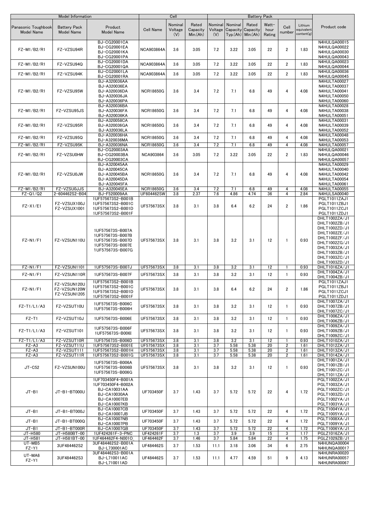|                                          | Model Information                              |                                                                                                                      |                                      | Cell                      |                               |                           |             | <b>Battery Pack</b>                                 |                         |                                  |                                     |                                                                                                                                                                        |
|------------------------------------------|------------------------------------------------|----------------------------------------------------------------------------------------------------------------------|--------------------------------------|---------------------------|-------------------------------|---------------------------|-------------|-----------------------------------------------------|-------------------------|----------------------------------|-------------------------------------|------------------------------------------------------------------------------------------------------------------------------------------------------------------------|
| Panasonic Toughbook<br><b>Model Name</b> | <b>Battery Pack</b><br><b>Model Name</b>       | Product<br><b>Model Name</b>                                                                                         | <b>Cell Name</b>                     | Nominal<br>Voltage<br>(V) | Rated<br>Capacity<br>Min.(Ah) | Nominal<br>Voltage<br>(V) | Nominal     | Rated<br>Capacity Capacity<br>$Typ(Ah)$ Min. $(Ah)$ | Watt-<br>hour<br>Rating | Cell<br>number                   | Lithium<br>equivalent<br>content(g) | Product code                                                                                                                                                           |
| FZ-M1/B2/R1                              | FZ-VZSU94R                                     | BJ-CG20001CA<br>BJ-CG20001EA<br>BJ-CG20001KA<br><b>BJ-CG20001PA</b>                                                  | <b>NCA903864A</b>                    | 3.6                       | 3.05                          | 7.2                       | 3.22        | 3.05                                                | 22                      | $\overline{2}$                   | 1.83                                | N4HULQA00015<br>N4HULQA00022<br>N4HULQA00030<br>N4HULQA00043                                                                                                           |
| FZ-M1/B2/R1                              | FZ-VZSU94Q                                     | <b>BJ-CG20001DA</b><br>BJ-CG20001QA                                                                                  | <b>NCA903864A</b>                    | 3.6                       | 3.05                          | 7.2                       | 3.22        | 3.05                                                | 22                      | $\overline{2}$                   | 1.83                                | N4HULQA00023<br>N4HULQA00044                                                                                                                                           |
| FZ-M1/B2/R1                              | FZ-VZSU94K                                     | <b>BJ-CG20001LA</b><br>BJ-CG20001RA                                                                                  | <b>NCA903864A</b>                    | 3.6                       | 3.05                          | 7.2                       | 3.22        | 3.05                                                | 22                      | $\overline{2}$                   | 1.83                                | N4HULQA00036<br>N4HULQA00045                                                                                                                                           |
| FZ-M1/B2/R1                              | FZ-VZSU95W                                     | BJ-A320036AA<br>BJ-A320036EA<br>BJ-A320036DA<br>BJ-A320036JA<br>BJ-A320036PA                                         | <b>NCR18650G</b>                     | 3.6                       | 3.4                           | 7.2                       | 7.1         | 6.8                                                 | 49                      | $\overline{4}$                   | 4.08                                | N4HULTA00027<br>N4HULTA00037<br>N4HULTA00041<br>N4HULTA00050<br>N4HULTA00060                                                                                           |
| FZ-M1/B2/R1                              | FZ-VZSU95JS                                    | BJ-A320036BA<br>BJ-A320036FA<br>BJ-A320036KA                                                                         | <b>NCR18650G</b>                     | 3.6                       | 3.4                           | 7.2                       | 7.1         | 6.8                                                 | 49                      | 4                                | 4.08                                | N4HULTA00028<br>N4HULTA00038<br>N4HULTA00051                                                                                                                           |
| FZ-M1/B2/R1                              | FZ-VZSU95R                                     | BJ-A320058CA<br>BJ-A320036GA<br>BJ-A320036LA                                                                         | <b>NCR18650G</b>                     | 3.6                       | 3.4                           | 7.2                       | 7.1         | 6.8                                                 | 49                      | 4                                | 4.08                                | N4HULTA00031<br>N4HULTA00039<br>N4HULTA00052                                                                                                                           |
| FZ-M1/B2/R1                              | FZ-VZSU95Q                                     | BJ-A320036HA<br>BJ-A320036MA                                                                                         | <b>NCR18650G</b>                     | 3.6                       | 3.4                           | 7.2                       | 7.1         | 6.8                                                 | 49                      | $\overline{4}$                   | 4.08                                | N4HULTA00048<br>N4HULTA00053                                                                                                                                           |
| FZ-M1/B2/R1<br>FZ-M1/B2/R1               | FZ-VZSU95K<br>FZ-VZSU0HW                       | BJ-A320036NA<br>BJ-CG20003AA<br>BJ-CG20003BA<br>BJ-CG20003CA                                                         | <b>NCR18650G</b><br><b>NCA903864</b> | 3.6<br>3.6                | 3.4<br>3.05                   | 7.2<br>7.2                | 7.1<br>3.22 | 6.8<br>3.05                                         | 49<br>22                | $\overline{4}$<br>$\overline{2}$ | 4.08<br>1.83                        | N4HULTA00057<br>N4HULQA00021<br>N4HULQA00046<br>N4HULQA00057                                                                                                           |
| FZ-M1/B2/R1                              | FZ-VZSU0JW                                     | BJ-A320045AA<br>BJ-A320045CA<br>BJ-A320045BA<br>BJ-A320045DA<br>BJ-A320045FA                                         | <b>NCR18650G</b>                     | 3.6                       | 3.4                           | 7.2                       | 7.1         | 6.8                                                 | 49                      | 4                                | 4.08                                | N4HULTA00029<br>N4HULTA00040<br>N4HULTA00042<br>N4HULTA00054<br>N4HULTA00061                                                                                           |
| FZ-M1/B2/R1<br>$FZ-Q1/Q2$                | FZ-VZSU0JJS                                    | BJ-A320045EA                                                                                                         | <b>NCR18650G</b>                     | 3.6                       | 3.4                           | 7.2                       | 7.1         | 6.8<br>4.74                                         | 49                      | 4                                | 4.08                                | N4HULTA00055                                                                                                                                                           |
| $FZ-X1/E1$                               | 2-604462S2-B04<br>FZ-VZSUX100J<br>FZ-VZSUX1001 | BJ-F520009AA<br>1UF575673S2-B001B<br>1UF575673S2-B001C<br>1UF575673S2-B001D<br>1UF575673S2-B001F                     | UF604462SW<br>UF575673SX             | 3.8<br>3.8                | 2.37<br>3.1                   | 7.6<br>3.8                | 4.86<br>6.4 | 6.2                                                 | 36<br>24                | 4<br>$\overline{2}$              | 2.84<br>1.86                        | N4HULSA00040<br>PGLT1011ZAJ1<br>PGLT1011ZBJ1<br>PGLT1011ZCJ1<br>PGLT1011ZDJ1                                                                                           |
| $FZ-N1/F1$                               | FZ-VZSUN110U                                   | 1UF575673S-B007A<br>1UF575673S-B007B<br>1UF575673S-B007D<br>1UF575673S-B007E<br>1UF575673S-B007G                     | UF575673SX                           | 3.8                       | 3.1                           | 3.8                       | 3.2         | 3.1                                                 | 12                      | $\mathbf{1}$                     | 0.93                                | DHLT1002ZA/J1<br>DHLT1002ZB/J1<br>DHLT1002ZD/J1<br>DHLT1002ZE/J1<br>DHLT1002ZF/J1<br>DHLT1002ZG/J1<br>DHLT1003ZA/J1<br>DHLT1003ZB/J1<br>DHLT1003ZC/J1<br>DHLT1003ZD/J1 |
| $FZ-N1/F1$                               | FZ-VZSUN1101                                   | 1UF575673S-B007J                                                                                                     | UF575673SX                           | 3.8                       | 3.1                           | 3.8                       | 3.2         | 3.1                                                 | 12                      | $\mathbf{1}$                     | 0.93                                | DHLT1016ZA/J1                                                                                                                                                          |
| $FZ-N1/F1$                               | FZ-VZSUN110R                                   | 1UF575673S-B007F                                                                                                     | UF575673SX                           | 3.8                       | 3.1                           | 3.8                       | 3.2         | 3.1                                                 | 12                      | $\mathbf{1}$                     | 0.93                                | DHLT1004ZA/J1<br>DHLT1004ZB/J1                                                                                                                                         |
| $FZ-N1/F1$                               | FZ-VZSUN120U<br>FZ-VZSUN120W<br>FZ-VZSUN1205   | 1UF575673S2-B001B<br>1UF575673S2-B001C<br>1UF575673S2-B001D<br>1UF575673S2-B001F                                     | UF575673SX                           | 3.8                       | 3.1                           | 3.8                       | 6.4         | 6.2                                                 | 24                      | $\overline{2}$                   | 1.86                                | PGLT1011ZAJ1<br>PGLT1011ZBJ1<br>PGLT1011ZCJ1<br>PGLT1011ZDJ1                                                                                                           |
| FZ-T1/L1/A3                              | FZ-VZSUT10U                                    | 1UF575673S-B006C<br>1UF575673S-B006H                                                                                 | UF575673SX                           | 3.8                       | 3.1                           | 3.8                       | 3.2         | 3.1                                                 | 12                      | $\mathbf{1}$                     | 0.93                                | DHLT1007ZA/J1<br>DHLT1007ZB/J1<br>DHLT1007ZC/J1                                                                                                                        |
| $FZ-T1$                                  | FZ-VZSUT10J                                    | 1UF575673S-B006E                                                                                                     | UF575673SX                           | 3.8                       | 3.1                           | 3.8                       | 3.2         | 3.1                                                 | 12                      | $\mathbf{1}$                     | 0.93                                | DHLT1006ZA/J1<br>DHLT1006ZB/J1                                                                                                                                         |
| FZ-T1/L1/A3                              | FZ-VZSUT101                                    | 1UF575673S-B006F<br>1UF575673S-B006I                                                                                 | UF575673SX                           | 3.8                       | 3.1                           | 3.8                       | 3.2         | 3.1                                                 | 12                      | $\mathbf{1}$                     | 0.93                                | DHLT1009ZA/J1<br>DHLT1009ZB/J1<br>DHLT1009ZC/J1                                                                                                                        |
| FZ-T1/L1/A3<br>$FZ - A3$                 | FZ-VZSUT10R<br>FZ-VZSUT11U                     | 1UF575673S-B006D<br>1UF575673S2-B001E                                                                                | UF575673SX<br>UF575673SX             | 3.8<br>3.8                | 3.1<br>3.1                    | 3.8<br>3.7                | 3.2<br>5.58 | 3.1<br>5.38                                         | 12<br>20                | $\mathbf{1}$<br>$\overline{2}$   | 0.93<br>1.61                        | DHLT1010ZA/J1<br>DHLT1012ZA/J1                                                                                                                                         |
| $FZ - A3$                                | FZ-VZSUT111                                    | 1UF575673S2-B001H                                                                                                    | UF575673SX                           | 3.8                       | 3.1                           | 3.7                       | 5.58        | 5.38                                                | 20                      | 2                                | 1.61                                | DHLT1013ZA/J1                                                                                                                                                          |
| $FZ - A3$                                | FZ-VZSUT11R                                    | 1UF575673S2-B001G                                                                                                    | UF575673SX                           | 3.8                       | 3.1                           | 3.7                       | 5.58        | 5.38                                                | 20                      | $\overline{2}$                   | 1.61                                | DHLT1014ZA/J1                                                                                                                                                          |
| $JT-C52$                                 | FZ-VZSUN100U                                   | 1UF575673S-B006A<br>1UF575673S-B006B<br>1UF575673S-B006G                                                             | UF575673SX                           | 3.8                       | 3.1                           | 3.8                       | 3.2         | 3.1                                                 | 12                      | $\mathbf{1}$                     | 0.93                                | DHLT1001ZA/J1<br>DHLT1001ZB/J1<br>DHLT1001ZC/J1<br>DHLT1011ZA/J1                                                                                                       |
| $JT-B1$                                  | JT-B1-BT000U                                   | 1UF703450F4-B001A<br>1UF703450F4-B002A<br><b>BJ-CA10031AA</b><br>BJ-CA10030AA<br>BJ-CA10007EB<br><b>BJ-CA10007KB</b> | UF703450F                            | 3.7                       | 1.43                          | 3.7                       | 5.72        | 5.72                                                | 22                      | $\overline{4}$                   | 1.72                                | PGLT1002ZA/J1<br>PGLT1003ZA/J1<br>PGLT1002ZC/J1<br>PGLT1003ZD/J1<br>PGLT1002YA/J1<br>PGLT1003YA/J1                                                                     |
| $JT-B1$                                  | JT-B1-BT000J                                   | <b>BJ-CA10007CB</b><br><b>BJ-CA10007JB</b>                                                                           | UF703450F                            | 3.7                       | 1.43                          | 3.7                       | 5.72        | 5.72                                                | 22                      | $\overline{4}$                   | 1.72                                | PGLT1004YA/J1<br>PGLT1005YA/J1                                                                                                                                         |
| $JT-B1$                                  | JT-B1-BT000Q                                   | <b>BJ-CA10007NB</b><br><b>BJ-CA10007PB</b>                                                                           | UF703450F                            | 3.7                       | 1.43                          | 3.7                       | 5.72        | 5.72                                                | 22                      | $\overline{4}$                   | 1.72                                | PGLT1008XA/J1<br>PGLT1009YA/J1                                                                                                                                         |
| $JT-B1$                                  | JT-B1-BT000R                                   | BJ-CA10007GB                                                                                                         | UF703450F                            | 3.7                       | 1.43                          | 3.7                       | 5.72        | 5.72                                                | 22                      | $\overline{4}$                   | 1.72                                | PGLT1006YA/J1                                                                                                                                                          |
| JT-H580<br>JT-H581                       | JT-H580BT-00<br>JT-H581BT-00                   | 1UF424261F-3-PNC<br>1UF464462F4-N001O                                                                                | UF424261F<br>UF464462F               | 3.7<br>3.7                | 1.3<br>1.46                   | 3.7<br>3.7                | 3.9<br>5.84 | 3.9<br>5.84                                         | 15<br>22                | 3<br>$\overline{4}$              | 1.17<br>1.75                        | PGLZ1016ZA/J1<br>PGLZ1029ZB/J1                                                                                                                                         |
| UT-MB5                                   | 3UF484462S2                                    | 3UF484462S2-B001A                                                                                                    | UF484462S                            | 3.7                       | 1.53                          | 11.1                      | 3.18        | 3.06                                                | 34                      | 6                                | 2.75                                | N4HUNQA00004                                                                                                                                                           |
| FZ-Y1<br>UT-MA6                          | 3UF484462S3                                    | BJ-L730001AC<br>3UF484462S3-B001A<br>BJ-L710011AC                                                                    | UF484462S                            | 3.7                       | 1.53                          | 11.1                      | 4.77        | 4.59                                                | 51                      | 9                                | 4.13                                | N4HUNQA00017<br>N4HUNRA00020<br>N4HUNRA00057                                                                                                                           |
| FZ-Y1                                    |                                                | BJ-L710011AD                                                                                                         |                                      |                           |                               |                           |             |                                                     |                         |                                  |                                     | N4HUNRA00067                                                                                                                                                           |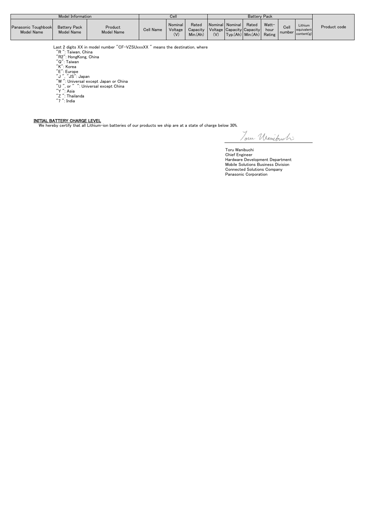|                                          | Model Information                        |                       |                  | Cei.                      |                                                                |     |                                              | <b>Battery Pack</b> |               |                  |                                     |              |
|------------------------------------------|------------------------------------------|-----------------------|------------------|---------------------------|----------------------------------------------------------------|-----|----------------------------------------------|---------------------|---------------|------------------|-------------------------------------|--------------|
| Panasonic Toughbook<br><b>Model Name</b> | <b>Battery Pack</b><br><b>Model Name</b> | Product<br>Model Name | <b>Cell Name</b> | Nominal<br>Voltage<br>(V) | Rated<br>Capacity   Voltage   Capacity   Capacity  <br>Min(Ah) | (V) | Nominal Nominal<br>$Typ(Ah)$ Min.(Ah) Rating | Rated               | Watt-<br>hour | Cell<br>number I | Lithium<br>equivalent<br>content(g) | Product code |

Last 2 digits XX in model number "CF-VZSUxxxXX " means the destination, where<br>"R": Taiwan, China<br>"Q": HongKong, China<br>"Q": Taiwan<br>"K": Korea<br>"L": Europe<br>"L": Taiwan"<br>"T": The Termon of China<br>"Y": Asia<br>"Y": Asia<br>"T": Thaila

- 
- 
- 
- 
- 
- 
- 
- 
- 

INITIAL BATTERY CHARGE LEVEL We hereby certify that all Lithium-ion batteries of our products we ship are at a state of charge below 30%.

Toru Uranibuch:

Toru Wanibuchi Chief Engineer Hardware Development Department Mobile Solutions Business Division Connected Solutions Company Panasonic Corporation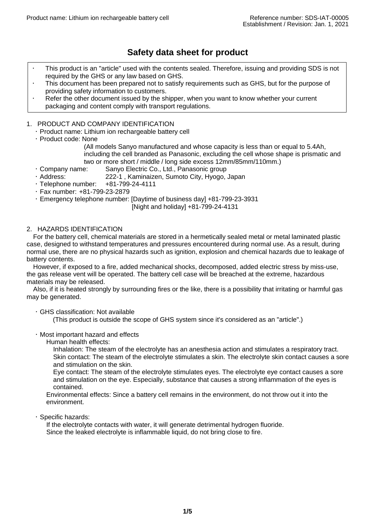# **Safety data sheet for product**

- This product is an "article" used with the contents sealed. Therefore, issuing and providing SDS is not required by the GHS or any law based on GHS.
- This document has been prepared not to satisfy requirements such as GHS, but for the purpose of providing safety information to customers.
- Refer the other document issued by the shipper, when you want to know whether your current packaging and content comply with transport regulations.

# 1. PRODUCT AND COMPANY IDENTIFICATION

- Product name: Lithium ion rechargeable battery cell
- Product code: None

(All models Sanyo manufactured and whose capacity is less than or equal to 5.4Ah, including the cell branded as Panasonic, excluding the cell whose shape is prismatic and two or more short / middle / long side excess 12mm/85mm/110mm.)

- Company name: Sanyo Electric Co., Ltd., Panasonic group
- Address: 222-1 , Kaminaizen, Sumoto City, Hyogo, Japan
- $\cdot$  Telephone number:  $+81-799-24-4111$
- Fax number: +81-799-23-2879
- Emergency telephone number: [Daytime of business day] +81-799-23-3931

[Night and holiday] +81-799-24-4131

# 2. HAZARDS IDENTIFICATION

For the battery cell, chemical materials are stored in a hermetically sealed metal or metal laminated plastic case, designed to withstand temperatures and pressures encountered during normal use. As a result, during normal use, there are no physical hazards such as ignition, explosion and chemical hazards due to leakage of battery contents.

However, if exposed to a fire, added mechanical shocks, decomposed, added electric stress by miss-use, the gas release vent will be operated. The battery cell case will be breached at the extreme, hazardous materials may be released.

Also, if it is heated strongly by surrounding fires or the like, there is a possibility that irritating or harmful gas may be generated.

GHS classification: Not available

(This product is outside the scope of GHS system since it's considered as an "article".)

Most important hazard and effects

Human health effects:

Inhalation: The steam of the electrolyte has an anesthesia action and stimulates a respiratory tract. Skin contact: The steam of the electrolyte stimulates a skin. The electrolyte skin contact causes a sore and stimulation on the skin.

Eye contact: The steam of the electrolyte stimulates eyes. The electrolyte eye contact causes a sore and stimulation on the eye. Especially, substance that causes a strong inflammation of the eyes is contained.

Environmental effects: Since a battery cell remains in the environment, do not throw out it into the environment.

· Specific hazards:

If the electrolyte contacts with water, it will generate detrimental hydrogen fluoride. Since the leaked electrolyte is inflammable liquid, do not bring close to fire.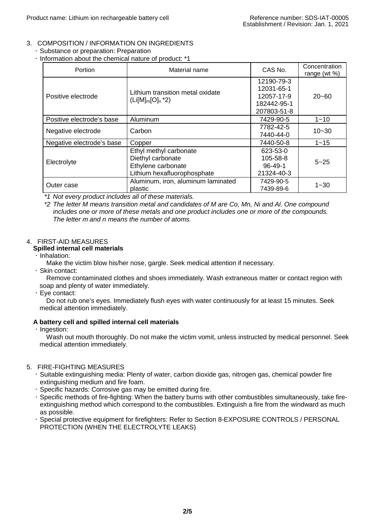# 3. COMPOSITION / INFORMATION ON INGREDIENTS

- Substance or preparation: Preparation
	- $\cdot$  Information about the chemical nature of product: \*1

| <b>Portion</b>            | Material name                      | CAS No.        | Concentration<br>range (wt %) |
|---------------------------|------------------------------------|----------------|-------------------------------|
|                           |                                    | 12190-79-3     |                               |
|                           | Lithium transition metal oxidate   | 12031-65-1     |                               |
| Positive electrode        |                                    | 12057-17-9     | $20 - 60$                     |
|                           | $(Li[M]_m[O]_n^*2)$                | 182442-95-1    |                               |
|                           |                                    | 207803-51-8    |                               |
| Positive electrode's base | Aluminum                           | 7429-90-5      | $1 - 10$                      |
| Negative electrode        | Carbon                             | 7782-42-5      | $10 - 30$                     |
|                           |                                    | 7440-44-0      |                               |
| Negative electrode's base | Copper                             | 7440-50-8      | $1 - 15$                      |
|                           | Ethyl methyl carbonate             | 623-53-0       |                               |
|                           | Diethyl carbonate                  | $105 - 58 - 8$ | $5 - 25$                      |
| Electrolyte               | Ethylene carbonate                 | $96 - 49 - 1$  |                               |
|                           | Lithium hexafluorophosphate        | 21324-40-3     |                               |
| Outer case                | Aluminum, iron, aluminum laminated | 7429-90-5      | $1 - 30$                      |
|                           | plastic                            | 7439-89-6      |                               |

*\*1 Not every product includes all of these materials.*

*\*2 The letter M means transition metal and candidates of M are Co, Mn, Ni and Al. One compound includes one or more of these metals and one product includes one or more of the compounds. The letter m and n means the number of atoms.*

# 4. FIRST-AID MEASURES

- **Spilled internal cell materials**
- $\cdot$  Inhalation:

Make the victim blow his/her nose, gargle. Seek medical attention if necessary.

Skin contact:

Remove contaminated clothes and shoes immediately. Wash extraneous matter or contact region with soap and plenty of water immediately.

Eye contact:

Do not rub one's eyes. Immediately flush eyes with water continuously for at least 15 minutes. Seek medical attention immediately.

# **A battery cell and spilled internal cell materials**

 $\cdot$  Ingestion:

Wash out mouth thoroughly. Do not make the victim vomit, unless instructed by medical personnel. Seek medical attention immediately.

# 5. FIRE-FIGHTING MEASURES

- Suitable extinguishing media: Plenty of water, carbon dioxide gas, nitrogen gas, chemical powder fire extinguishing medium and fire foam.
- Specific hazards: Corrosive gas may be emitted during fire.
- Specific methods of fire-fighting: When the battery burns with other combustibles simultaneously, take fireextinguishing method which correspond to the combustibles. Extinguish a fire from the windward as much as possible.
- Special protective equipment for firefighters: Refer to Section 8-EXPOSURE CONTROLS / PERSONAL PROTECTION (WHEN THE ELECTROLYTE LEAKS)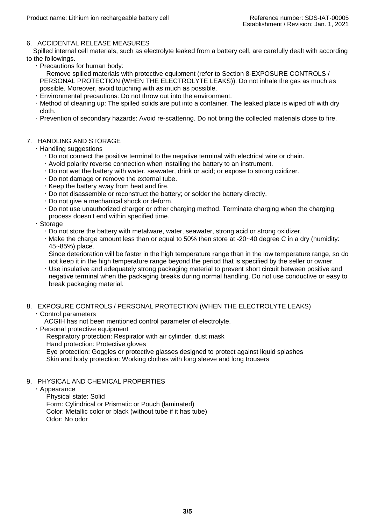# 6. ACCIDENTAL RELEASE MEASURES

Spilled internal cell materials, such as electrolyte leaked from a battery cell, are carefully dealt with according to the followings.

Precautions for human body:

Remove spilled materials with protective equipment (refer to Section 8-EXPOSURE CONTROLS / PERSONAL PROTECTION (WHEN THE ELECTROLYTE LEAKS)). Do not inhale the gas as much as possible. Moreover, avoid touching with as much as possible.

- Environmental precautions: Do not throw out into the environment.
- Method of cleaning up: The spilled solids are put into a container. The leaked place is wiped off with dry cloth.
- Prevention of secondary hazards: Avoid re-scattering. Do not bring the collected materials close to fire.

# 7. HANDLING AND STORAGE

- Handling suggestions
	- Do not connect the positive terminal to the negative terminal with electrical wire or chain.
	- Avoid polarity reverse connection when installing the battery to an instrument.
	- Do not wet the battery with water, seawater, drink or acid; or expose to strong oxidizer.
	- Do not damage or remove the external tube.
	- $\cdot$  Keep the battery away from heat and fire.
	- Do not disassemble or reconstruct the battery; or solder the battery directly.
	- Do not give a mechanical shock or deform.
	- Do not use unauthorized charger or other charging method. Terminate charging when the charging process doesn't end within specified time.
- Storage
	- Do not store the battery with metalware, water, seawater, strong acid or strong oxidizer.
	- $\cdot$  Make the charge amount less than or equal to 50% then store at -20 $\sim$ 40 degree C in a dry (humidity: 45~85%) place.

Since deterioration will be faster in the high temperature range than in the low temperature range, so do not keep it in the high temperature range beyond the period that is specified by the seller or owner.

 Use insulative and adequately strong packaging material to prevent short circuit between positive and negative terminal when the packaging breaks during normal handling. Do not use conductive or easy to break packaging material.

# 8. EXPOSURE CONTROLS / PERSONAL PROTECTION (WHEN THE ELECTROLYTE LEAKS)

### Control parameters

ACGIH has not been mentioned control parameter of electrolyte.

Personal protective equipment

Respiratory protection: Respirator with air cylinder, dust mask Hand protection: Protective gloves

Eye protection: Goggles or protective glasses designed to protect against liquid splashes Skin and body protection: Working clothes with long sleeve and long trousers

# 9. PHYSICAL AND CHEMICAL PROPERTIES

### Appearance

Physical state: Solid Form: Cylindrical or Prismatic or Pouch (laminated) Color: Metallic color or black (without tube if it has tube) Odor: No odor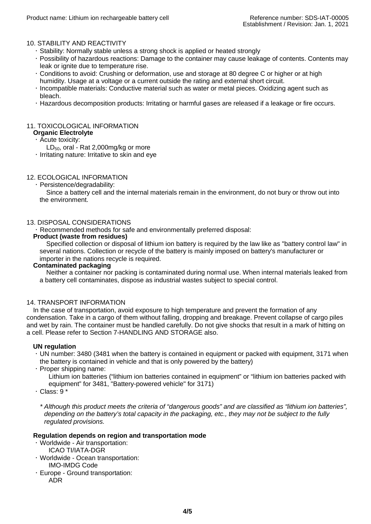# 10. STABILITY AND REACTIVITY

- Stability: Normally stable unless a strong shock is applied or heated strongly
- Possibility of hazardous reactions: Damage to the container may cause leakage of contents. Contents may leak or ignite due to temperature rise.
- Conditions to avoid: Crushing or deformation, use and storage at 80 degree C or higher or at high humidity. Usage at a voltage or a current outside the rating and external short circuit.
- Incompatible materials: Conductive material such as water or metal pieces. Oxidizing agent such as bleach.
- Hazardous decomposition products: Irritating or harmful gases are released if a leakage or fire occurs.

# 11. TOXICOLOGICAL INFORMATION

# **Organic Electrolyte**

- Acute toxicity:
	- LD<sub>50</sub>, oral Rat 2,000mg/kg or more
- $\cdot$  Irritating nature: Irritative to skin and eye

# 12. ECOLOGICAL INFORMATION

Persistence/degradability:

Since a battery cell and the internal materials remain in the environment, do not bury or throw out into the environment.

### 13. DISPOSAL CONSIDERATIONS

Recommended methods for safe and environmentally preferred disposal:

#### **Product (waste from residues)**

Specified collection or disposal of lithium ion battery is required by the law like as "battery control law" in several nations. Collection or recycle of the battery is mainly imposed on battery's manufacturer or importer in the nations recycle is required.

#### **Contaminated packaging**

Neither a container nor packing is contaminated during normal use. When internal materials leaked from a battery cell contaminates, dispose as industrial wastes subject to special control.

#### 14. TRANSPORT INFORMATION

In the case of transportation, avoid exposure to high temperature and prevent the formation of any condensation. Take in a cargo of them without falling, dropping and breakage. Prevent collapse of cargo piles and wet by rain. The container must be handled carefully. Do not give shocks that result in a mark of hitting on a cell. Please refer to Section 7-HANDLING AND STORAGE also.

### **UN regulation**

- UN number: 3480 (3481 when the battery is contained in equipment or packed with equipment, 3171 when the battery is contained in vehicle and that is only powered by the battery)
- $\cdot$  Proper shipping name:

Lithium ion batteries ("lithium ion batteries contained in equipment" or "lithium ion batteries packed with equipment" for 3481, "Battery-powered vehicle" for 3171)

 $\cdot$  Class: 9  $^*$ 

*\* Although this product meets the criteria of "dangerous goods" and are classified as "lithium ion batteries", depending on the battery's total capacity in the packaging, etc., they may not be subject to the fully regulated provisions.*

### **Regulation depends on region and transportation mode**

- Worldwide Air transportation:
	- ICAO TI/IATA-DGR
- Worldwide Ocean transportation: IMO-IMDG Code
- Europe Ground transportation: ADR